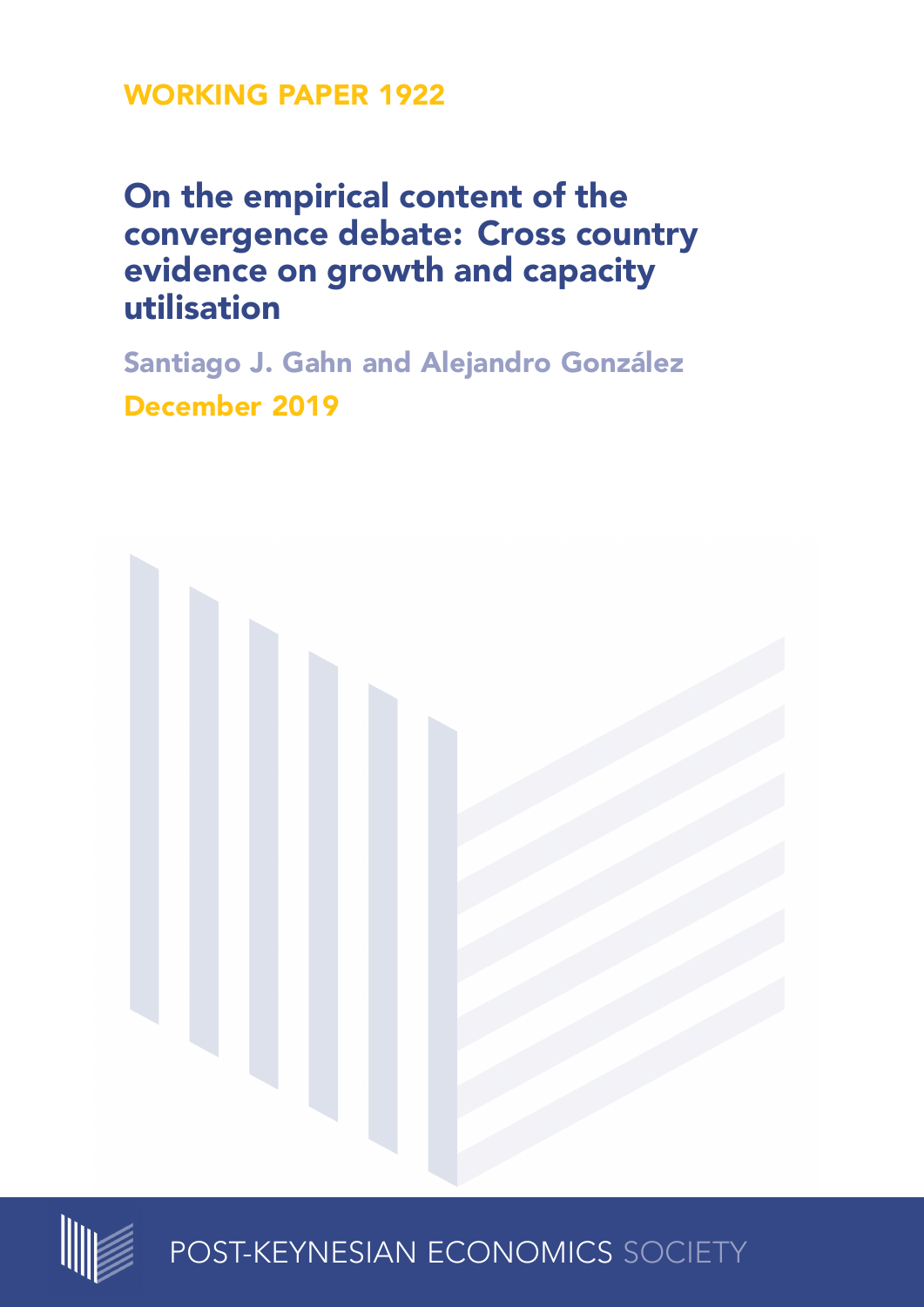# **WORKING PAPER 1922**

# **On the empirical content of the convergence debate: Cross country evidence on growth and capacity utilisation**

**Santiago J. Gahn and Alejandro González December 2019**





POST-KEYNESIAN ECONOMICS SOCIETY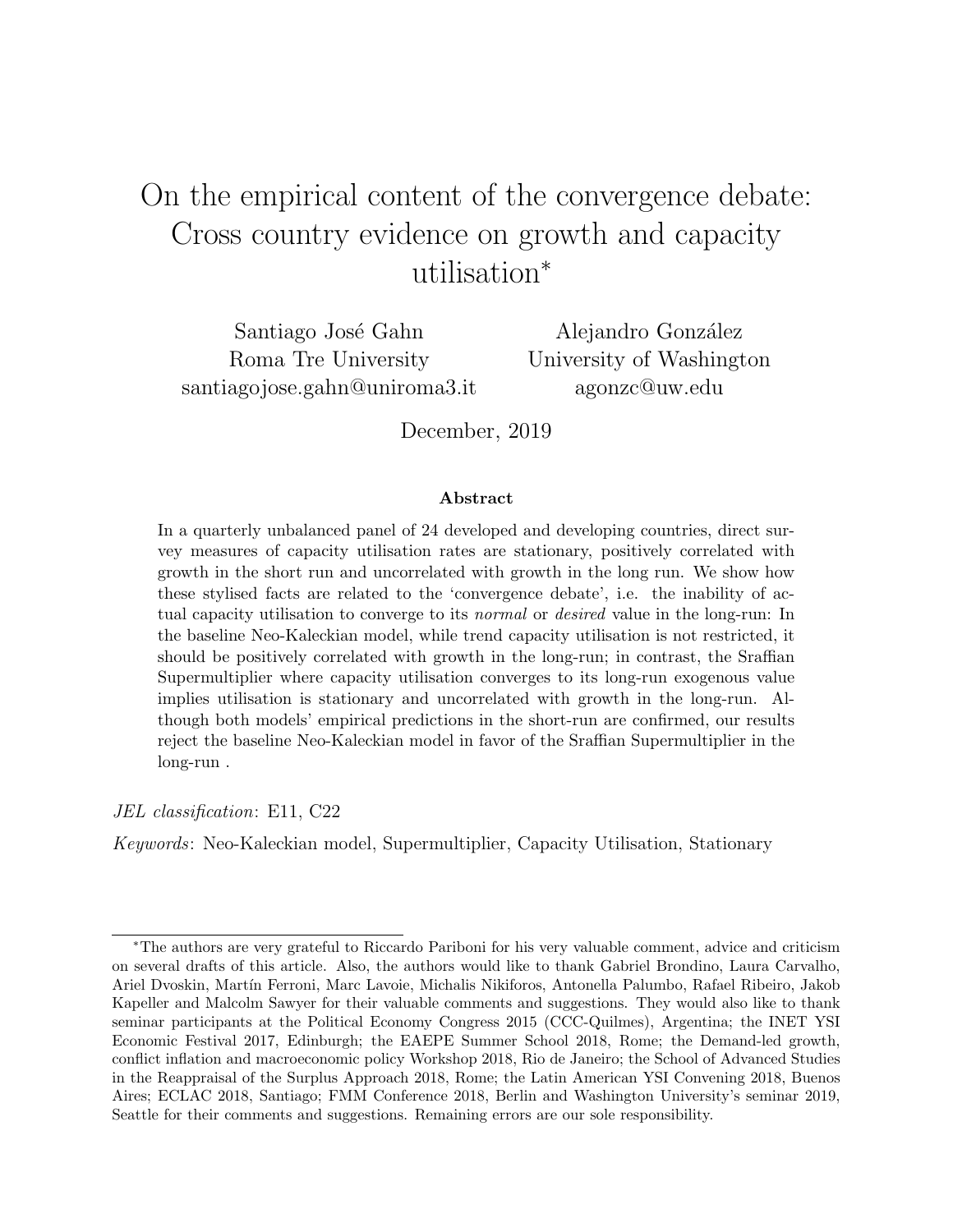# On the empirical content of the convergence debate: Cross country evidence on growth and capacity utilisation<sup>∗</sup>

Santiago José Gahn Roma Tre University santiagojose.gahn@uniroma3.it

Alejandro González University of Washington agonzc@uw.edu

December, 2019

#### Abstract

In a quarterly unbalanced panel of 24 developed and developing countries, direct survey measures of capacity utilisation rates are stationary, positively correlated with growth in the short run and uncorrelated with growth in the long run. We show how these stylised facts are related to the 'convergence debate', i.e. the inability of actual capacity utilisation to converge to its *normal* or *desired* value in the long-run: In the baseline Neo-Kaleckian model, while trend capacity utilisation is not restricted, it should be positively correlated with growth in the long-run; in contrast, the Sraffian Supermultiplier where capacity utilisation converges to its long-run exogenous value implies utilisation is stationary and uncorrelated with growth in the long-run. Although both models' empirical predictions in the short-run are confirmed, our results reject the baseline Neo-Kaleckian model in favor of the Sraffian Supermultiplier in the long-run .

JEL classification: E11, C22

Keywords: Neo-Kaleckian model, Supermultiplier, Capacity Utilisation, Stationary

<sup>∗</sup>The authors are very grateful to Riccardo Pariboni for his very valuable comment, advice and criticism on several drafts of this article. Also, the authors would like to thank Gabriel Brondino, Laura Carvalho, Ariel Dvoskin, Martín Ferroni, Marc Lavoie, Michalis Nikiforos, Antonella Palumbo, Rafael Ribeiro, Jakob Kapeller and Malcolm Sawyer for their valuable comments and suggestions. They would also like to thank seminar participants at the Political Economy Congress 2015 (CCC-Quilmes), Argentina; the INET YSI Economic Festival 2017, Edinburgh; the EAEPE Summer School 2018, Rome; the Demand-led growth, conflict inflation and macroeconomic policy Workshop 2018, Rio de Janeiro; the School of Advanced Studies in the Reappraisal of the Surplus Approach 2018, Rome; the Latin American YSI Convening 2018, Buenos Aires; ECLAC 2018, Santiago; FMM Conference 2018, Berlin and Washington University's seminar 2019, Seattle for their comments and suggestions. Remaining errors are our sole responsibility.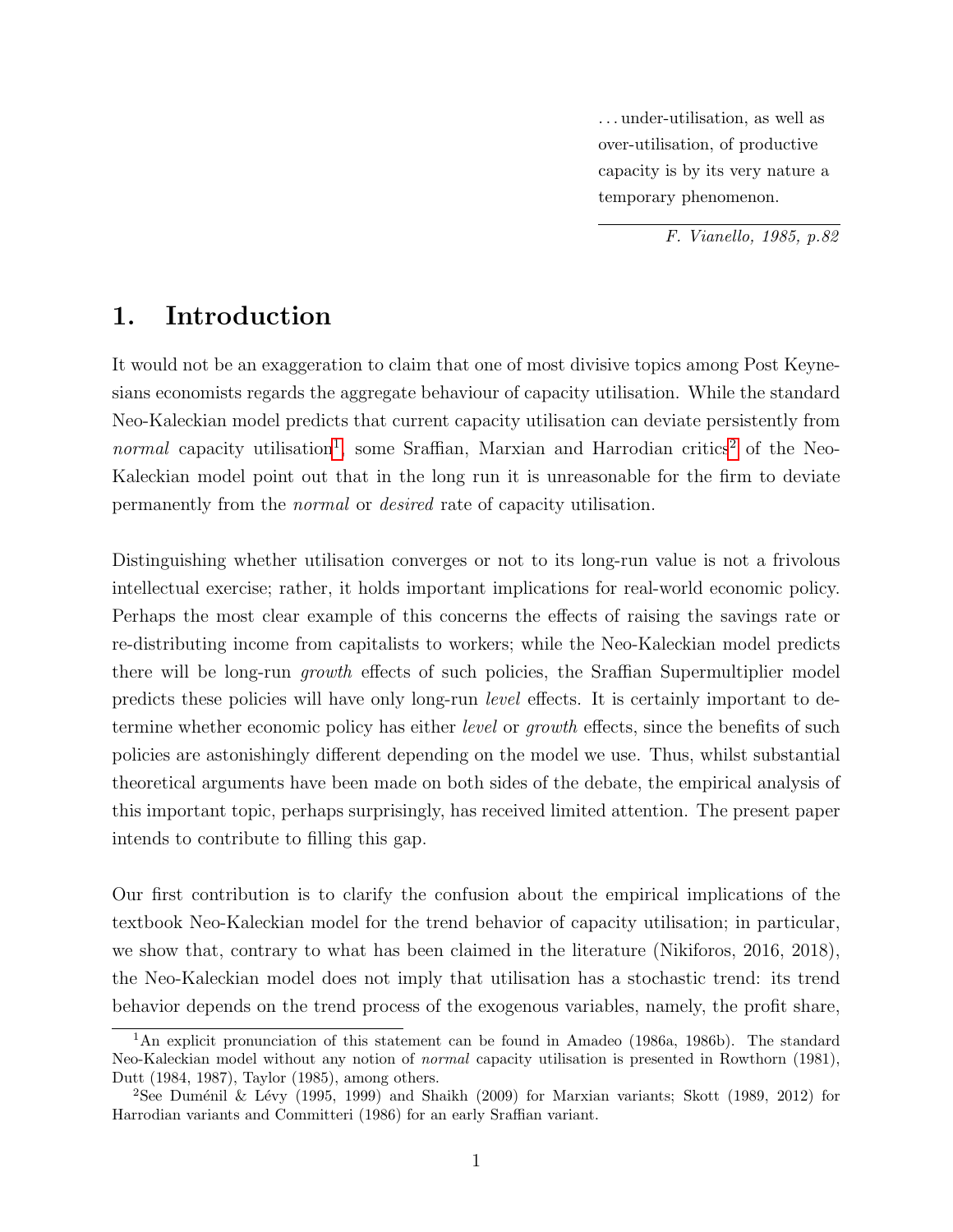. . . under-utilisation, as well as over-utilisation, of productive capacity is by its very nature a temporary phenomenon.

F. Vianello, 1985, p.82

## 1. Introduction

It would not be an exaggeration to claim that one of most divisive topics among Post Keynesians economists regards the aggregate behaviour of capacity utilisation. While the standard Neo-Kaleckian model predicts that current capacity utilisation can deviate persistently from normal capacity utilisation<sup>[1](#page-2-0)</sup>, some Sraffian, Marxian and Harrodian critics<sup>[2](#page-2-1)</sup> of the Neo-Kaleckian model point out that in the long run it is unreasonable for the firm to deviate permanently from the normal or desired rate of capacity utilisation.

Distinguishing whether utilisation converges or not to its long-run value is not a frivolous intellectual exercise; rather, it holds important implications for real-world economic policy. Perhaps the most clear example of this concerns the effects of raising the savings rate or re-distributing income from capitalists to workers; while the Neo-Kaleckian model predicts there will be long-run growth effects of such policies, the Sraffian Supermultiplier model predicts these policies will have only long-run level effects. It is certainly important to determine whether economic policy has either *level* or *growth* effects, since the benefits of such policies are astonishingly different depending on the model we use. Thus, whilst substantial theoretical arguments have been made on both sides of the debate, the empirical analysis of this important topic, perhaps surprisingly, has received limited attention. The present paper intends to contribute to filling this gap.

Our first contribution is to clarify the confusion about the empirical implications of the textbook Neo-Kaleckian model for the trend behavior of capacity utilisation; in particular, we show that, contrary to what has been claimed in the literature (Nikiforos, 2016, 2018), the Neo-Kaleckian model does not imply that utilisation has a stochastic trend: its trend behavior depends on the trend process of the exogenous variables, namely, the profit share,

<span id="page-2-0"></span><sup>1</sup>An explicit pronunciation of this statement can be found in Amadeo (1986a, 1986b). The standard Neo-Kaleckian model without any notion of normal capacity utilisation is presented in Rowthorn (1981), Dutt (1984, 1987), Taylor (1985), among others.

<span id="page-2-1"></span><sup>&</sup>lt;sup>2</sup>See Duménil & Lévy (1995, 1999) and Shaikh (2009) for Marxian variants; Skott (1989, 2012) for Harrodian variants and Committeri (1986) for an early Sraffian variant.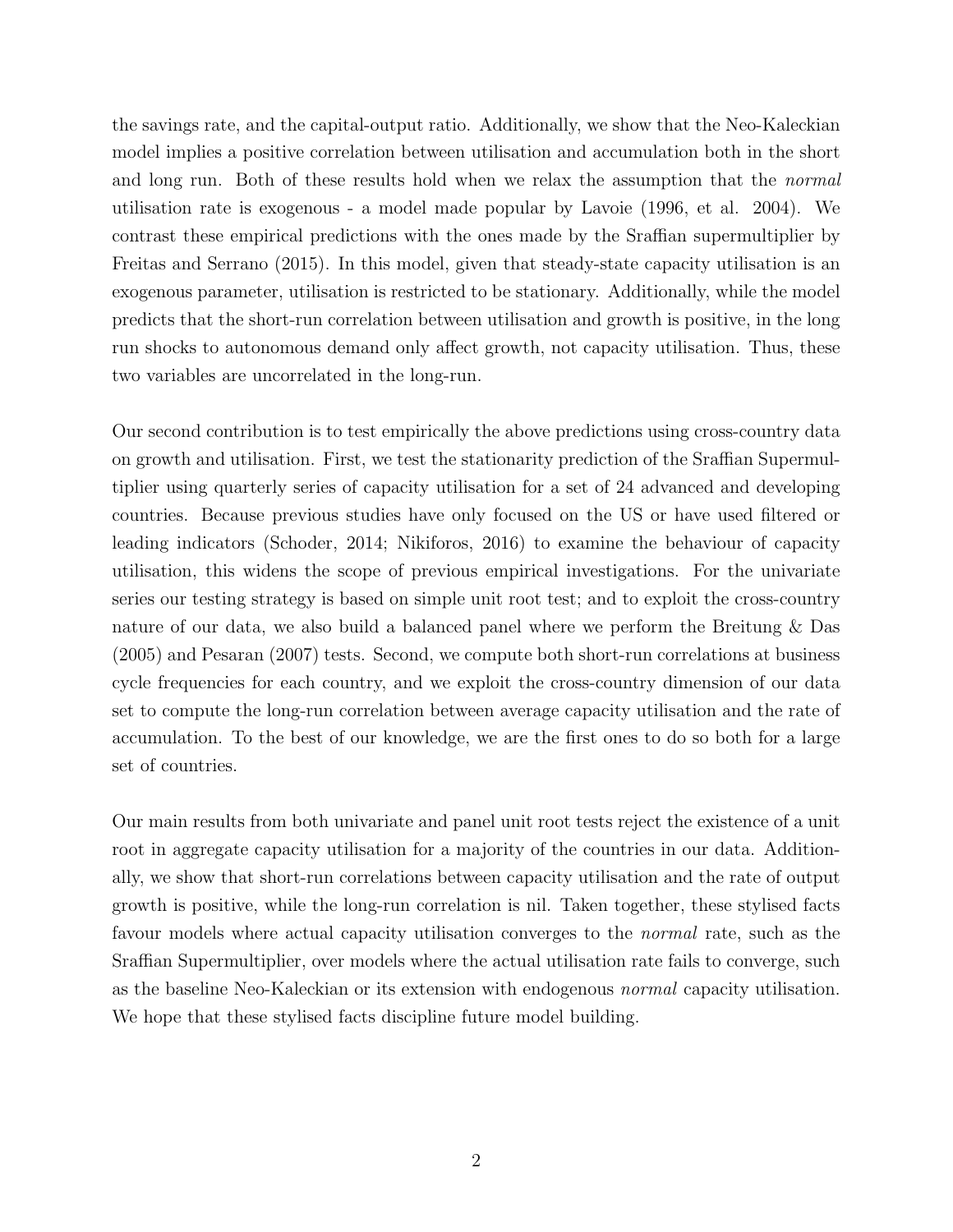the savings rate, and the capital-output ratio. Additionally, we show that the Neo-Kaleckian model implies a positive correlation between utilisation and accumulation both in the short and long run. Both of these results hold when we relax the assumption that the normal utilisation rate is exogenous - a model made popular by Lavoie (1996, et al. 2004). We contrast these empirical predictions with the ones made by the Sraffian supermultiplier by Freitas and Serrano (2015). In this model, given that steady-state capacity utilisation is an exogenous parameter, utilisation is restricted to be stationary. Additionally, while the model predicts that the short-run correlation between utilisation and growth is positive, in the long run shocks to autonomous demand only affect growth, not capacity utilisation. Thus, these two variables are uncorrelated in the long-run.

Our second contribution is to test empirically the above predictions using cross-country data on growth and utilisation. First, we test the stationarity prediction of the Sraffian Supermultiplier using quarterly series of capacity utilisation for a set of 24 advanced and developing countries. Because previous studies have only focused on the US or have used filtered or leading indicators (Schoder, 2014; Nikiforos, 2016) to examine the behaviour of capacity utilisation, this widens the scope of previous empirical investigations. For the univariate series our testing strategy is based on simple unit root test; and to exploit the cross-country nature of our data, we also build a balanced panel where we perform the Breitung & Das (2005) and Pesaran (2007) tests. Second, we compute both short-run correlations at business cycle frequencies for each country, and we exploit the cross-country dimension of our data set to compute the long-run correlation between average capacity utilisation and the rate of accumulation. To the best of our knowledge, we are the first ones to do so both for a large set of countries.

Our main results from both univariate and panel unit root tests reject the existence of a unit root in aggregate capacity utilisation for a majority of the countries in our data. Additionally, we show that short-run correlations between capacity utilisation and the rate of output growth is positive, while the long-run correlation is nil. Taken together, these stylised facts favour models where actual capacity utilisation converges to the normal rate, such as the Sraffian Supermultiplier, over models where the actual utilisation rate fails to converge, such as the baseline Neo-Kaleckian or its extension with endogenous normal capacity utilisation. We hope that these stylised facts discipline future model building.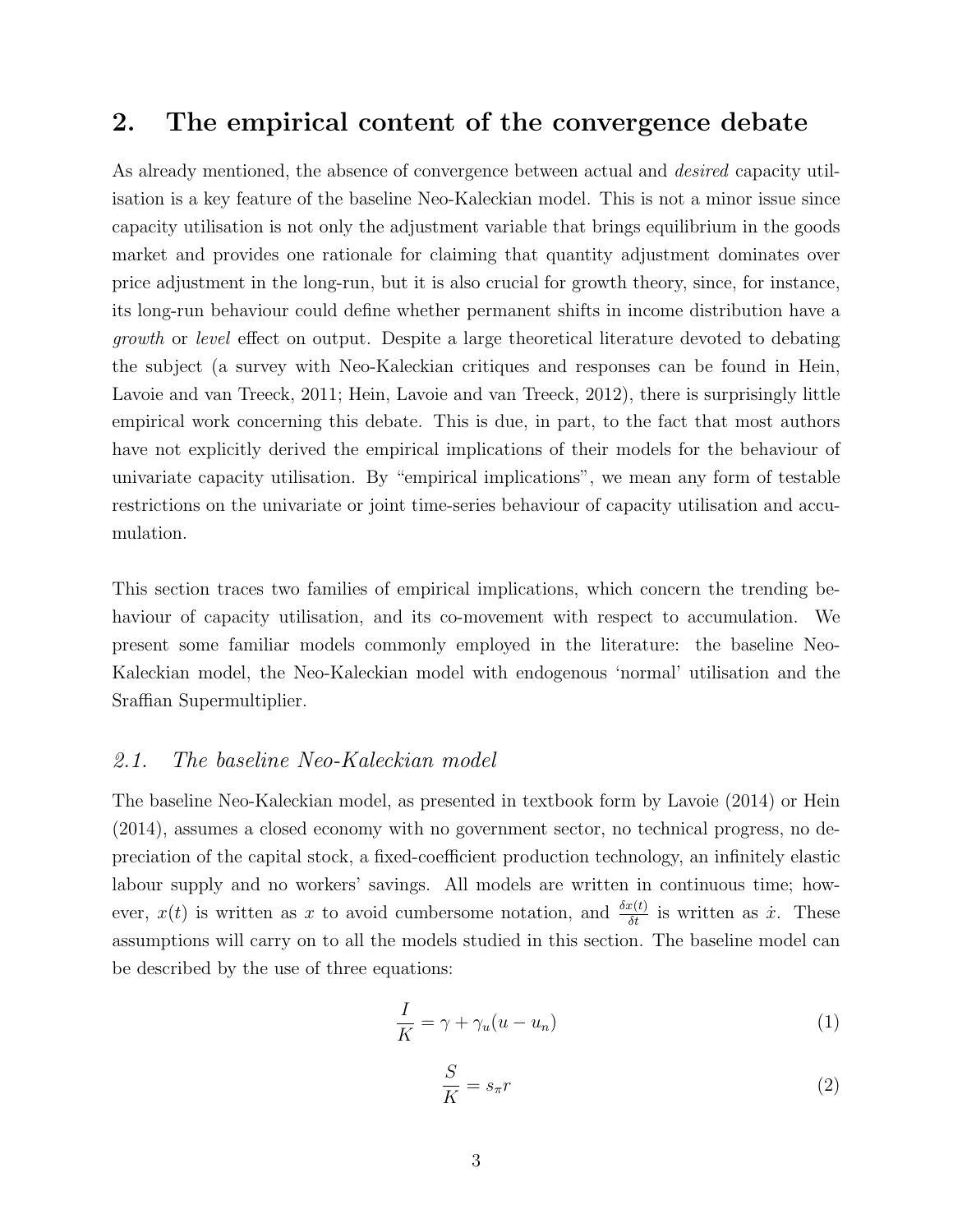## 2. The empirical content of the convergence debate

As already mentioned, the absence of convergence between actual and *desired* capacity utilisation is a key feature of the baseline Neo-Kaleckian model. This is not a minor issue since capacity utilisation is not only the adjustment variable that brings equilibrium in the goods market and provides one rationale for claiming that quantity adjustment dominates over price adjustment in the long-run, but it is also crucial for growth theory, since, for instance, its long-run behaviour could define whether permanent shifts in income distribution have a growth or level effect on output. Despite a large theoretical literature devoted to debating the subject (a survey with Neo-Kaleckian critiques and responses can be found in Hein, Lavoie and van Treeck, 2011; Hein, Lavoie and van Treeck, 2012), there is surprisingly little empirical work concerning this debate. This is due, in part, to the fact that most authors have not explicitly derived the empirical implications of their models for the behaviour of univariate capacity utilisation. By "empirical implications", we mean any form of testable restrictions on the univariate or joint time-series behaviour of capacity utilisation and accumulation.

This section traces two families of empirical implications, which concern the trending behaviour of capacity utilisation, and its co-movement with respect to accumulation. We present some familiar models commonly employed in the literature: the baseline Neo-Kaleckian model, the Neo-Kaleckian model with endogenous 'normal' utilisation and the Sraffian Supermultiplier.

### 2.1. The baseline Neo-Kaleckian model

The baseline Neo-Kaleckian model, as presented in textbook form by Lavoie (2014) or Hein (2014), assumes a closed economy with no government sector, no technical progress, no depreciation of the capital stock, a fixed-coefficient production technology, an infinitely elastic labour supply and no workers' savings. All models are written in continuous time; however,  $x(t)$  is written as x to avoid cumbersome notation, and  $\frac{\delta x(t)}{\delta t}$  is written as  $\dot{x}$ . These assumptions will carry on to all the models studied in this section. The baseline model can be described by the use of three equations:

$$
\frac{I}{K} = \gamma + \gamma_u (u - u_n) \tag{1}
$$

$$
\frac{S}{K} = s_{\pi}r\tag{2}
$$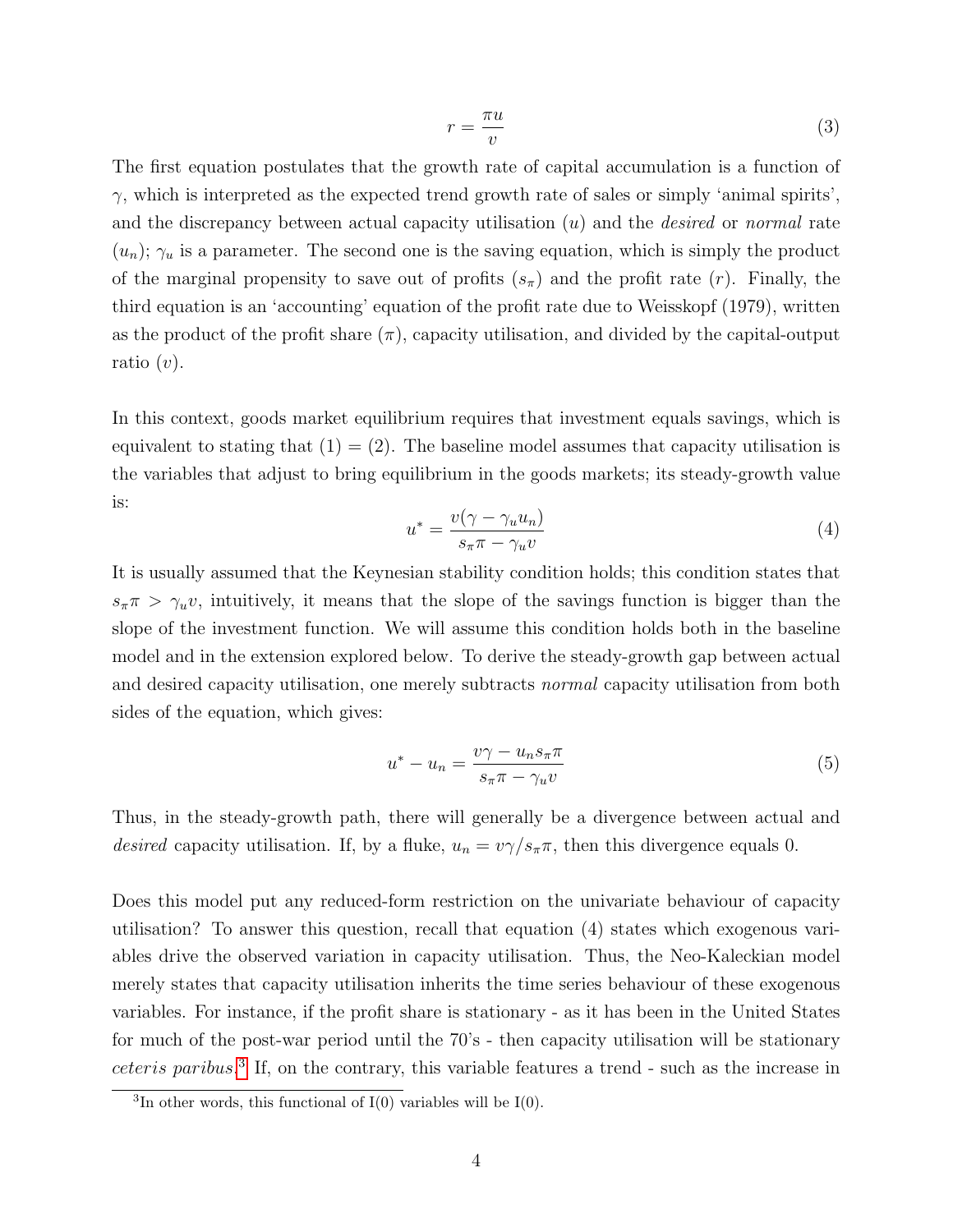$$
r = \frac{\pi u}{v} \tag{3}
$$

The first equation postulates that the growth rate of capital accumulation is a function of  $\gamma$ , which is interpreted as the expected trend growth rate of sales or simply 'animal spirits', and the discrepancy between actual capacity utilisation  $(u)$  and the *desired* or *normal* rate  $(u_n)$ ;  $\gamma_u$  is a parameter. The second one is the saving equation, which is simply the product of the marginal propensity to save out of profits  $(s_\pi)$  and the profit rate  $(r)$ . Finally, the third equation is an 'accounting' equation of the profit rate due to Weisskopf (1979), written as the product of the profit share  $(\pi)$ , capacity utilisation, and divided by the capital-output ratio  $(v)$ .

In this context, goods market equilibrium requires that investment equals savings, which is equivalent to stating that  $(1) = (2)$ . The baseline model assumes that capacity utilisation is the variables that adjust to bring equilibrium in the goods markets; its steady-growth value is:

$$
u^* = \frac{v(\gamma - \gamma_u u_n)}{s_\pi \pi - \gamma_u v} \tag{4}
$$

It is usually assumed that the Keynesian stability condition holds; this condition states that  $s_{\pi}\pi > \gamma_u v$ , intuitively, it means that the slope of the savings function is bigger than the slope of the investment function. We will assume this condition holds both in the baseline model and in the extension explored below. To derive the steady-growth gap between actual and desired capacity utilisation, one merely subtracts normal capacity utilisation from both sides of the equation, which gives:

$$
u^* - u_n = \frac{v\gamma - u_n s_\pi \pi}{s_\pi \pi - \gamma_u v} \tag{5}
$$

Thus, in the steady-growth path, there will generally be a divergence between actual and desired capacity utilisation. If, by a fluke,  $u_n = v \gamma / s_\pi \pi$ , then this divergence equals 0.

Does this model put any reduced-form restriction on the univariate behaviour of capacity utilisation? To answer this question, recall that equation (4) states which exogenous variables drive the observed variation in capacity utilisation. Thus, the Neo-Kaleckian model merely states that capacity utilisation inherits the time series behaviour of these exogenous variables. For instance, if the profit share is stationary - as it has been in the United States for much of the post-war period until the 70's - then capacity utilisation will be stationary ceteris paribus. [3](#page-5-0) If, on the contrary, this variable features a trend - such as the increase in

<span id="page-5-0"></span><sup>&</sup>lt;sup>3</sup>In other words, this functional of  $I(0)$  variables will be  $I(0)$ .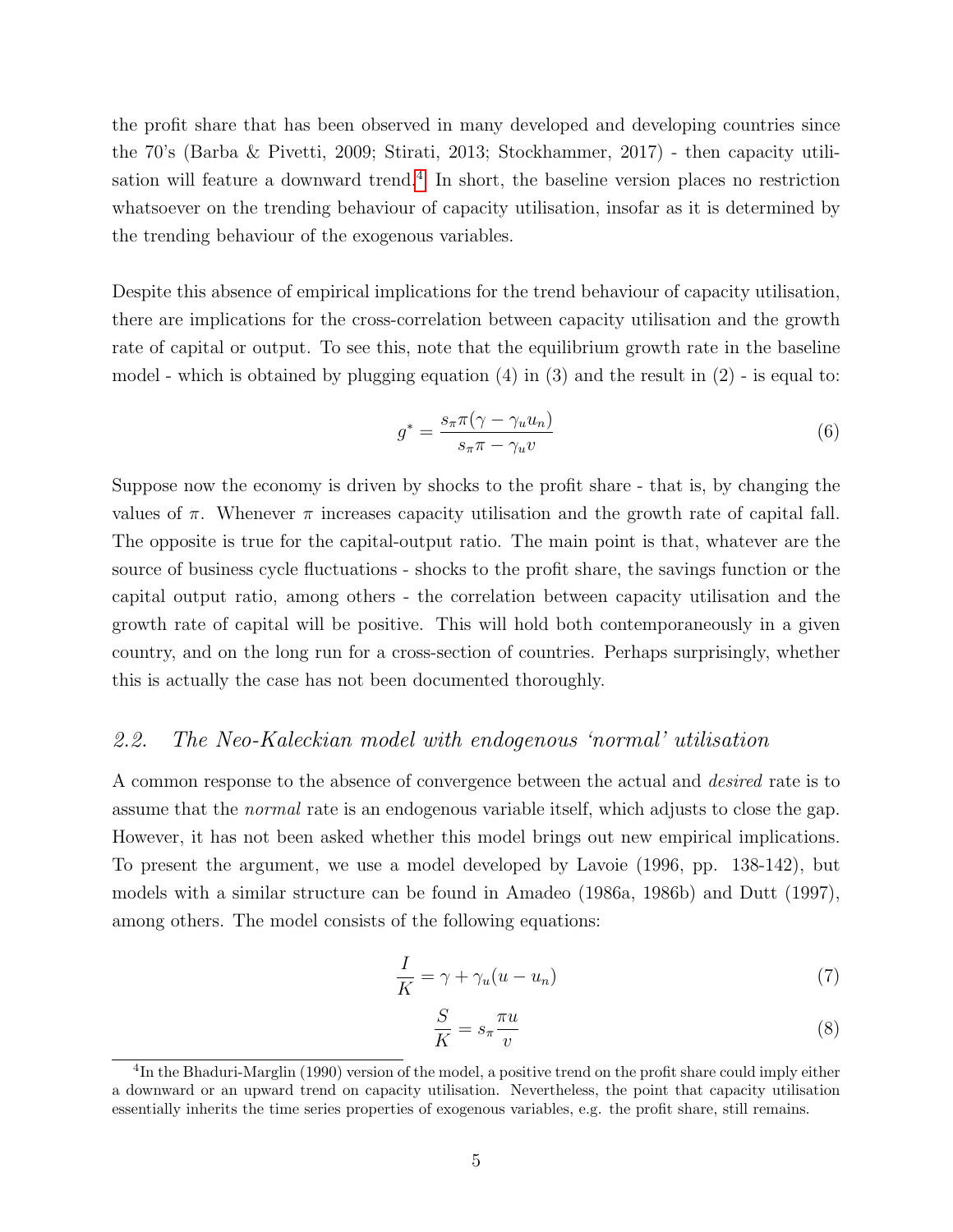the profit share that has been observed in many developed and developing countries since the 70's (Barba & Pivetti, 2009; Stirati, 2013; Stockhammer, 2017) - then capacity utili-sation will feature a downward trend.<sup>[4](#page-6-0)</sup> In short, the baseline version places no restriction whatsoever on the trending behaviour of capacity utilisation, insofar as it is determined by the trending behaviour of the exogenous variables.

Despite this absence of empirical implications for the trend behaviour of capacity utilisation, there are implications for the cross-correlation between capacity utilisation and the growth rate of capital or output. To see this, note that the equilibrium growth rate in the baseline model - which is obtained by plugging equation  $(4)$  in  $(3)$  and the result in  $(2)$  - is equal to:

$$
g^* = \frac{s_\pi \pi (\gamma - \gamma_u u_n)}{s_\pi \pi - \gamma_u v} \tag{6}
$$

Suppose now the economy is driven by shocks to the profit share - that is, by changing the values of  $\pi$ . Whenever  $\pi$  increases capacity utilisation and the growth rate of capital fall. The opposite is true for the capital-output ratio. The main point is that, whatever are the source of business cycle fluctuations - shocks to the profit share, the savings function or the capital output ratio, among others - the correlation between capacity utilisation and the growth rate of capital will be positive. This will hold both contemporaneously in a given country, and on the long run for a cross-section of countries. Perhaps surprisingly, whether this is actually the case has not been documented thoroughly.

### 2.2. The Neo-Kaleckian model with endogenous 'normal' utilisation

A common response to the absence of convergence between the actual and desired rate is to assume that the normal rate is an endogenous variable itself, which adjusts to close the gap. However, it has not been asked whether this model brings out new empirical implications. To present the argument, we use a model developed by Lavoie (1996, pp. 138-142), but models with a similar structure can be found in Amadeo (1986a, 1986b) and Dutt (1997), among others. The model consists of the following equations:

$$
\frac{I}{K} = \gamma + \gamma_u (u - u_n) \tag{7}
$$

$$
\frac{S}{K} = s_{\pi} \frac{\pi u}{v} \tag{8}
$$

<span id="page-6-0"></span><sup>&</sup>lt;sup>4</sup>In the Bhaduri-Marglin (1990) version of the model, a positive trend on the profit share could imply either a downward or an upward trend on capacity utilisation. Nevertheless, the point that capacity utilisation essentially inherits the time series properties of exogenous variables, e.g. the profit share, still remains.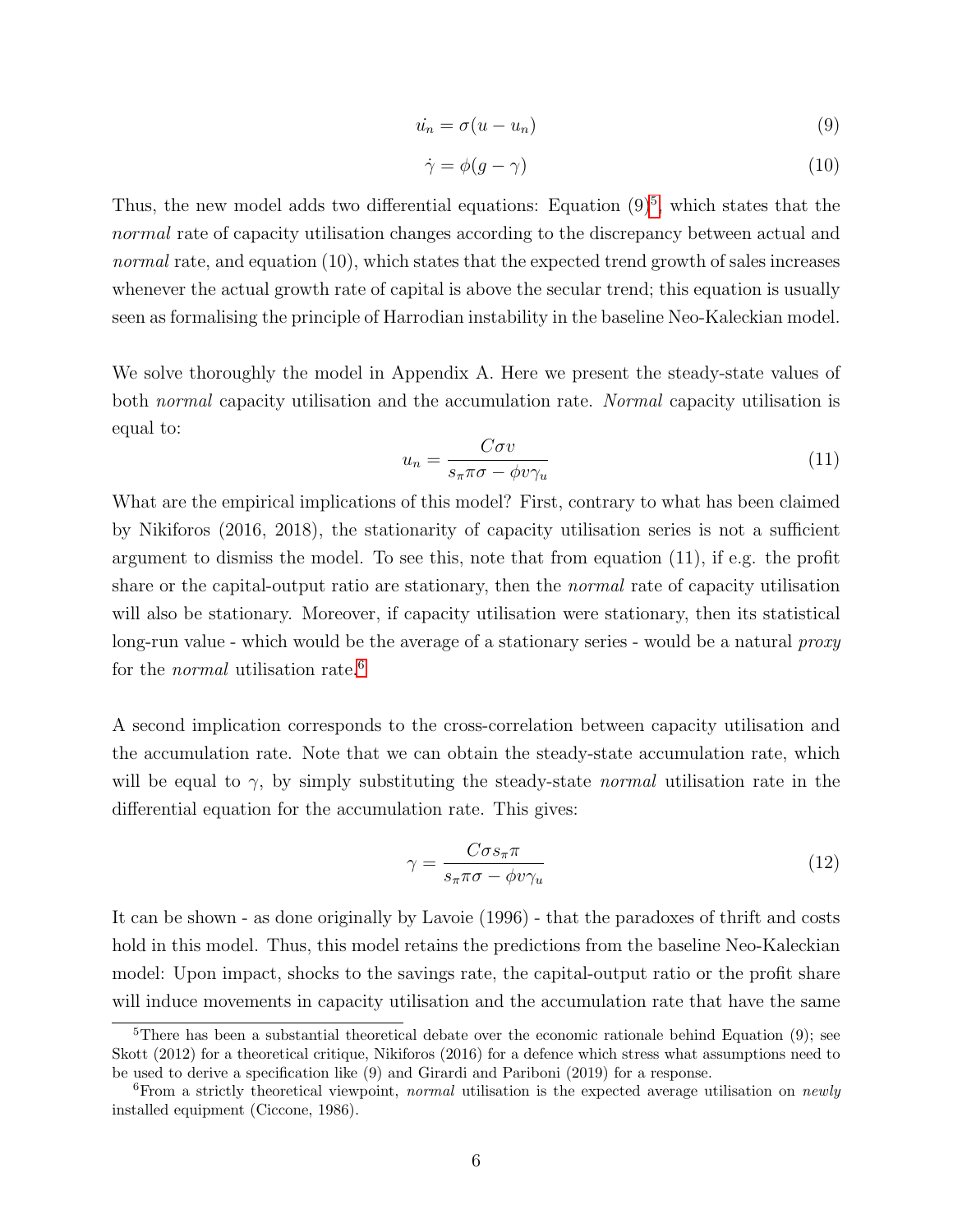$$
\dot{u}_n = \sigma(u - u_n) \tag{9}
$$

$$
\dot{\gamma} = \phi(g - \gamma) \tag{10}
$$

Thus, the new model adds two differential equations: Equation  $(9)^5$  $(9)^5$ , which states that the normal rate of capacity utilisation changes according to the discrepancy between actual and normal rate, and equation (10), which states that the expected trend growth of sales increases whenever the actual growth rate of capital is above the secular trend; this equation is usually seen as formalising the principle of Harrodian instability in the baseline Neo-Kaleckian model.

We solve thoroughly the model in Appendix A. Here we present the steady-state values of both *normal* capacity utilisation and the accumulation rate. *Normal* capacity utilisation is equal to:

$$
u_n = \frac{C\sigma v}{s_\pi \pi \sigma - \phi v \gamma_u} \tag{11}
$$

What are the empirical implications of this model? First, contrary to what has been claimed by Nikiforos (2016, 2018), the stationarity of capacity utilisation series is not a sufficient argument to dismiss the model. To see this, note that from equation (11), if e.g. the profit share or the capital-output ratio are stationary, then the normal rate of capacity utilisation will also be stationary. Moreover, if capacity utilisation were stationary, then its statistical long-run value - which would be the average of a stationary series - would be a natural *proxy* for the *normal* utilisation rate.<sup>[6](#page-7-1)</sup>

A second implication corresponds to the cross-correlation between capacity utilisation and the accumulation rate. Note that we can obtain the steady-state accumulation rate, which will be equal to  $\gamma$ , by simply substituting the steady-state *normal* utilisation rate in the differential equation for the accumulation rate. This gives:

$$
\gamma = \frac{C\sigma s_{\pi}\pi}{s_{\pi}\pi\sigma - \phi v\gamma_u} \tag{12}
$$

It can be shown - as done originally by Lavoie (1996) - that the paradoxes of thrift and costs hold in this model. Thus, this model retains the predictions from the baseline Neo-Kaleckian model: Upon impact, shocks to the savings rate, the capital-output ratio or the profit share will induce movements in capacity utilisation and the accumulation rate that have the same

<span id="page-7-0"></span><sup>&</sup>lt;sup>5</sup>There has been a substantial theoretical debate over the economic rationale behind Equation  $(9)$ ; see Skott (2012) for a theoretical critique, Nikiforos (2016) for a defence which stress what assumptions need to be used to derive a specification like (9) and Girardi and Pariboni (2019) for a response.

<span id="page-7-1"></span><sup>&</sup>lt;sup>6</sup>From a strictly theoretical viewpoint, normal utilisation is the expected average utilisation on newly installed equipment (Ciccone, 1986).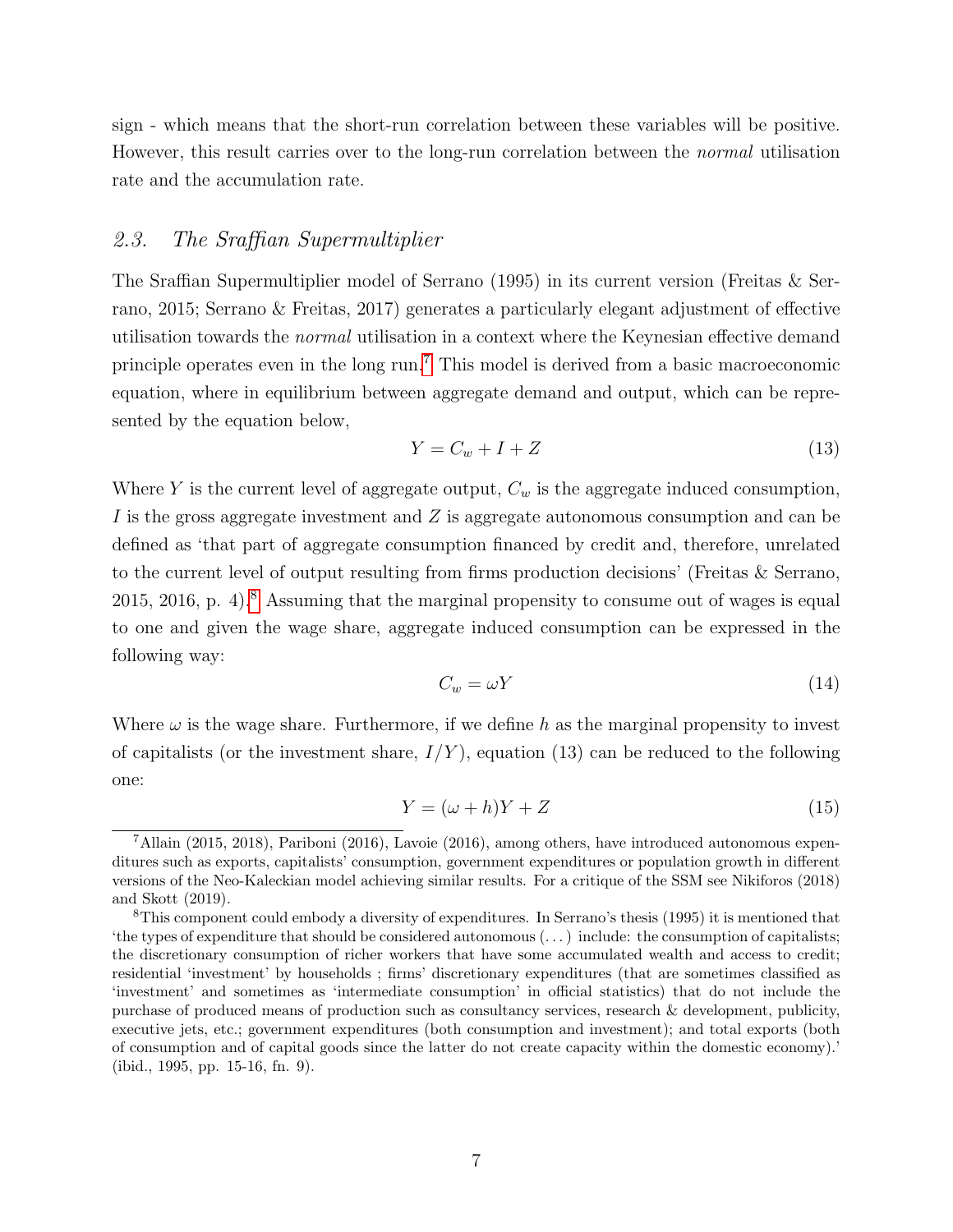sign - which means that the short-run correlation between these variables will be positive. However, this result carries over to the long-run correlation between the normal utilisation rate and the accumulation rate.

### 2.3. The Sraffian Supermultiplier

The Sraffian Supermultiplier model of Serrano (1995) in its current version (Freitas & Serrano, 2015; Serrano & Freitas, 2017) generates a particularly elegant adjustment of effective utilisation towards the normal utilisation in a context where the Keynesian effective demand principle operates even in the long run.[7](#page-8-0) This model is derived from a basic macroeconomic equation, where in equilibrium between aggregate demand and output, which can be represented by the equation below,

$$
Y = C_w + I + Z \tag{13}
$$

Where Y is the current level of aggregate output,  $C_w$  is the aggregate induced consumption, I is the gross aggregate investment and Z is aggregate autonomous consumption and can be defined as 'that part of aggregate consumption financed by credit and, therefore, unrelated to the current level of output resulting from firms production decisions' (Freitas & Serrano, 2015, 2016, p. 4).<sup>[8](#page-8-1)</sup> Assuming that the marginal propensity to consume out of wages is equal to one and given the wage share, aggregate induced consumption can be expressed in the following way:

$$
C_w = \omega Y \tag{14}
$$

Where  $\omega$  is the wage share. Furthermore, if we define h as the marginal propensity to invest of capitalists (or the investment share,  $I/Y$ ), equation (13) can be reduced to the following one:

$$
Y = (\omega + h)Y + Z \tag{15}
$$

<span id="page-8-0"></span><sup>7</sup>Allain (2015, 2018), Pariboni (2016), Lavoie (2016), among others, have introduced autonomous expenditures such as exports, capitalists' consumption, government expenditures or population growth in different versions of the Neo-Kaleckian model achieving similar results. For a critique of the SSM see Nikiforos (2018) and Skott (2019).

<span id="page-8-1"></span><sup>8</sup>This component could embody a diversity of expenditures. In Serrano's thesis (1995) it is mentioned that 'the types of expenditure that should be considered autonomous (. . . ) include: the consumption of capitalists; the discretionary consumption of richer workers that have some accumulated wealth and access to credit; residential 'investment' by households ; firms' discretionary expenditures (that are sometimes classified as 'investment' and sometimes as 'intermediate consumption' in official statistics) that do not include the purchase of produced means of production such as consultancy services, research & development, publicity, executive jets, etc.; government expenditures (both consumption and investment); and total exports (both of consumption and of capital goods since the latter do not create capacity within the domestic economy).' (ibid., 1995, pp. 15-16, fn. 9).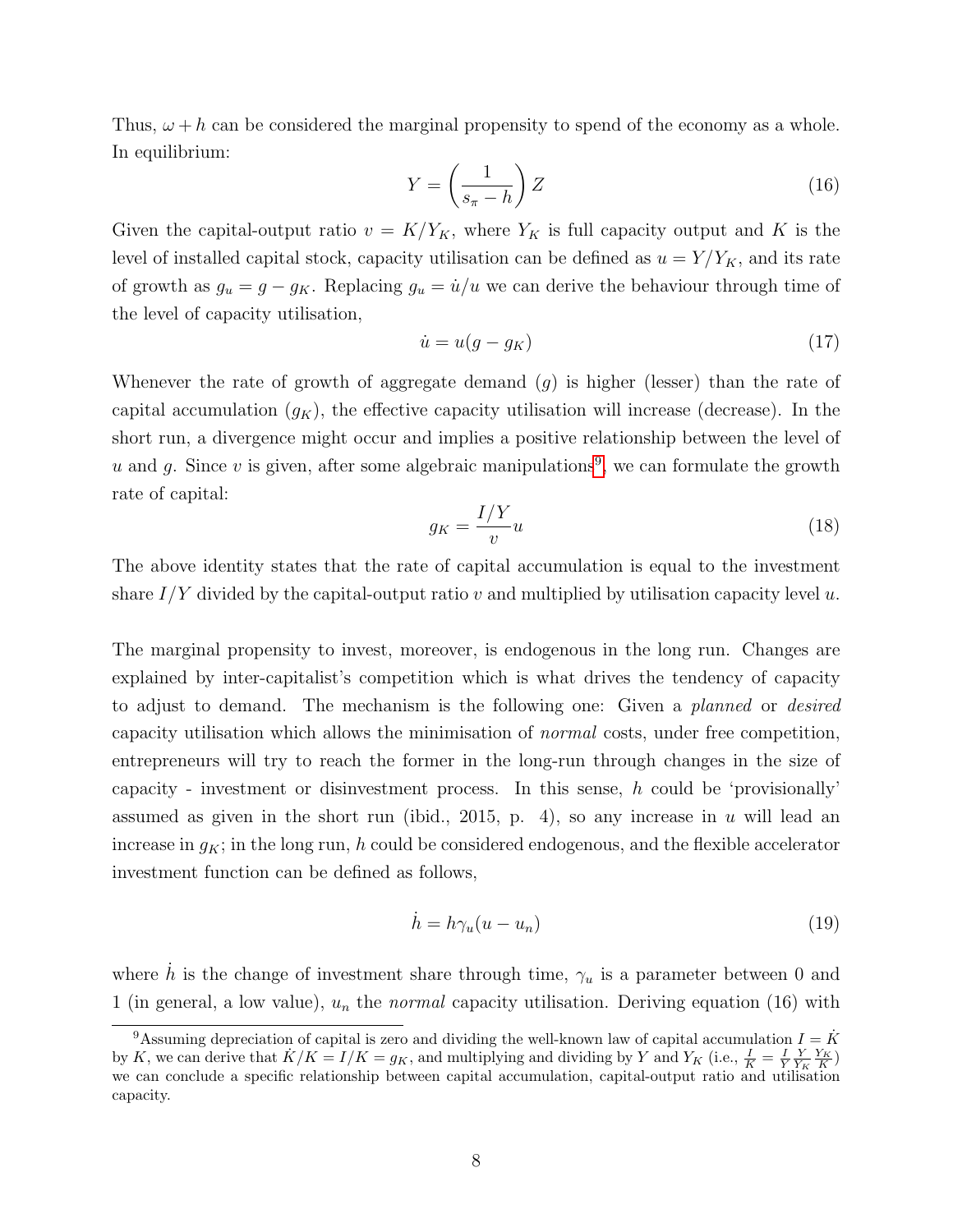Thus,  $\omega + h$  can be considered the marginal propensity to spend of the economy as a whole. In equilibrium:

$$
Y = \left(\frac{1}{s_{\pi} - h}\right)Z\tag{16}
$$

Given the capital-output ratio  $v = K/Y_K$ , where  $Y_K$  is full capacity output and K is the level of installed capital stock, capacity utilisation can be defined as  $u = Y/Y_K$ , and its rate of growth as  $g_u = g - g_K$ . Replacing  $g_u = \dot{u}/u$  we can derive the behaviour through time of the level of capacity utilisation,

$$
\dot{u} = u(g - g_K) \tag{17}
$$

Whenever the rate of growth of aggregate demand  $(g)$  is higher (lesser) than the rate of capital accumulation  $(g_K)$ , the effective capacity utilisation will increase (decrease). In the short run, a divergence might occur and implies a positive relationship between the level of u and g. Since v is given, after some algebraic manipulations<sup>[9](#page-9-0)</sup>, we can formulate the growth rate of capital:

$$
g_K = \frac{I/Y}{v}u\tag{18}
$$

The above identity states that the rate of capital accumulation is equal to the investment share  $I/Y$  divided by the capital-output ratio v and multiplied by utilisation capacity level u.

The marginal propensity to invest, moreover, is endogenous in the long run. Changes are explained by inter-capitalist's competition which is what drives the tendency of capacity to adjust to demand. The mechanism is the following one: Given a planned or desired capacity utilisation which allows the minimisation of normal costs, under free competition, entrepreneurs will try to reach the former in the long-run through changes in the size of capacity - investment or disinvestment process. In this sense,  $h$  could be 'provisionally' assumed as given in the short run (ibid., 2015, p. 4), so any increase in u will lead an increase in  $g_K$ ; in the long run, h could be considered endogenous, and the flexible accelerator investment function can be defined as follows,

$$
\dot{h} = h\gamma_u(u - u_n) \tag{19}
$$

where  $\dot{h}$  is the change of investment share through time,  $\gamma_u$  is a parameter between 0 and 1 (in general, a low value),  $u_n$  the *normal* capacity utilisation. Deriving equation (16) with

<span id="page-9-0"></span><sup>&</sup>lt;sup>9</sup>Assuming depreciation of capital is zero and dividing the well-known law of capital accumulation  $I = K$ by K, we can derive that  $K/K = I/K = g_K$ , and multiplying and dividing by Y and  $Y_K$  (i.e.,  $\frac{I}{K} = \frac{I}{Y} \frac{Y_K}{Y_K} \frac{Y_K}{K}$ ) we can conclude a specific relationship between capital accumulation, capital-output ratio and utilisation capacity.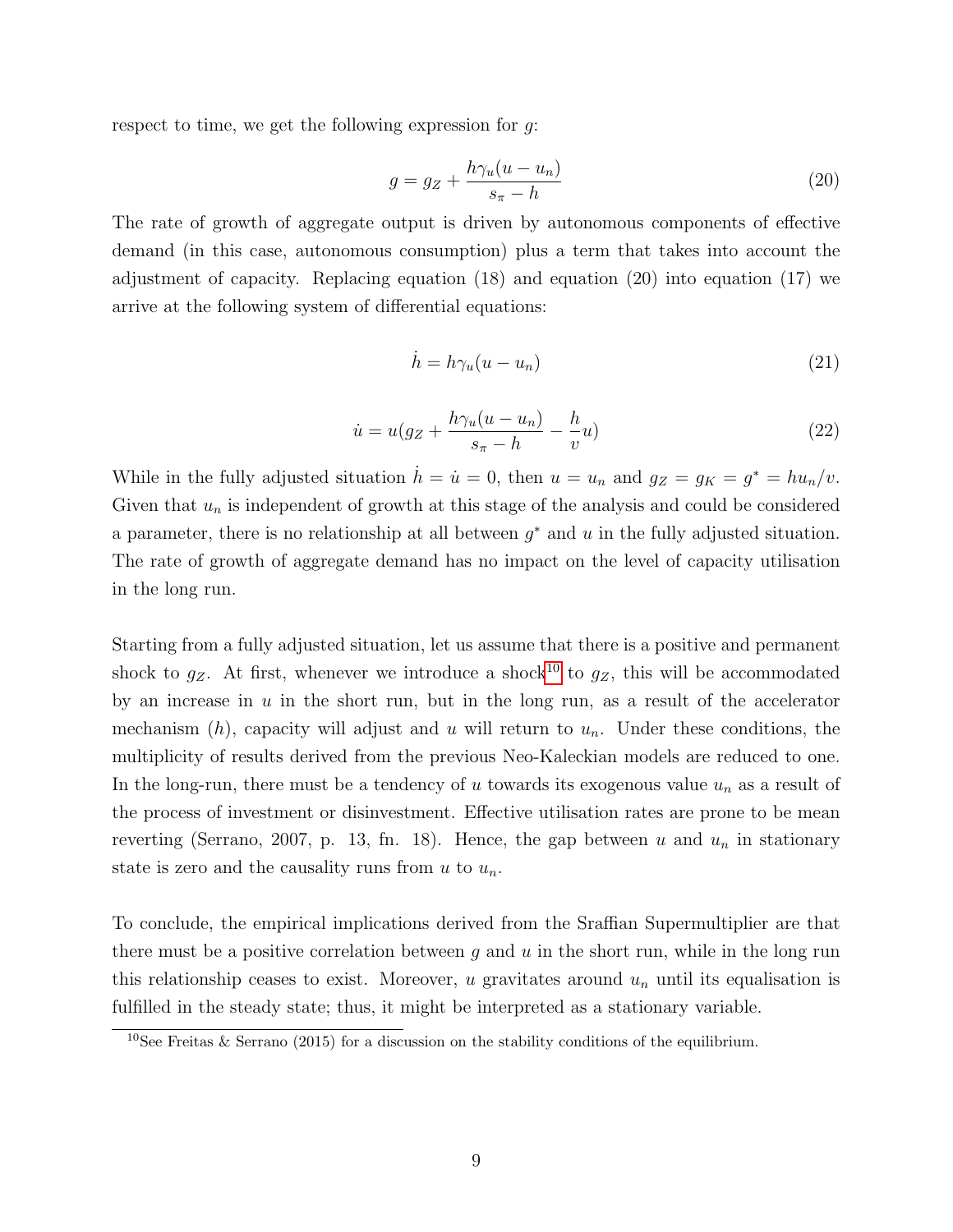respect to time, we get the following expression for  $g$ :

$$
g = g_Z + \frac{h\gamma_u(u - u_n)}{s_\pi - h} \tag{20}
$$

The rate of growth of aggregate output is driven by autonomous components of effective demand (in this case, autonomous consumption) plus a term that takes into account the adjustment of capacity. Replacing equation (18) and equation (20) into equation (17) we arrive at the following system of differential equations:

$$
\dot{h} = h\gamma_u(u - u_n) \tag{21}
$$

$$
\dot{u} = u(g_Z + \frac{h\gamma_u(u - u_n)}{s_\pi - h} - \frac{h}{v}u)
$$
\n
$$
(22)
$$

While in the fully adjusted situation  $\dot{h} = \dot{u} = 0$ , then  $u = u_n$  and  $g_Z = g_K = g^* = hu_n/v$ . Given that  $u_n$  is independent of growth at this stage of the analysis and could be considered a parameter, there is no relationship at all between  $g^*$  and  $u$  in the fully adjusted situation. The rate of growth of aggregate demand has no impact on the level of capacity utilisation in the long run.

Starting from a fully adjusted situation, let us assume that there is a positive and permanent shock to  $g_Z$ . At first, whenever we introduce a shock<sup>[10](#page-10-0)</sup> to  $g_Z$ , this will be accommodated by an increase in  $u$  in the short run, but in the long run, as a result of the accelerator mechanism  $(h)$ , capacity will adjust and u will return to  $u_n$ . Under these conditions, the multiplicity of results derived from the previous Neo-Kaleckian models are reduced to one. In the long-run, there must be a tendency of u towards its exogenous value  $u_n$  as a result of the process of investment or disinvestment. Effective utilisation rates are prone to be mean reverting (Serrano, 2007, p. 13, fn. 18). Hence, the gap between u and  $u_n$  in stationary state is zero and the causality runs from u to  $u_n$ .

To conclude, the empirical implications derived from the Sraffian Supermultiplier are that there must be a positive correlation between  $g$  and  $u$  in the short run, while in the long run this relationship ceases to exist. Moreover, u gravitates around  $u_n$  until its equalisation is fulfilled in the steady state; thus, it might be interpreted as a stationary variable.

<span id="page-10-0"></span><sup>&</sup>lt;sup>10</sup>See Freitas & Serrano (2015) for a discussion on the stability conditions of the equilibrium.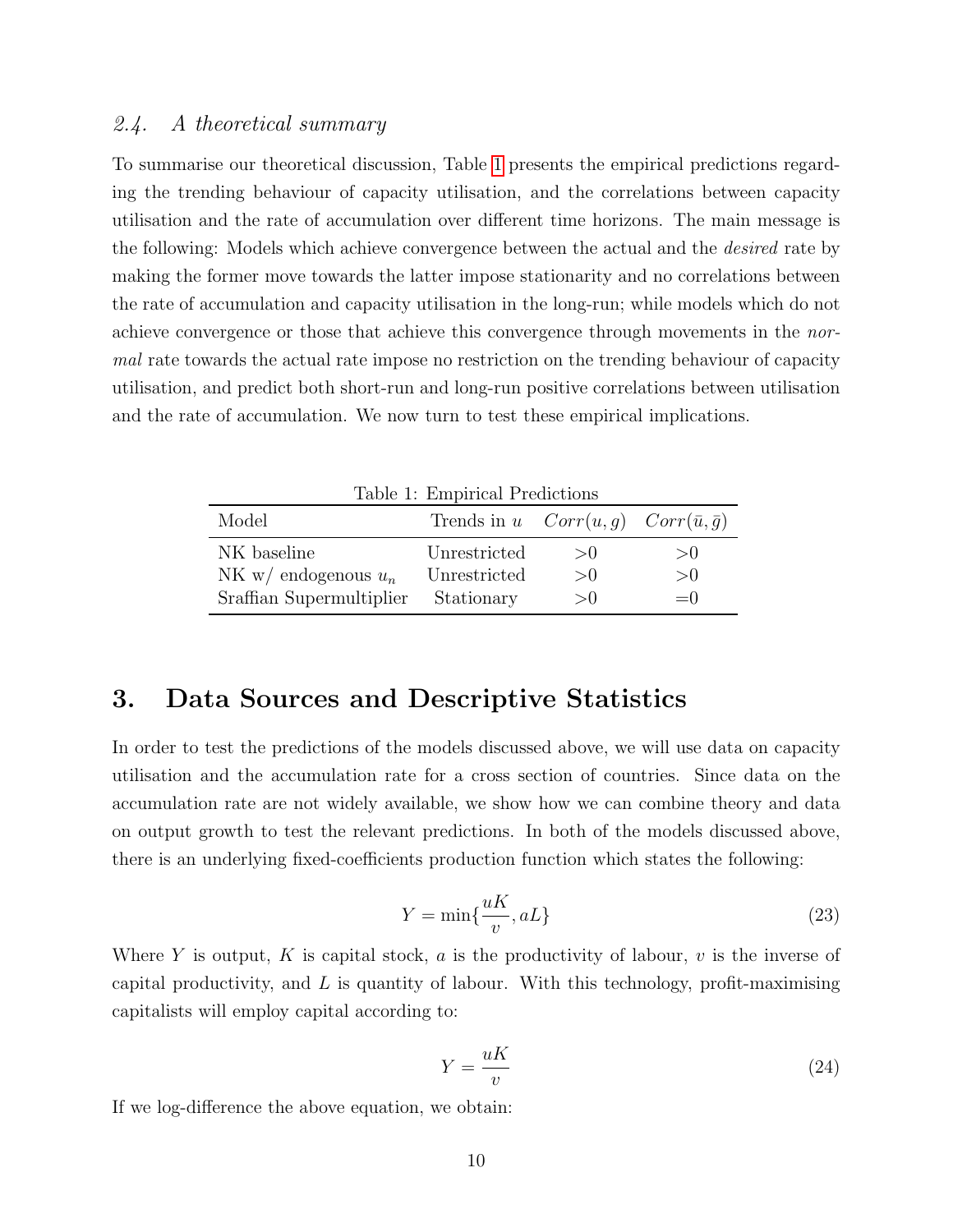### 2.4. A theoretical summary

To summarise our theoretical discussion, Table [1](#page-11-0) presents the empirical predictions regarding the trending behaviour of capacity utilisation, and the correlations between capacity utilisation and the rate of accumulation over different time horizons. The main message is the following: Models which achieve convergence between the actual and the desired rate by making the former move towards the latter impose stationarity and no correlations between the rate of accumulation and capacity utilisation in the long-run; while models which do not achieve convergence or those that achieve this convergence through movements in the normal rate towards the actual rate impose no restriction on the trending behaviour of capacity utilisation, and predict both short-run and long-run positive correlations between utilisation and the rate of accumulation. We now turn to test these empirical implications.

<span id="page-11-0"></span>

| Table 1: Empirical Predictions |                                                   |     |        |  |  |  |  |  |
|--------------------------------|---------------------------------------------------|-----|--------|--|--|--|--|--|
| Model                          | Trends in u $Corr(u, g)$ $Corr(\bar{u}, \bar{g})$ |     |        |  |  |  |  |  |
| NK baseline                    | Unrestricted                                      | >() | >()    |  |  |  |  |  |
| NK w/ endogenous $u_n$         | Unrestricted                                      | >() | >0     |  |  |  |  |  |
| Sraffian Supermultiplier       | Stationary                                        | >() | $=$ () |  |  |  |  |  |

# 3. Data Sources and Descriptive Statistics

In order to test the predictions of the models discussed above, we will use data on capacity utilisation and the accumulation rate for a cross section of countries. Since data on the accumulation rate are not widely available, we show how we can combine theory and data on output growth to test the relevant predictions. In both of the models discussed above, there is an underlying fixed-coefficients production function which states the following:

$$
Y = \min\{\frac{uK}{v}, aL\}
$$
\n(23)

Where Y is output, K is capital stock, a is the productivity of labour, v is the inverse of capital productivity, and  $L$  is quantity of labour. With this technology, profit-maximising capitalists will employ capital according to:

$$
Y = \frac{uK}{v} \tag{24}
$$

If we log-difference the above equation, we obtain: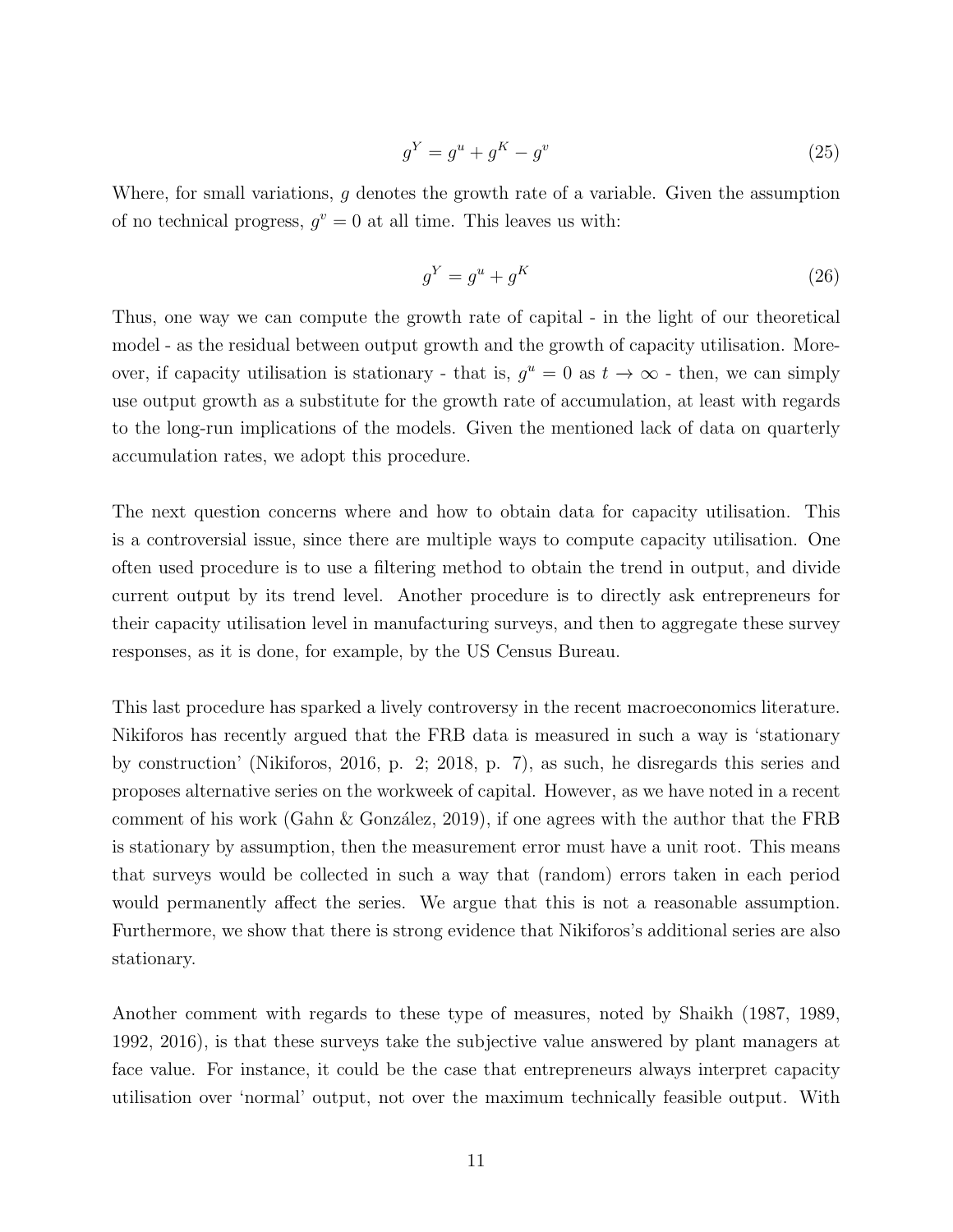$$
g^Y = g^u + g^K - g^v \tag{25}
$$

Where, for small variations, g denotes the growth rate of a variable. Given the assumption of no technical progress,  $g^v = 0$  at all time. This leaves us with:

$$
g^Y = g^u + g^K \tag{26}
$$

Thus, one way we can compute the growth rate of capital - in the light of our theoretical model - as the residual between output growth and the growth of capacity utilisation. Moreover, if capacity utilisation is stationary - that is,  $g^u = 0$  as  $t \to \infty$  - then, we can simply use output growth as a substitute for the growth rate of accumulation, at least with regards to the long-run implications of the models. Given the mentioned lack of data on quarterly accumulation rates, we adopt this procedure.

The next question concerns where and how to obtain data for capacity utilisation. This is a controversial issue, since there are multiple ways to compute capacity utilisation. One often used procedure is to use a filtering method to obtain the trend in output, and divide current output by its trend level. Another procedure is to directly ask entrepreneurs for their capacity utilisation level in manufacturing surveys, and then to aggregate these survey responses, as it is done, for example, by the US Census Bureau.

This last procedure has sparked a lively controversy in the recent macroeconomics literature. Nikiforos has recently argued that the FRB data is measured in such a way is 'stationary by construction' (Nikiforos, 2016, p. 2; 2018, p. 7), as such, he disregards this series and proposes alternative series on the workweek of capital. However, as we have noted in a recent comment of his work (Gahn  $\&$  González, 2019), if one agrees with the author that the FRB is stationary by assumption, then the measurement error must have a unit root. This means that surveys would be collected in such a way that (random) errors taken in each period would permanently affect the series. We argue that this is not a reasonable assumption. Furthermore, we show that there is strong evidence that Nikiforos's additional series are also stationary.

Another comment with regards to these type of measures, noted by Shaikh (1987, 1989, 1992, 2016), is that these surveys take the subjective value answered by plant managers at face value. For instance, it could be the case that entrepreneurs always interpret capacity utilisation over 'normal' output, not over the maximum technically feasible output. With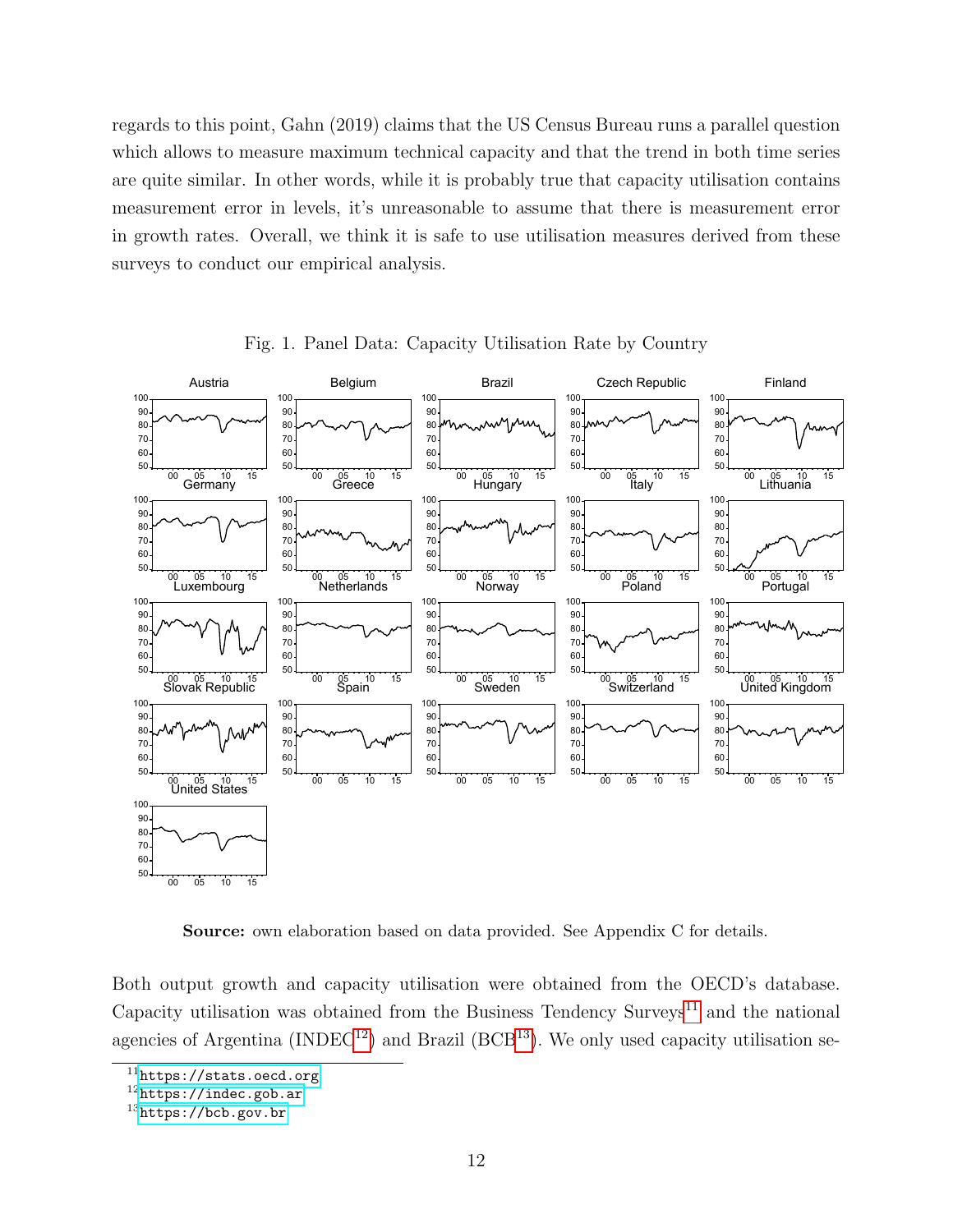regards to this point, Gahn (2019) claims that the US Census Bureau runs a parallel question which allows to measure maximum technical capacity and that the trend in both time series are quite similar. In other words, while it is probably true that capacity utilisation contains measurement error in levels, it's unreasonable to assume that there is measurement error in growth rates. Overall, we think it is safe to use utilisation measures derived from these surveys to conduct our empirical analysis.



Fig. 1. Panel Data: Capacity Utilisation Rate by Country

Source: own elaboration based on data provided. See Appendix C for details.

Both output growth and capacity utilisation were obtained from the OECD's database. Capacity utilisation was obtained from the Business Tendency Surveys<sup>[11](#page-13-0)</sup> and the national agencies of Argentina (INDEC<sup>[12](#page-13-1)</sup>) and Brazil (BCB<sup>[13](#page-13-2)</sup>). We only used capacity utilisation se-

<span id="page-13-0"></span><https://stats.oecd.org>

<span id="page-13-1"></span><https://indec.gob.ar>

<span id="page-13-2"></span><https://bcb.gov.br>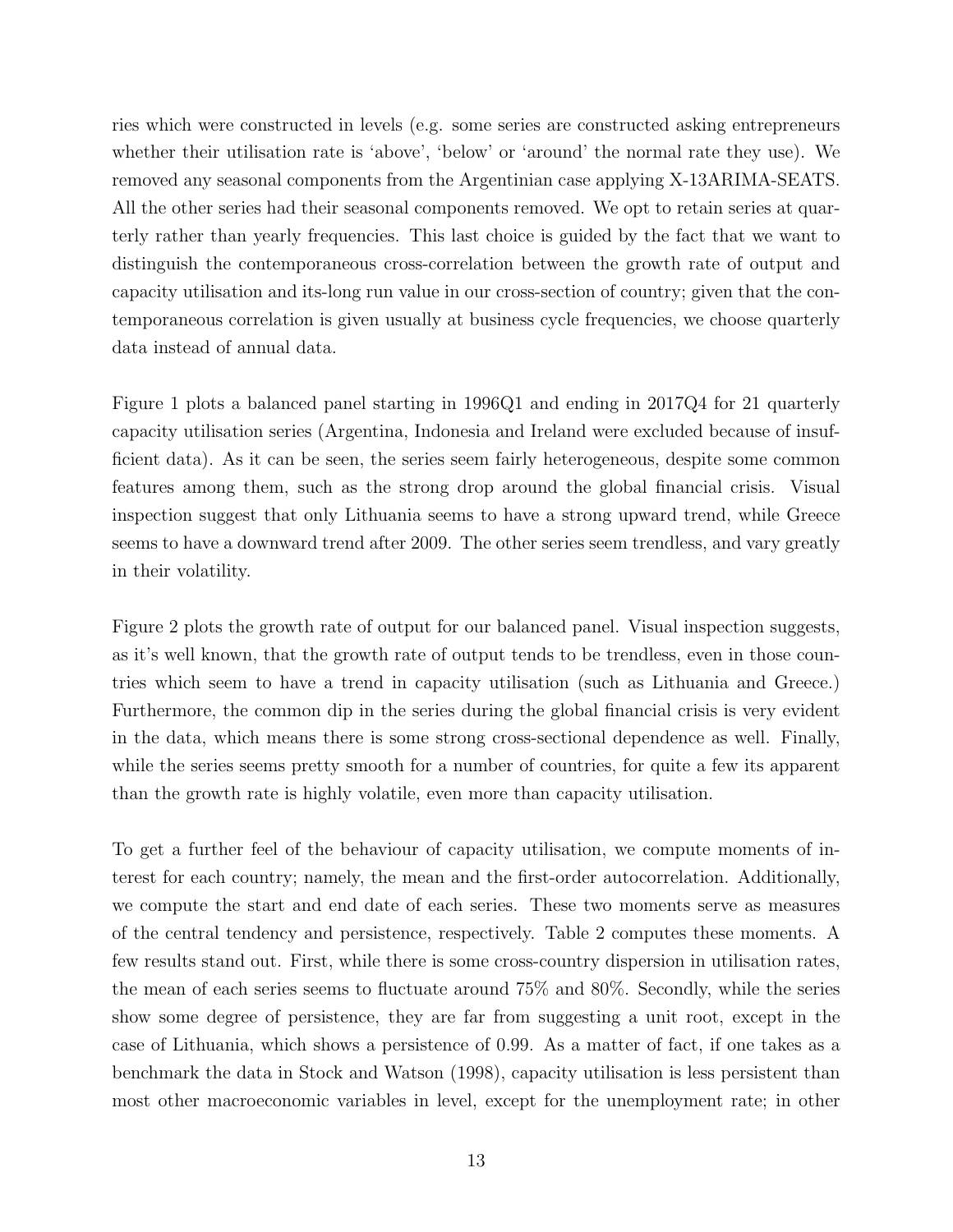ries which were constructed in levels (e.g. some series are constructed asking entrepreneurs whether their utilisation rate is 'above', 'below' or 'around' the normal rate they use). We removed any seasonal components from the Argentinian case applying X-13ARIMA-SEATS. All the other series had their seasonal components removed. We opt to retain series at quarterly rather than yearly frequencies. This last choice is guided by the fact that we want to distinguish the contemporaneous cross-correlation between the growth rate of output and capacity utilisation and its-long run value in our cross-section of country; given that the contemporaneous correlation is given usually at business cycle frequencies, we choose quarterly data instead of annual data.

Figure 1 plots a balanced panel starting in 1996Q1 and ending in 2017Q4 for 21 quarterly capacity utilisation series (Argentina, Indonesia and Ireland were excluded because of insufficient data). As it can be seen, the series seem fairly heterogeneous, despite some common features among them, such as the strong drop around the global financial crisis. Visual inspection suggest that only Lithuania seems to have a strong upward trend, while Greece seems to have a downward trend after 2009. The other series seem trendless, and vary greatly in their volatility.

Figure 2 plots the growth rate of output for our balanced panel. Visual inspection suggests, as it's well known, that the growth rate of output tends to be trendless, even in those countries which seem to have a trend in capacity utilisation (such as Lithuania and Greece.) Furthermore, the common dip in the series during the global financial crisis is very evident in the data, which means there is some strong cross-sectional dependence as well. Finally, while the series seems pretty smooth for a number of countries, for quite a few its apparent than the growth rate is highly volatile, even more than capacity utilisation.

To get a further feel of the behaviour of capacity utilisation, we compute moments of interest for each country; namely, the mean and the first-order autocorrelation. Additionally, we compute the start and end date of each series. These two moments serve as measures of the central tendency and persistence, respectively. Table 2 computes these moments. A few results stand out. First, while there is some cross-country dispersion in utilisation rates, the mean of each series seems to fluctuate around 75% and 80%. Secondly, while the series show some degree of persistence, they are far from suggesting a unit root, except in the case of Lithuania, which shows a persistence of 0.99. As a matter of fact, if one takes as a benchmark the data in Stock and Watson (1998), capacity utilisation is less persistent than most other macroeconomic variables in level, except for the unemployment rate; in other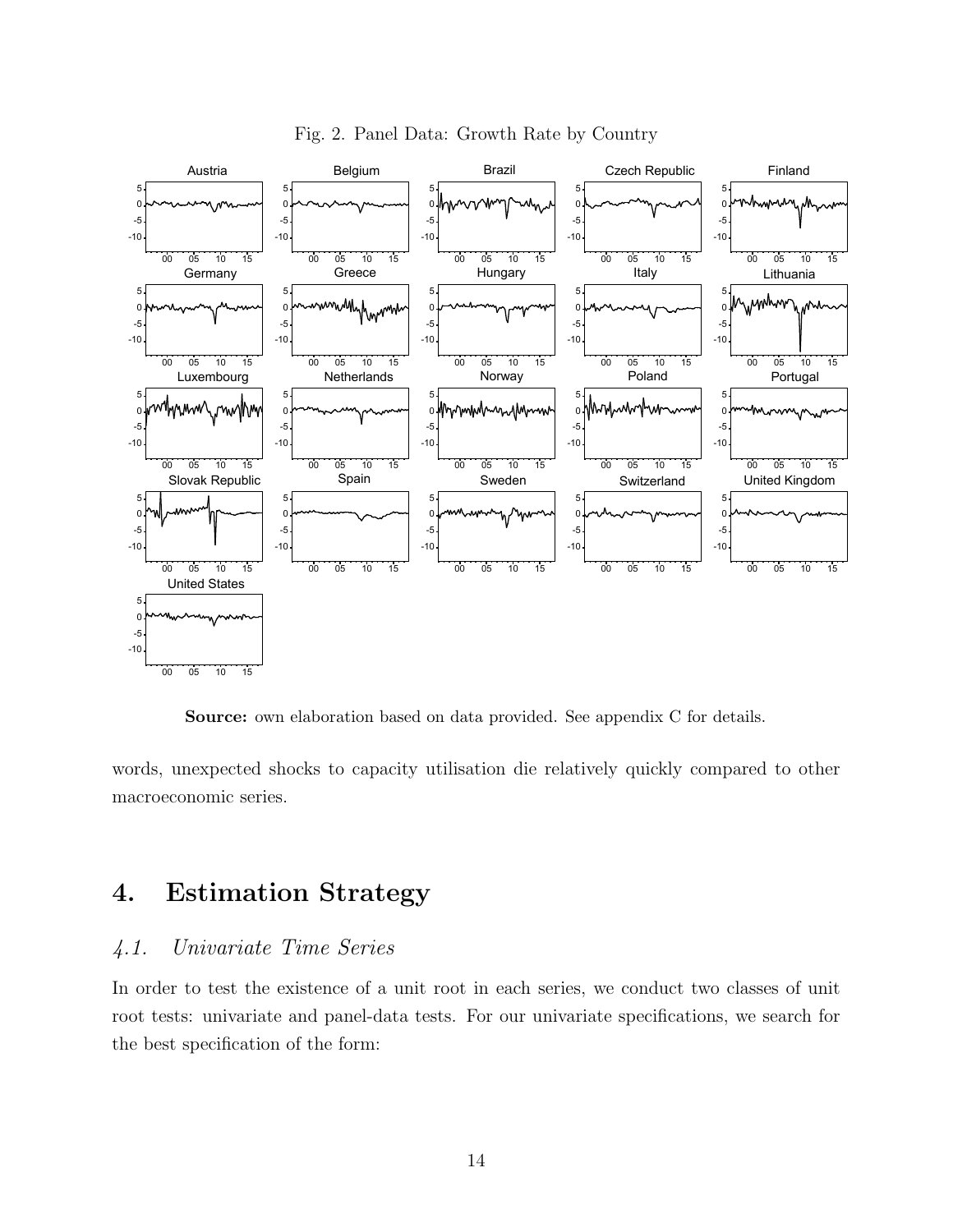

Fig. 2. Panel Data: Growth Rate by Country

Source: own elaboration based on data provided. See appendix C for details.

words, unexpected shocks to capacity utilisation die relatively quickly compared to other macroeconomic series.

# 4. Estimation Strategy

## 4.1. Univariate Time Series

In order to test the existence of a unit root in each series, we conduct two classes of unit root tests: univariate and panel-data tests. For our univariate specifications, we search for the best specification of the form: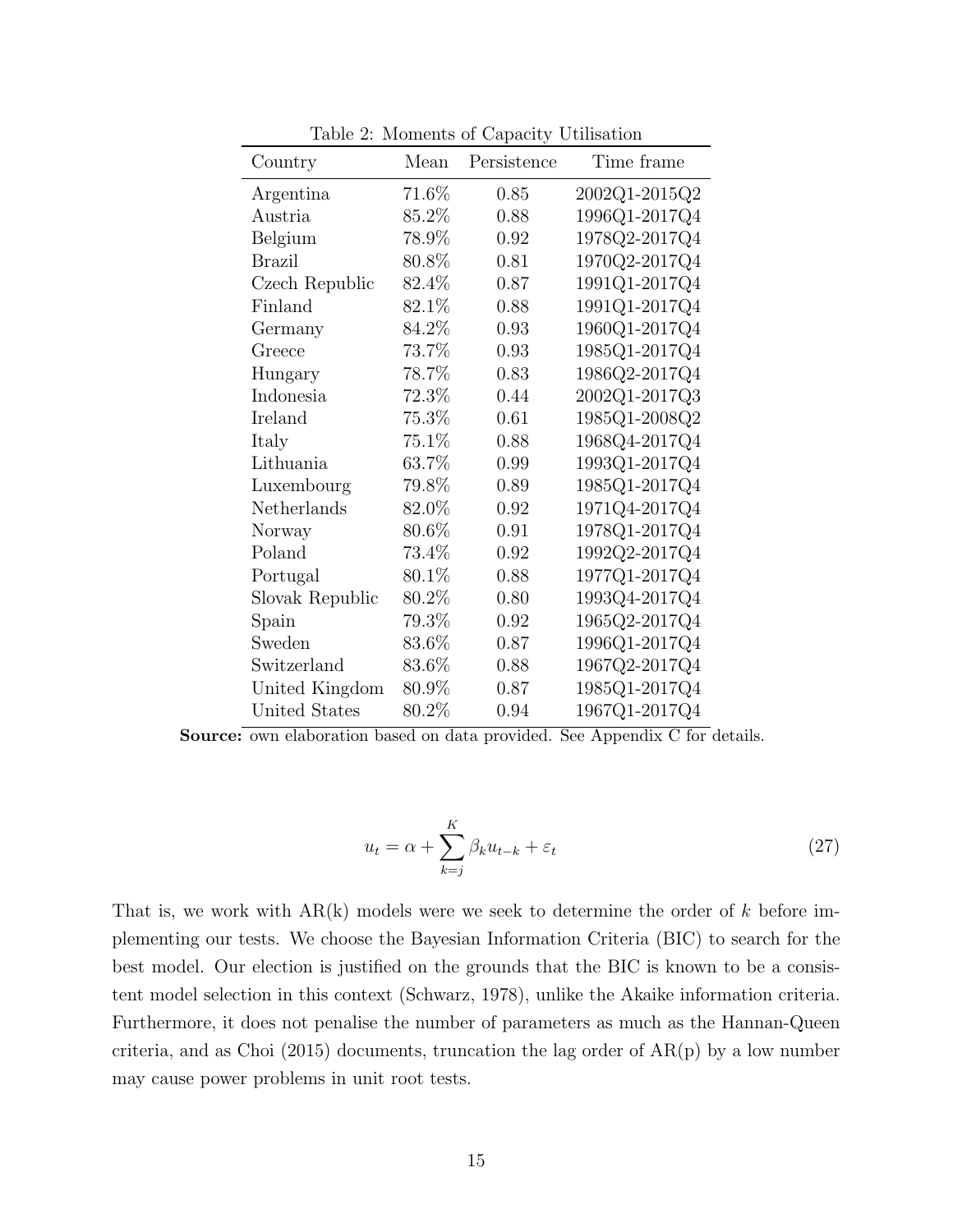| Country         | Mean     | Persistence | Time frame    |
|-----------------|----------|-------------|---------------|
| Argentina       | $71.6\%$ | 0.85        | 2002Q1-2015Q2 |
| Austria         | 85.2%    | 0.88        | 1996Q1-2017Q4 |
| Belgium         | 78.9%    | 0.92        | 1978Q2-2017Q4 |
| <b>Brazil</b>   | 80.8%    | 0.81        | 1970Q2-2017Q4 |
| Czech Republic  | 82.4%    | 0.87        | 1991Q1-2017Q4 |
| Finland         | 82.1%    | 0.88        | 1991Q1-2017Q4 |
| Germany         | 84.2%    | 0.93        | 1960Q1-2017Q4 |
| Greece          | $73.7\%$ | 0.93        | 1985Q1-2017Q4 |
| Hungary         | 78.7%    | 0.83        | 1986Q2-2017Q4 |
| Indonesia       | 72.3%    | 0.44        | 2002Q1-2017Q3 |
| Ireland         | 75.3%    | 0.61        | 1985Q1-2008Q2 |
| Italy           | 75.1%    | 0.88        | 1968Q4-2017Q4 |
| Lithuania       | 63.7%    | 0.99        | 1993Q1-2017Q4 |
| Luxembourg      | 79.8%    | 0.89        | 1985Q1-2017Q4 |
| Netherlands     | 82.0%    | 0.92        | 1971Q4-2017Q4 |
| Norway          | $80.6\%$ | 0.91        | 1978Q1-2017Q4 |
| Poland          | 73.4%    | 0.92        | 1992Q2-2017Q4 |
| Portugal        | 80.1%    | 0.88        | 1977Q1-2017Q4 |
| Slovak Republic | 80.2%    | 0.80        | 1993Q4-2017Q4 |
| Spain           | 79.3%    | 0.92        | 1965Q2-2017Q4 |
| Sweden          | 83.6%    | 0.87        | 1996Q1-2017Q4 |
| Switzerland     | $83.6\%$ | 0.88        | 1967Q2-2017Q4 |
| United Kingdom  | 80.9%    | 0.87        | 1985Q1-2017Q4 |
| United States   | 80.2%    | 0.94        | 1967Q1-2017Q4 |

Table 2: Moments of Capacity Utilisation

Source: own elaboration based on data provided. See Appendix C for details.

$$
u_t = \alpha + \sum_{k=j}^{K} \beta_k u_{t-k} + \varepsilon_t \tag{27}
$$

That is, we work with  $AR(k)$  models were we seek to determine the order of k before implementing our tests. We choose the Bayesian Information Criteria (BIC) to search for the best model. Our election is justified on the grounds that the BIC is known to be a consistent model selection in this context (Schwarz, 1978), unlike the Akaike information criteria. Furthermore, it does not penalise the number of parameters as much as the Hannan-Queen criteria, and as Choi (2015) documents, truncation the lag order of AR(p) by a low number may cause power problems in unit root tests.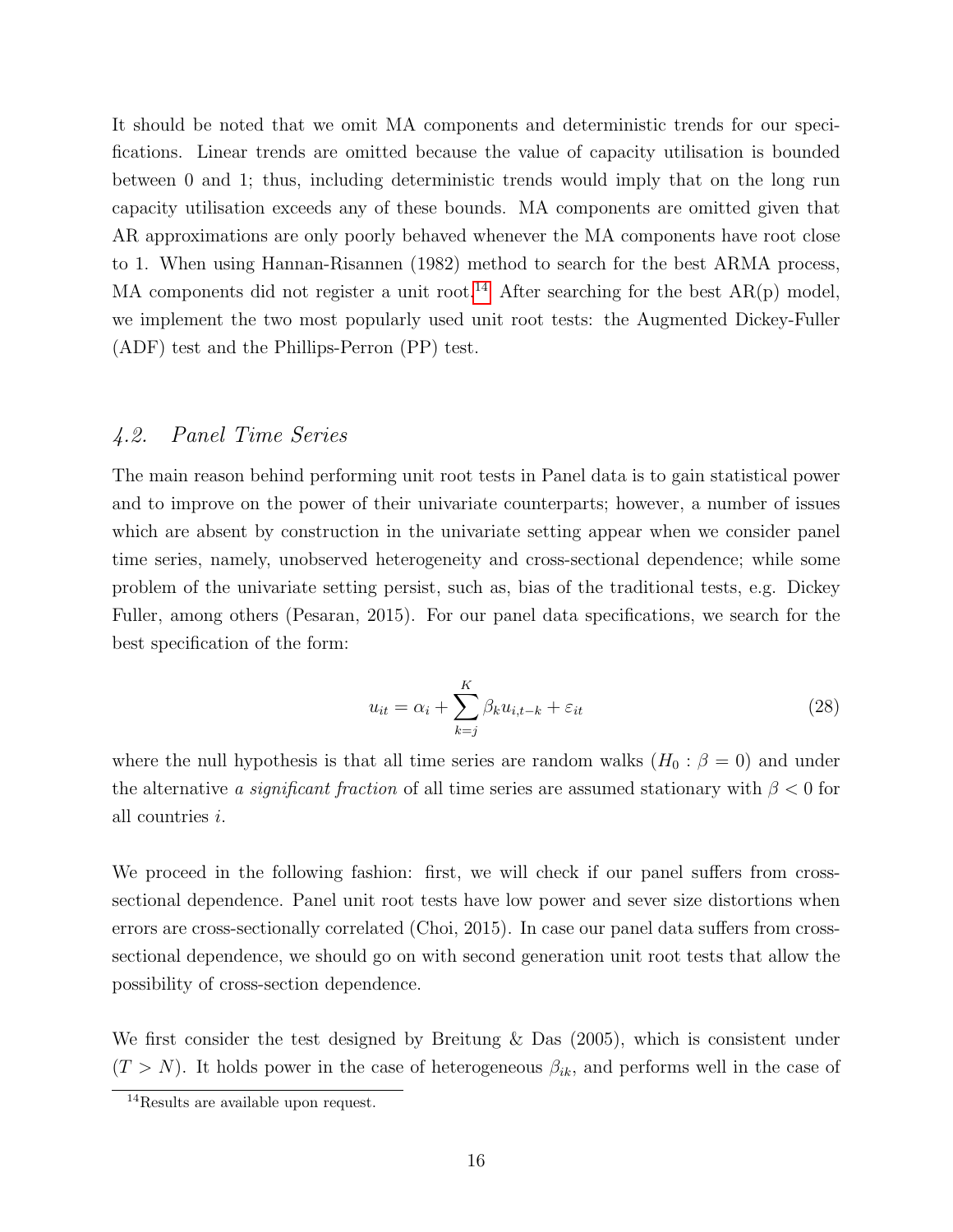It should be noted that we omit MA components and deterministic trends for our specifications. Linear trends are omitted because the value of capacity utilisation is bounded between 0 and 1; thus, including deterministic trends would imply that on the long run capacity utilisation exceeds any of these bounds. MA components are omitted given that AR approximations are only poorly behaved whenever the MA components have root close to 1. When using Hannan-Risannen (1982) method to search for the best ARMA process, MA components did not register a unit root.<sup>[14](#page-17-0)</sup> After searching for the best  $AR(p)$  model, we implement the two most popularly used unit root tests: the Augmented Dickey-Fuller (ADF) test and the Phillips-Perron (PP) test.

### 4.2. Panel Time Series

The main reason behind performing unit root tests in Panel data is to gain statistical power and to improve on the power of their univariate counterparts; however, a number of issues which are absent by construction in the univariate setting appear when we consider panel time series, namely, unobserved heterogeneity and cross-sectional dependence; while some problem of the univariate setting persist, such as, bias of the traditional tests, e.g. Dickey Fuller, among others (Pesaran, 2015). For our panel data specifications, we search for the best specification of the form:

$$
u_{it} = \alpha_i + \sum_{k=j}^{K} \beta_k u_{i,t-k} + \varepsilon_{it}
$$
\n(28)

where the null hypothesis is that all time series are random walks  $(H_0 : \beta = 0)$  and under the alternative a significant fraction of all time series are assumed stationary with  $\beta < 0$  for all countries i.

We proceed in the following fashion: first, we will check if our panel suffers from crosssectional dependence. Panel unit root tests have low power and sever size distortions when errors are cross-sectionally correlated (Choi, 2015). In case our panel data suffers from crosssectional dependence, we should go on with second generation unit root tests that allow the possibility of cross-section dependence.

We first consider the test designed by Breitung & Das (2005), which is consistent under  $(T > N)$ . It holds power in the case of heterogeneous  $\beta_{ik}$ , and performs well in the case of

<span id="page-17-0"></span><sup>14</sup>Results are available upon request.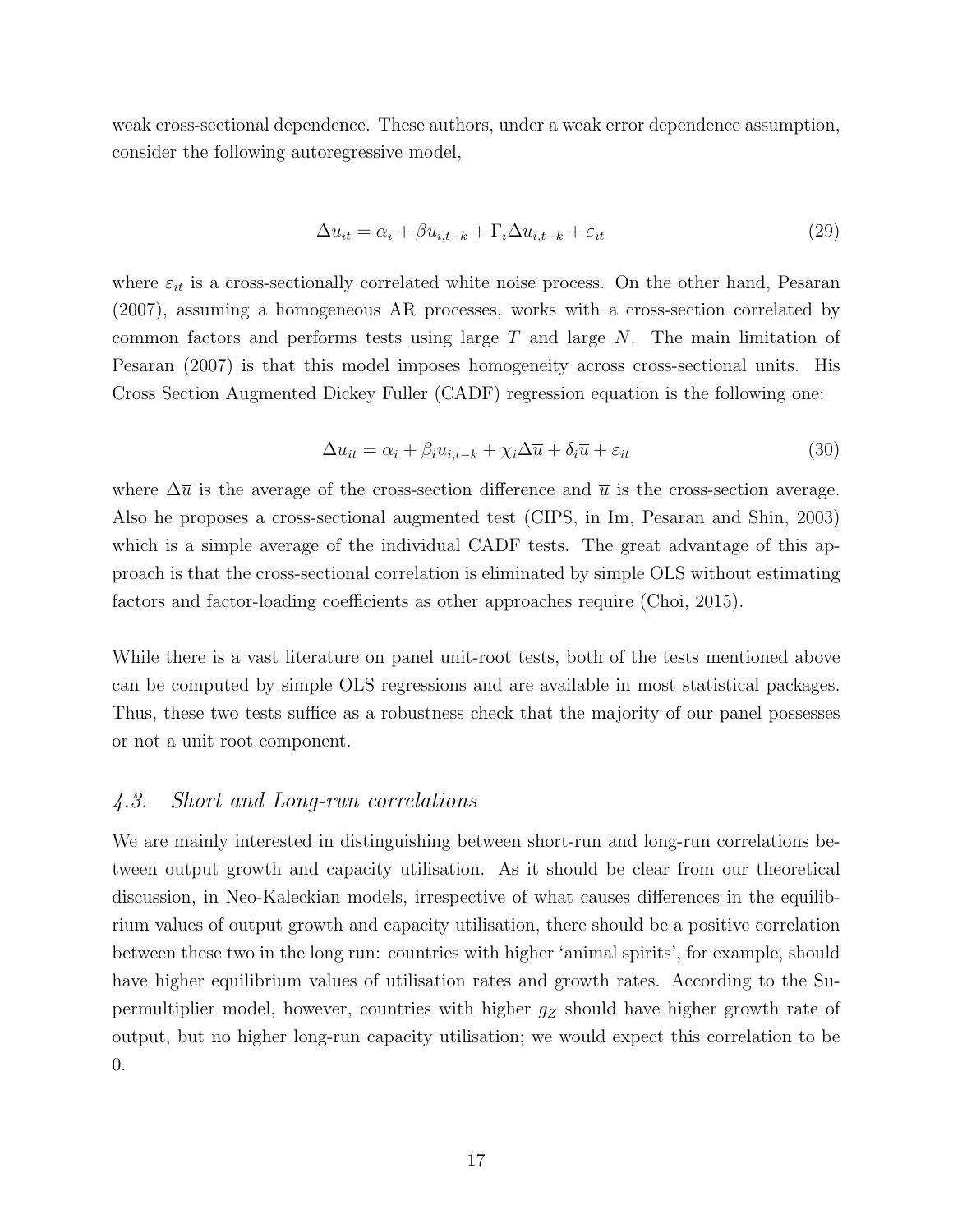weak cross-sectional dependence. These authors, under a weak error dependence assumption, consider the following autoregressive model,

$$
\Delta u_{it} = \alpha_i + \beta u_{i,t-k} + \Gamma_i \Delta u_{i,t-k} + \varepsilon_{it}
$$
\n(29)

where  $\varepsilon_{it}$  is a cross-sectionally correlated white noise process. On the other hand, Pesaran (2007), assuming a homogeneous AR processes, works with a cross-section correlated by common factors and performs tests using large T and large N. The main limitation of Pesaran (2007) is that this model imposes homogeneity across cross-sectional units. His Cross Section Augmented Dickey Fuller (CADF) regression equation is the following one:

$$
\Delta u_{it} = \alpha_i + \beta_i u_{i, t-k} + \chi_i \Delta \overline{u} + \delta_i \overline{u} + \varepsilon_{it}
$$
\n(30)

where  $\Delta \bar{u}$  is the average of the cross-section difference and  $\bar{u}$  is the cross-section average. Also he proposes a cross-sectional augmented test (CIPS, in Im, Pesaran and Shin, 2003) which is a simple average of the individual CADF tests. The great advantage of this approach is that the cross-sectional correlation is eliminated by simple OLS without estimating factors and factor-loading coefficients as other approaches require (Choi, 2015).

While there is a vast literature on panel unit-root tests, both of the tests mentioned above can be computed by simple OLS regressions and are available in most statistical packages. Thus, these two tests suffice as a robustness check that the majority of our panel possesses or not a unit root component.

### 4.3. Short and Long-run correlations

We are mainly interested in distinguishing between short-run and long-run correlations between output growth and capacity utilisation. As it should be clear from our theoretical discussion, in Neo-Kaleckian models, irrespective of what causes differences in the equilibrium values of output growth and capacity utilisation, there should be a positive correlation between these two in the long run: countries with higher 'animal spirits', for example, should have higher equilibrium values of utilisation rates and growth rates. According to the Supermultiplier model, however, countries with higher  $g_Z$  should have higher growth rate of output, but no higher long-run capacity utilisation; we would expect this correlation to be 0.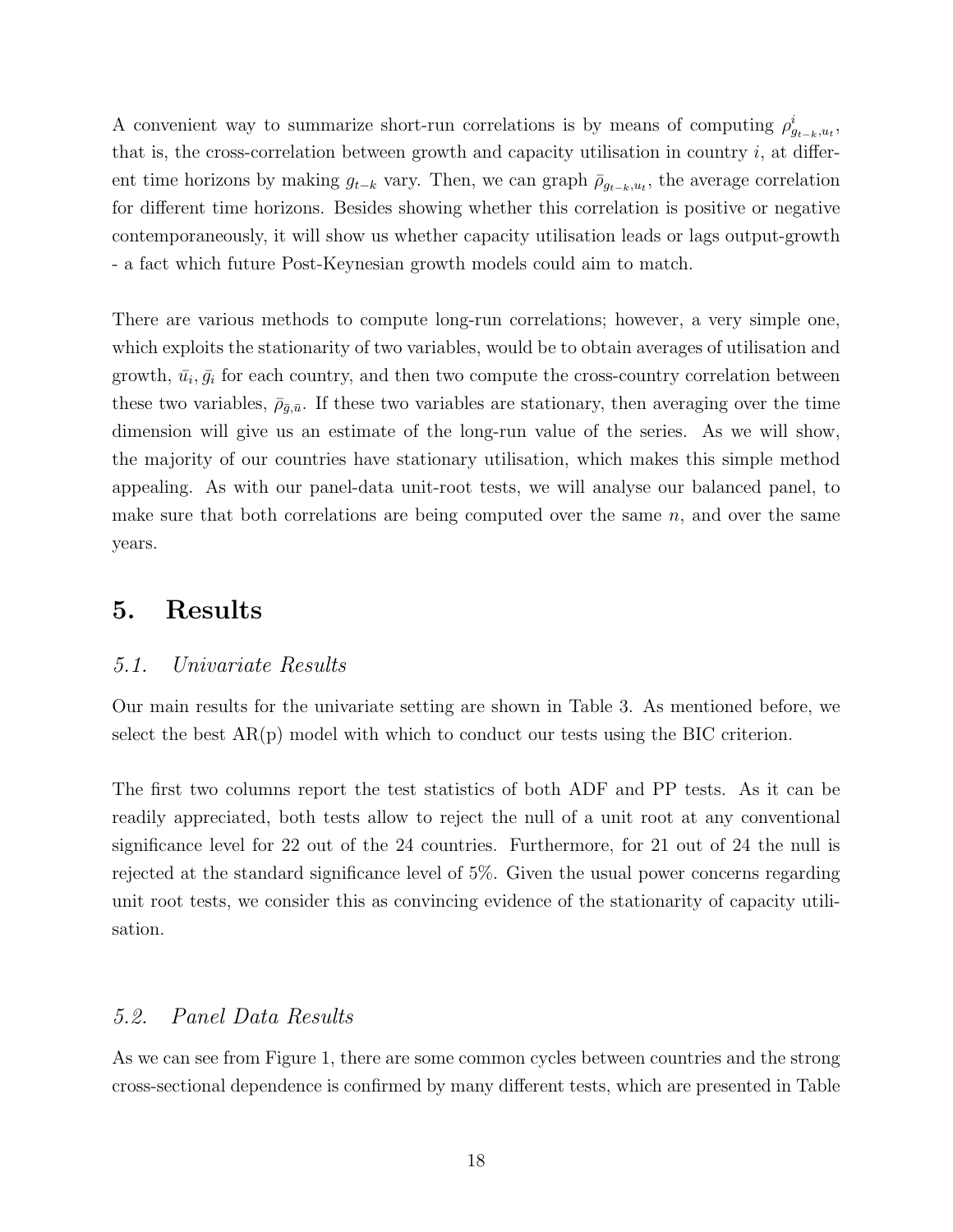A convenient way to summarize short-run correlations is by means of computing  $\rho_{g_{t-k},u_t}^i$ , that is, the cross-correlation between growth and capacity utilisation in country  $i$ , at different time horizons by making  $g_{t-k}$  vary. Then, we can graph  $\bar{\rho}_{g_{t-k},u_t}$ , the average correlation for different time horizons. Besides showing whether this correlation is positive or negative contemporaneously, it will show us whether capacity utilisation leads or lags output-growth - a fact which future Post-Keynesian growth models could aim to match.

There are various methods to compute long-run correlations; however, a very simple one, which exploits the stationarity of two variables, would be to obtain averages of utilisation and growth,  $\bar{u}_i, \bar{g}_i$  for each country, and then two compute the cross-country correlation between these two variables,  $\bar{\rho}_{\bar{g},\bar{u}}$ . If these two variables are stationary, then averaging over the time dimension will give us an estimate of the long-run value of the series. As we will show, the majority of our countries have stationary utilisation, which makes this simple method appealing. As with our panel-data unit-root tests, we will analyse our balanced panel, to make sure that both correlations are being computed over the same  $n$ , and over the same years.

## 5. Results

### 5.1. Univariate Results

Our main results for the univariate setting are shown in Table 3. As mentioned before, we select the best  $AR(p)$  model with which to conduct our tests using the BIC criterion.

The first two columns report the test statistics of both ADF and PP tests. As it can be readily appreciated, both tests allow to reject the null of a unit root at any conventional significance level for 22 out of the 24 countries. Furthermore, for 21 out of 24 the null is rejected at the standard significance level of 5%. Given the usual power concerns regarding unit root tests, we consider this as convincing evidence of the stationarity of capacity utilisation.

### 5.2. Panel Data Results

As we can see from Figure 1, there are some common cycles between countries and the strong cross-sectional dependence is confirmed by many different tests, which are presented in Table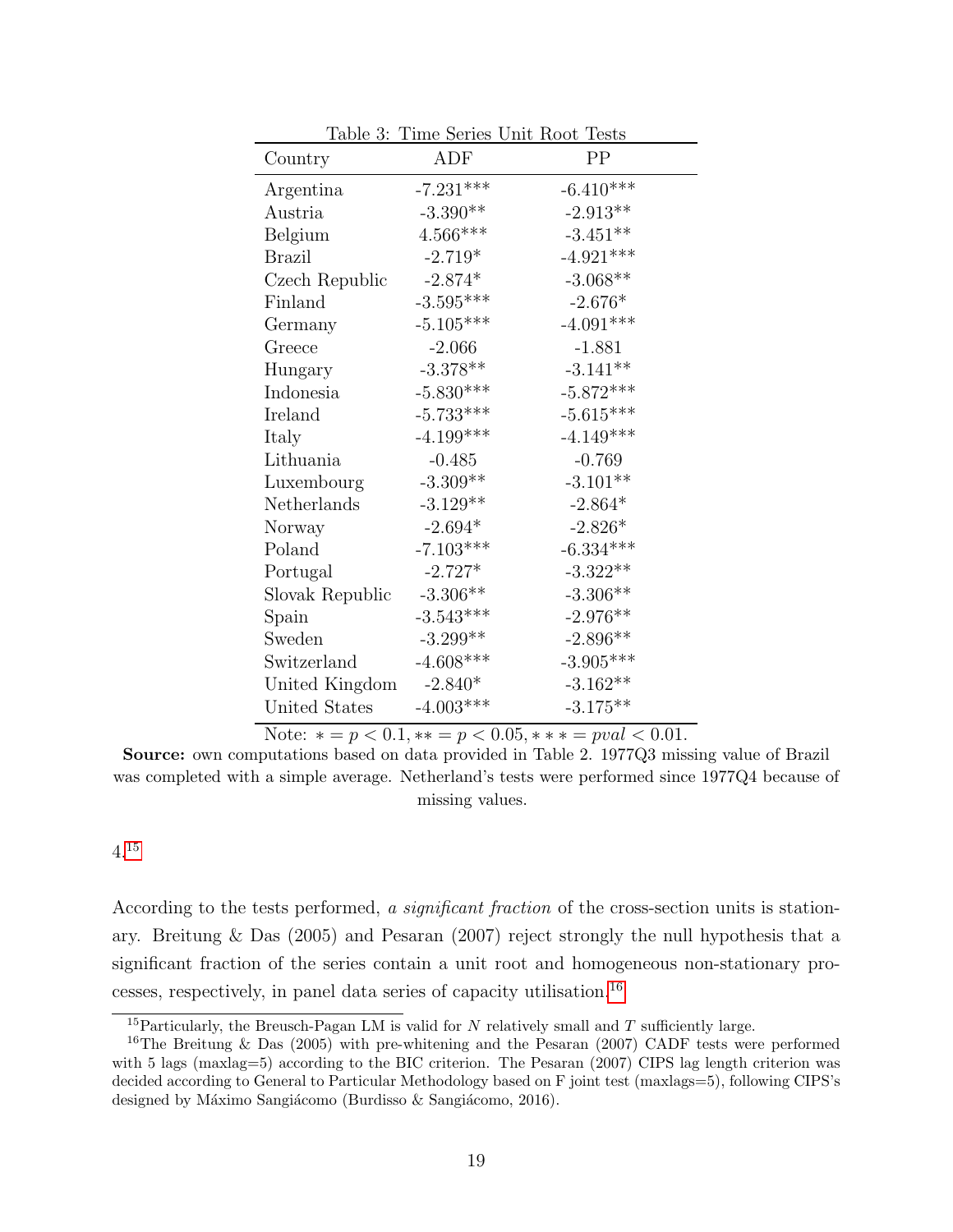| Country         | ADF                                     | PP          |
|-----------------|-----------------------------------------|-------------|
| Argentina       | $-7.231***$                             | $-6.410***$ |
| Austria         | $-3.390**$                              | $-2.913**$  |
| Belgium         | $4.566***$                              | $-3.451**$  |
| <b>Brazil</b>   | $-2.719*$                               | $-4.921***$ |
| Czech Republic  | $\textbf{-2.874}^{\textbf{\texttt{*}}}$ | $-3.068**$  |
| Finland         | $-3.595***$                             | $-2.676*$   |
| Germany         | $-5.105***$                             | $-4.091***$ |
| Greece          | $-2.066$                                | $-1.881$    |
| Hungary         | $-3.378**$                              | $-3.141**$  |
| Indonesia       | $-5.830***$                             | $-5.872***$ |
| Ireland         | $-5.733***$                             | $-5.615***$ |
| Italy           | $-4.199***$                             | $-4.149***$ |
| Lithuania       | $-0.485$                                | $-0.769$    |
| Luxembourg      | $-3.309**$                              | $-3.101**$  |
| Netherlands     | $-3.129**$                              | $-2.864*$   |
| Norway          | $-2.694*$                               | $-2.826*$   |
| Poland          | $-7.103***$                             | $-6.334***$ |
| Portugal        | $-2.727*$                               | $-3.322**$  |
| Slovak Republic | $-3.306**$                              | $-3.306**$  |
| Spain           | $-3.543***$                             | $-2.976**$  |
| Sweden          | $-3.299**$                              | $-2.896**$  |
| Switzerland     | $-4.608***$                             | $-3.905***$ |
| United Kingdom  | $-2.840*$                               | $-3.162**$  |
| United States   | $-4.003***$                             | $-3.175***$ |

Table 3: Time Series Unit Root Tests

Note:  $* = p < 0.1, ** = p < 0.05, ** = \text{pval} < 0.01.$ 

Source: own computations based on data provided in Table 2. 1977Q3 missing value of Brazil was completed with a simple average. Netherland's tests were performed since 1977Q4 because of missing values.

### 4.[15](#page-20-0)

According to the tests performed, a *significant fraction* of the cross-section units is stationary. Breitung & Das (2005) and Pesaran (2007) reject strongly the null hypothesis that a significant fraction of the series contain a unit root and homogeneous non-stationary processes, respectively, in panel data series of capacity utilisation.[16](#page-20-1)

<span id="page-20-1"></span><span id="page-20-0"></span><sup>&</sup>lt;sup>15</sup>Particularly, the Breusch-Pagan LM is valid for  $N$  relatively small and  $T$  sufficiently large.

<sup>&</sup>lt;sup>16</sup>The Breitung & Das (2005) with pre-whitening and the Pesaran (2007) CADF tests were performed with 5 lags (maxlag=5) according to the BIC criterion. The Pesaran (2007) CIPS lag length criterion was decided according to General to Particular Methodology based on F joint test (maxlags=5), following CIPS's designed by Máximo Sangiácomo (Burdisso  $\&$  Sangiácomo, 2016).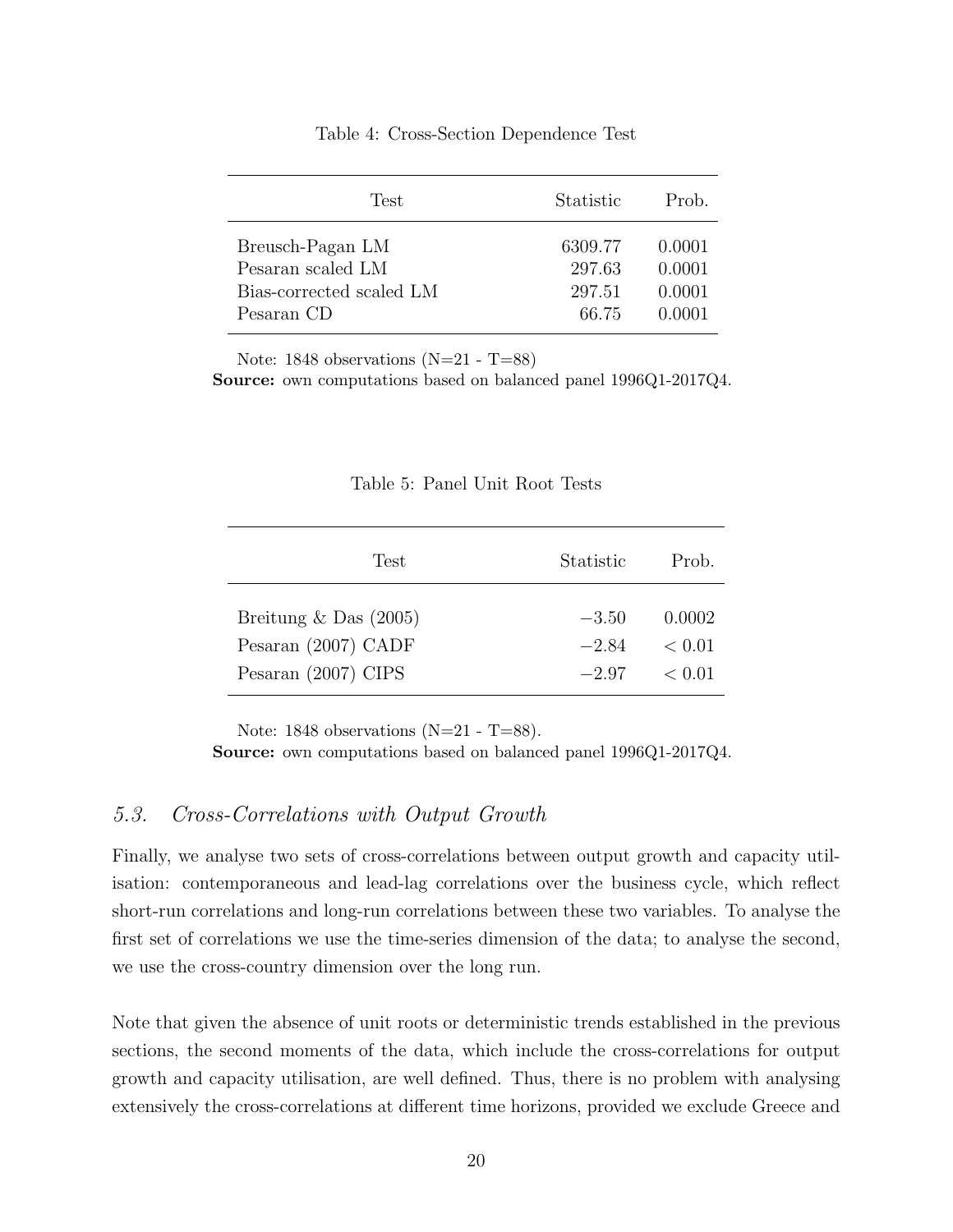|  | Table 4: Cross-Section Dependence Test |  |  |
|--|----------------------------------------|--|--|
|--|----------------------------------------|--|--|

| Test                     | Statistic | Prob.  |
|--------------------------|-----------|--------|
| Breusch-Pagan LM         | 6309.77   | 0.0001 |
| Pesaran scaled LM        | 297.63    | 0.0001 |
| Bias-corrected scaled LM | 297.51    | 0.0001 |
| Pesaran CD               | 66.75     | 0.0001 |

Note: 1848 observations  $(N=21 - T=88)$ 

Source: own computations based on balanced panel 1996Q1-2017Q4.

| Table 5: Panel Unit Root Tests |  |  |
|--------------------------------|--|--|
|                                |  |  |

| Test                    | Statistic | Prob.  |
|-------------------------|-----------|--------|
| Breitung $&$ Das (2005) | $-3.50$   | 0.0002 |
| Pesaran (2007) CADF     | $-2.84$   | < 0.01 |
| Pesaran $(2007)$ CIPS   | $-2.97$   | < 0.01 |

Note: 1848 observations  $(N=21 - T=88)$ .

Source: own computations based on balanced panel 1996Q1-2017Q4.

## 5.3. Cross-Correlations with Output Growth

Finally, we analyse two sets of cross-correlations between output growth and capacity utilisation: contemporaneous and lead-lag correlations over the business cycle, which reflect short-run correlations and long-run correlations between these two variables. To analyse the first set of correlations we use the time-series dimension of the data; to analyse the second, we use the cross-country dimension over the long run.

Note that given the absence of unit roots or deterministic trends established in the previous sections, the second moments of the data, which include the cross-correlations for output growth and capacity utilisation, are well defined. Thus, there is no problem with analysing extensively the cross-correlations at different time horizons, provided we exclude Greece and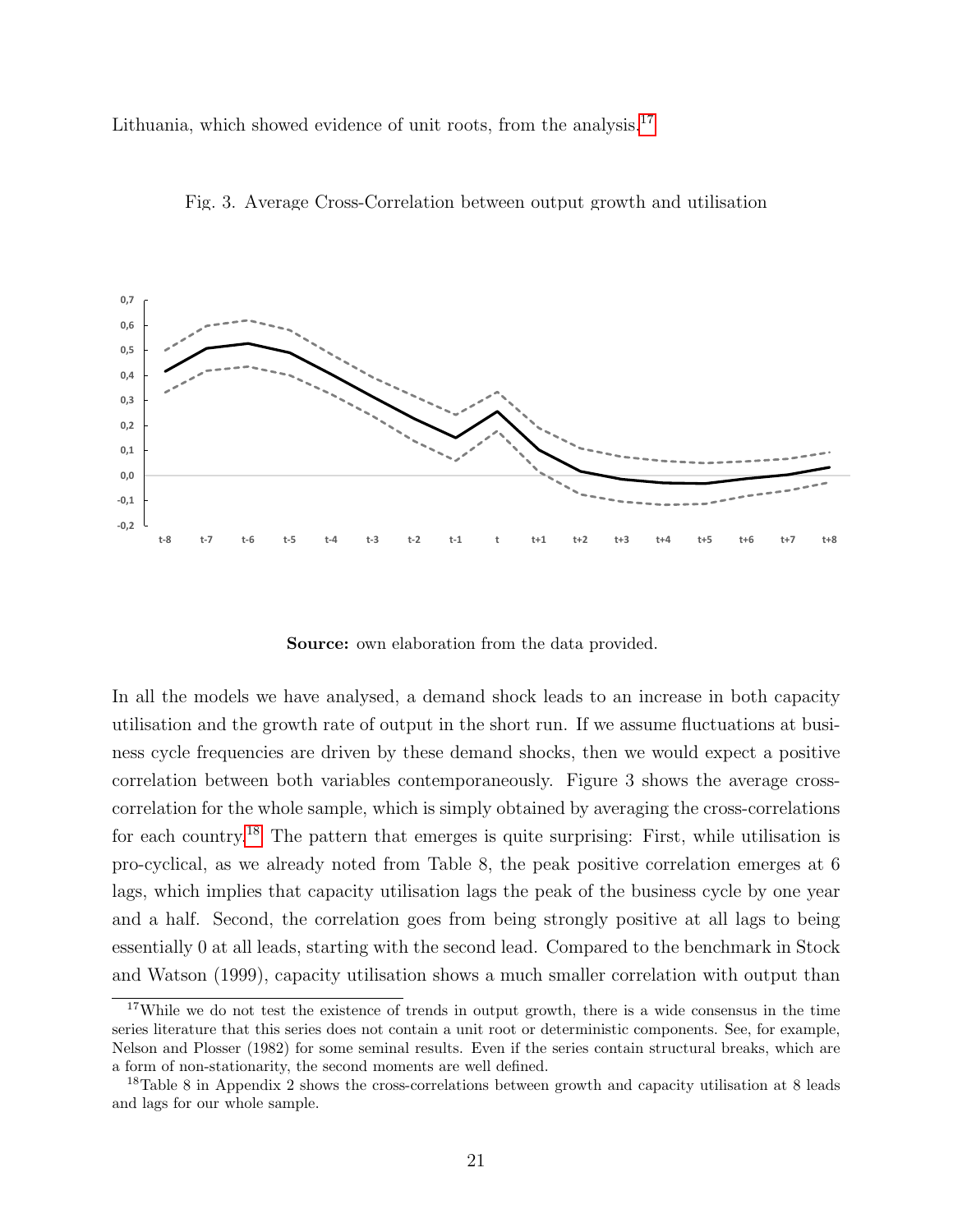Lithuania, which showed evidence of unit roots, from the analysis.<sup>[17](#page-22-0)</sup>



Fig. 3. Average Cross-Correlation between output growth and utilisation

Source: own elaboration from the data provided.

In all the models we have analysed, a demand shock leads to an increase in both capacity utilisation and the growth rate of output in the short run. If we assume fluctuations at business cycle frequencies are driven by these demand shocks, then we would expect a positive correlation between both variables contemporaneously. Figure 3 shows the average crosscorrelation for the whole sample, which is simply obtained by averaging the cross-correlations for each country.[18](#page-22-1) The pattern that emerges is quite surprising: First, while utilisation is pro-cyclical, as we already noted from Table 8, the peak positive correlation emerges at 6 lags, which implies that capacity utilisation lags the peak of the business cycle by one year and a half. Second, the correlation goes from being strongly positive at all lags to being essentially 0 at all leads, starting with the second lead. Compared to the benchmark in Stock and Watson (1999), capacity utilisation shows a much smaller correlation with output than

<span id="page-22-0"></span><sup>&</sup>lt;sup>17</sup>While we do not test the existence of trends in output growth, there is a wide consensus in the time series literature that this series does not contain a unit root or deterministic components. See, for example, Nelson and Plosser (1982) for some seminal results. Even if the series contain structural breaks, which are a form of non-stationarity, the second moments are well defined.

<span id="page-22-1"></span><sup>&</sup>lt;sup>18</sup>Table 8 in Appendix 2 shows the cross-correlations between growth and capacity utilisation at 8 leads and lags for our whole sample.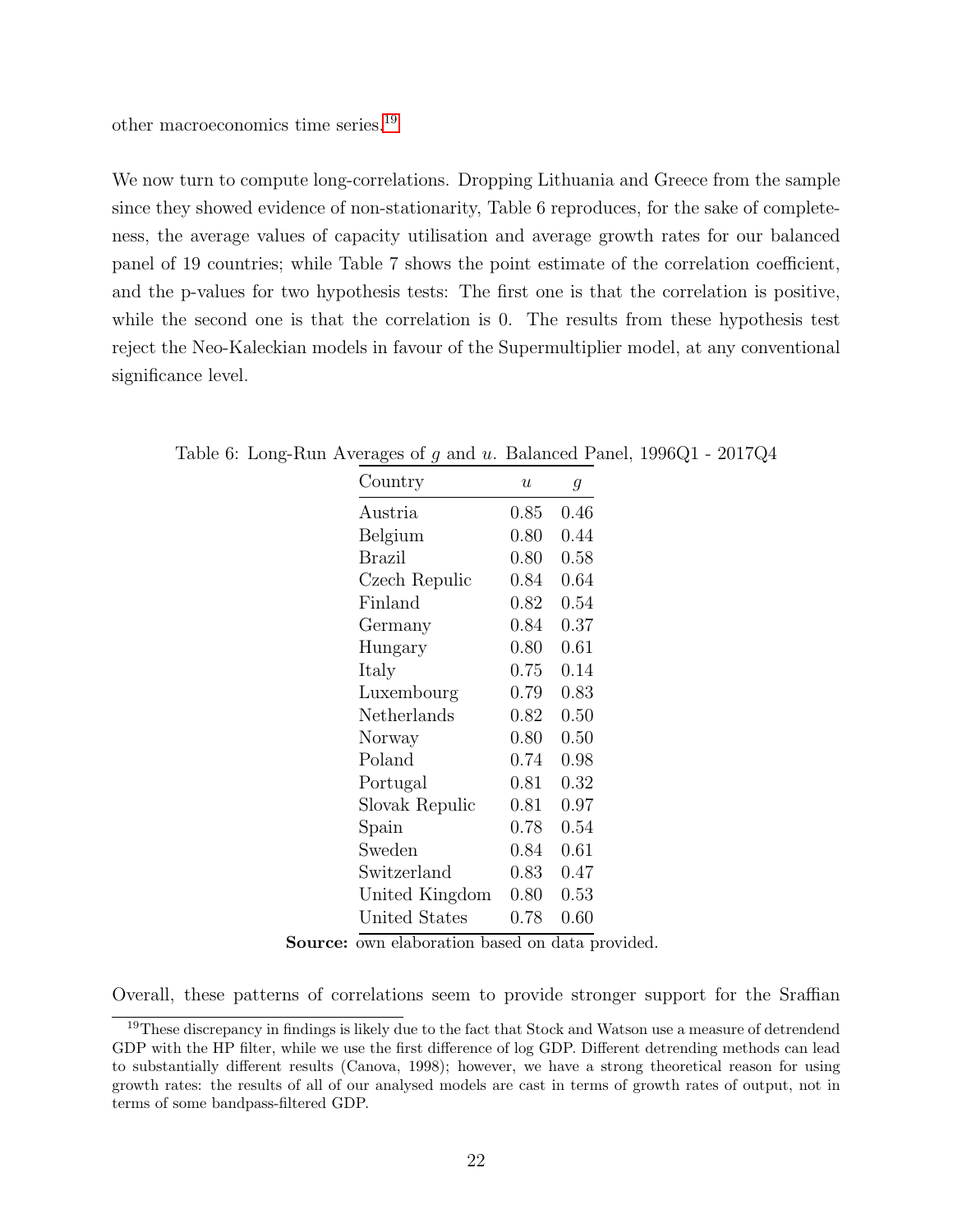other macroeconomics time series.[19](#page-23-0)

We now turn to compute long-correlations. Dropping Lithuania and Greece from the sample since they showed evidence of non-stationarity, Table 6 reproduces, for the sake of completeness, the average values of capacity utilisation and average growth rates for our balanced panel of 19 countries; while Table 7 shows the point estimate of the correlation coefficient, and the p-values for two hypothesis tests: The first one is that the correlation is positive, while the second one is that the correlation is 0. The results from these hypothesis test reject the Neo-Kaleckian models in favour of the Supermultiplier model, at any conventional significance level.

| Country        | $\boldsymbol{u}$ | $\mathcal{G}_{\mathcal{A}}$ |
|----------------|------------------|-----------------------------|
| Austria        | 0.85             | $0.46\,$                    |
| Belgium        | 0.80             | 0.44                        |
| <b>Brazil</b>  | 0.80             | 0.58                        |
| Czech Repulic  | 0.84             | 0.64                        |
| Finland        | 0.82             | 0.54                        |
| Germany        | 0.84             | 0.37                        |
| Hungary        | 0.80             | 0.61                        |
| Italy          | 0.75             | 0.14                        |
| Luxembourg     | 0.79             | 0.83                        |
| Netherlands    | 0.82             | 0.50                        |
| Norway         | 0.80             | 0.50                        |
| Poland         | 0.74             | 0.98                        |
| Portugal       | 0.81             | 0.32                        |
| Slovak Repulic | 0.81             | 0.97                        |
| Spain          | 0.78             | 0.54                        |
| Sweden         | 0.84             | 0.61                        |
| Switzerland    | 0.83             | 0.47                        |
| United Kingdom | 0.80             | 0.53                        |
| United States  | $0.78\,$         | $0.60\,$                    |

Table 6: Long-Run Averages of g and u. Balanced Panel, 1996Q1 - 2017Q4

Source: own elaboration based on data provided.

Overall, these patterns of correlations seem to provide stronger support for the Sraffian

<span id="page-23-0"></span><sup>&</sup>lt;sup>19</sup>These discrepancy in findings is likely due to the fact that Stock and Watson use a measure of detrendend GDP with the HP filter, while we use the first difference of log GDP. Different detrending methods can lead to substantially different results (Canova, 1998); however, we have a strong theoretical reason for using growth rates: the results of all of our analysed models are cast in terms of growth rates of output, not in terms of some bandpass-filtered GDP.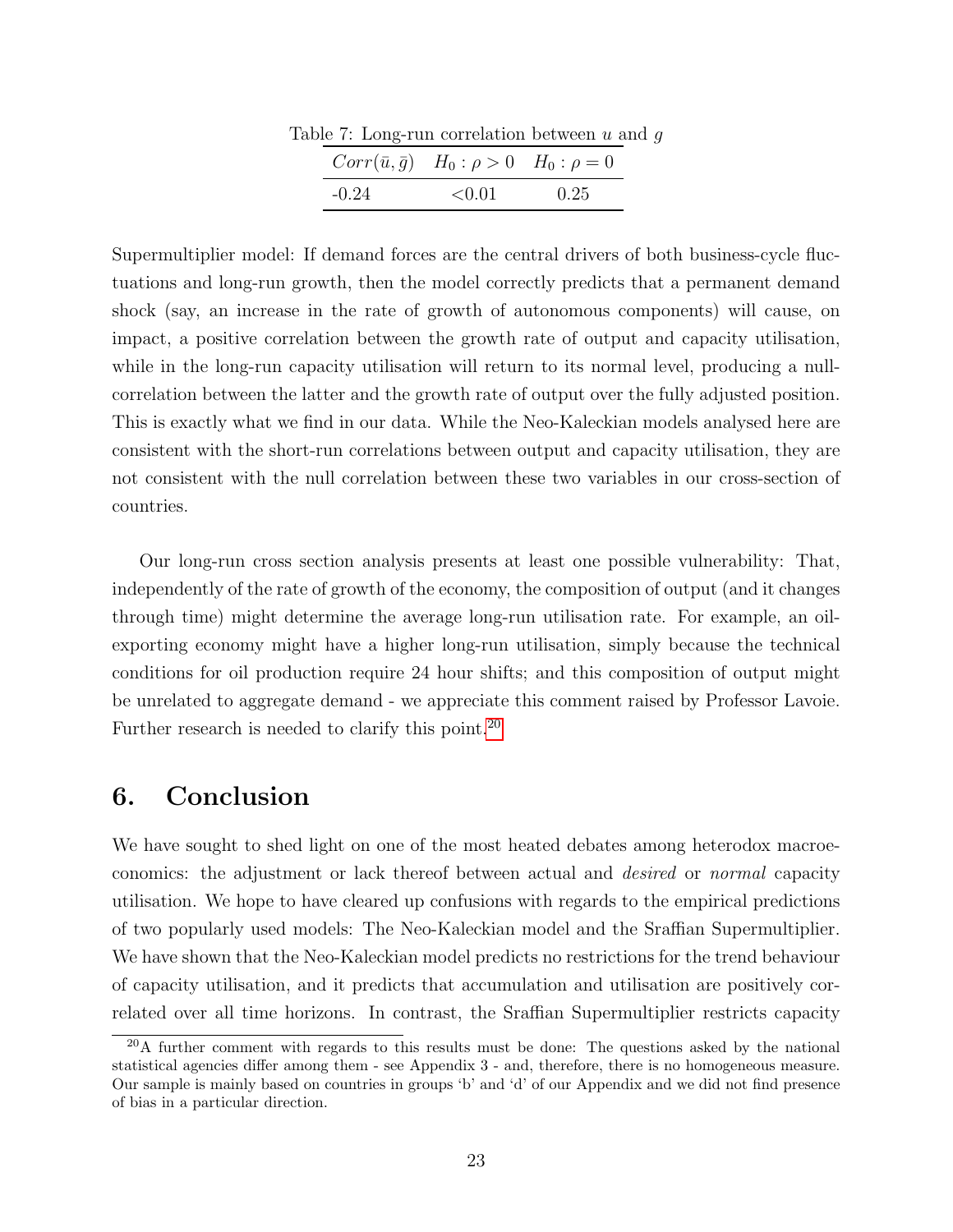|         | $\sigma$ . Long-run correlation between $u$ as           |      |
|---------|----------------------------------------------------------|------|
|         | $Corr(\bar{u}, \bar{g})$ $H_0: \rho > 0$ $H_0: \rho = 0$ |      |
| $-0.24$ | < 0.01                                                   | 0.25 |

Table 7: Long-run correlation between  $u$  and  $q$ 

Supermultiplier model: If demand forces are the central drivers of both business-cycle fluctuations and long-run growth, then the model correctly predicts that a permanent demand shock (say, an increase in the rate of growth of autonomous components) will cause, on impact, a positive correlation between the growth rate of output and capacity utilisation, while in the long-run capacity utilisation will return to its normal level, producing a nullcorrelation between the latter and the growth rate of output over the fully adjusted position. This is exactly what we find in our data. While the Neo-Kaleckian models analysed here are consistent with the short-run correlations between output and capacity utilisation, they are not consistent with the null correlation between these two variables in our cross-section of countries.

Our long-run cross section analysis presents at least one possible vulnerability: That, independently of the rate of growth of the economy, the composition of output (and it changes through time) might determine the average long-run utilisation rate. For example, an oilexporting economy might have a higher long-run utilisation, simply because the technical conditions for oil production require 24 hour shifts; and this composition of output might be unrelated to aggregate demand - we appreciate this comment raised by Professor Lavoie. Further research is needed to clarify this point.<sup>[20](#page-24-0)</sup>

## 6. Conclusion

We have sought to shed light on one of the most heated debates among heterodox macroeconomics: the adjustment or lack thereof between actual and desired or normal capacity utilisation. We hope to have cleared up confusions with regards to the empirical predictions of two popularly used models: The Neo-Kaleckian model and the Sraffian Supermultiplier. We have shown that the Neo-Kaleckian model predicts no restrictions for the trend behaviour of capacity utilisation, and it predicts that accumulation and utilisation are positively correlated over all time horizons. In contrast, the Sraffian Supermultiplier restricts capacity

<span id="page-24-0"></span> $20$ A further comment with regards to this results must be done: The questions asked by the national statistical agencies differ among them - see Appendix 3 - and, therefore, there is no homogeneous measure. Our sample is mainly based on countries in groups 'b' and 'd' of our Appendix and we did not find presence of bias in a particular direction.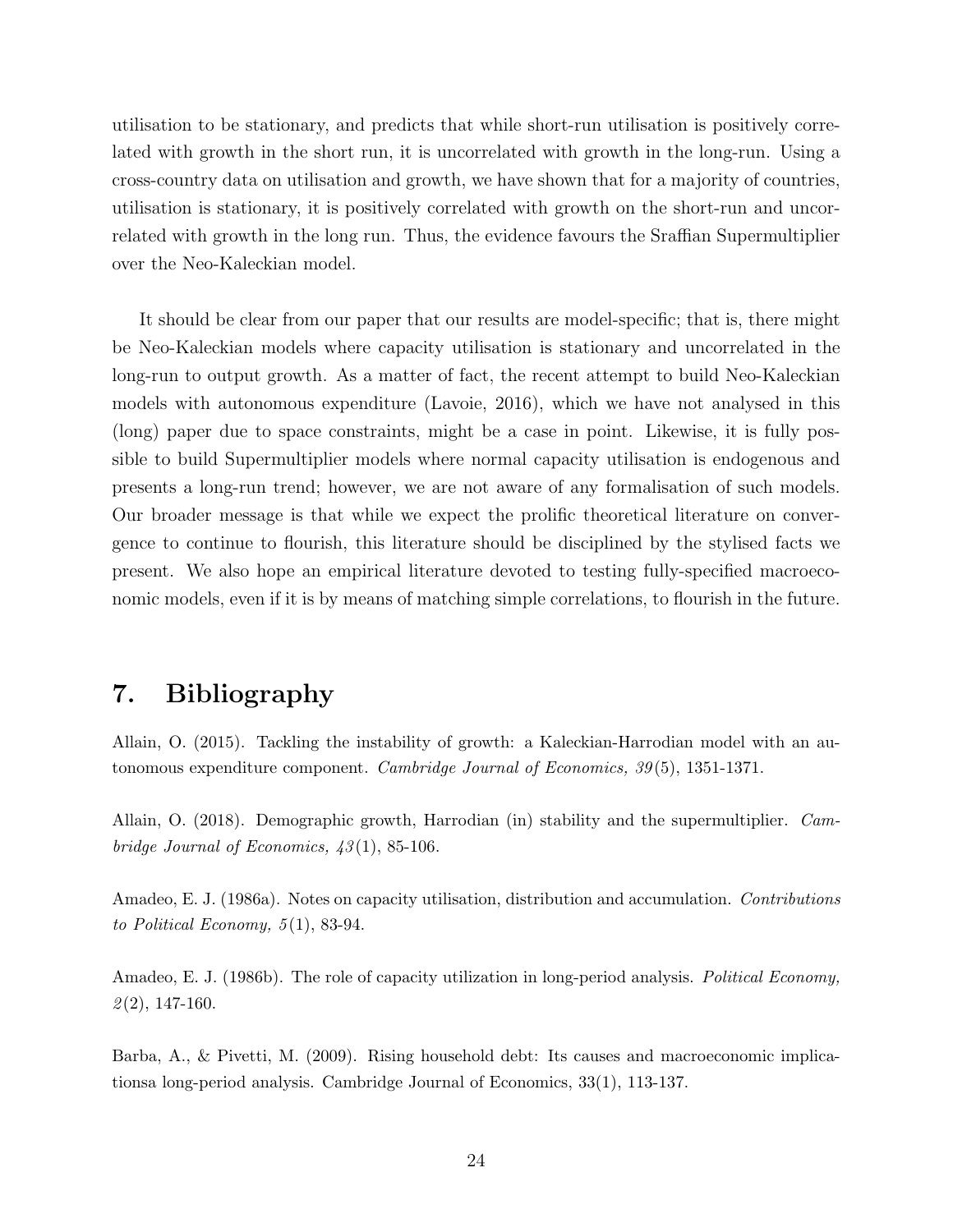utilisation to be stationary, and predicts that while short-run utilisation is positively correlated with growth in the short run, it is uncorrelated with growth in the long-run. Using a cross-country data on utilisation and growth, we have shown that for a majority of countries, utilisation is stationary, it is positively correlated with growth on the short-run and uncorrelated with growth in the long run. Thus, the evidence favours the Sraffian Supermultiplier over the Neo-Kaleckian model.

It should be clear from our paper that our results are model-specific; that is, there might be Neo-Kaleckian models where capacity utilisation is stationary and uncorrelated in the long-run to output growth. As a matter of fact, the recent attempt to build Neo-Kaleckian models with autonomous expenditure (Lavoie, 2016), which we have not analysed in this (long) paper due to space constraints, might be a case in point. Likewise, it is fully possible to build Supermultiplier models where normal capacity utilisation is endogenous and presents a long-run trend; however, we are not aware of any formalisation of such models. Our broader message is that while we expect the prolific theoretical literature on convergence to continue to flourish, this literature should be disciplined by the stylised facts we present. We also hope an empirical literature devoted to testing fully-specified macroeconomic models, even if it is by means of matching simple correlations, to flourish in the future.

## 7. Bibliography

Allain, O. (2015). Tackling the instability of growth: a Kaleckian-Harrodian model with an autonomous expenditure component. Cambridge Journal of Economics, 39 (5), 1351-1371.

Allain, O. (2018). Demographic growth, Harrodian (in) stability and the supermultiplier. Cambridge Journal of Economics,  $43(1)$ , 85-106.

Amadeo, E. J. (1986a). Notes on capacity utilisation, distribution and accumulation. Contributions to Political Economy,  $5(1)$ , 83-94.

Amadeo, E. J. (1986b). The role of capacity utilization in long-period analysis. Political Economy,  $\mathcal{Q}(2)$ , 147-160.

Barba, A., & Pivetti, M. (2009). Rising household debt: Its causes and macroeconomic implicationsa long-period analysis. Cambridge Journal of Economics, 33(1), 113-137.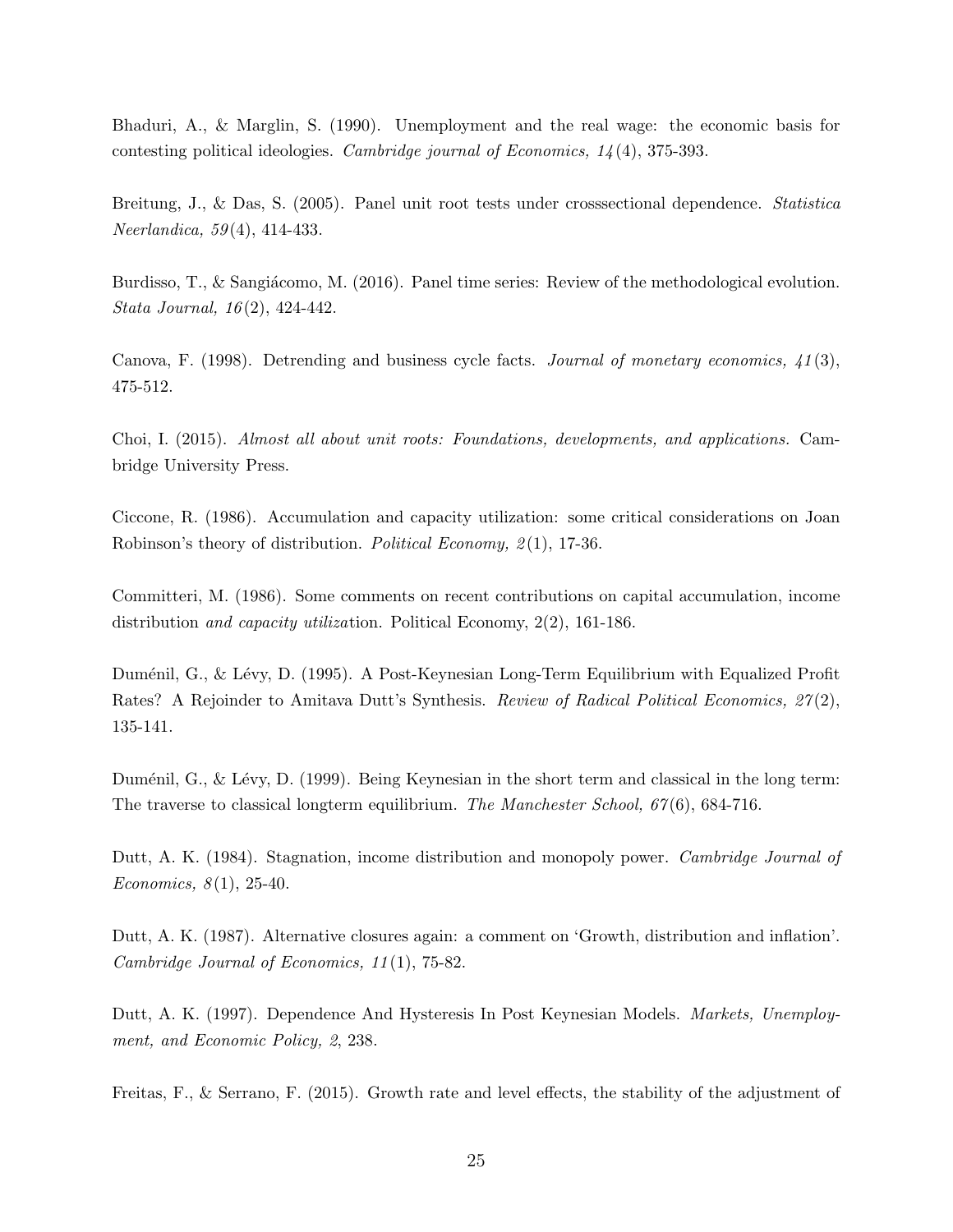Bhaduri, A., & Marglin, S. (1990). Unemployment and the real wage: the economic basis for contesting political ideologies. Cambridge journal of Economics, 14 (4), 375-393.

Breitung, J., & Das, S. (2005). Panel unit root tests under crosssectional dependence. Statistica Neerlandica, 59 (4), 414-433.

Burdisso, T., & Sangiácomo, M. (2016). Panel time series: Review of the methodological evolution. Stata Journal, 16 (2), 424-442.

Canova, F. (1998). Detrending and business cycle facts. Journal of monetary economics,  $\angle 41(3)$ , 475-512.

Choi, I. (2015). Almost all about unit roots: Foundations, developments, and applications. Cambridge University Press.

Ciccone, R. (1986). Accumulation and capacity utilization: some critical considerations on Joan Robinson's theory of distribution. Political Economy, 2(1), 17-36.

Committeri, M. (1986). Some comments on recent contributions on capital accumulation, income distribution and capacity utilization. Political Economy, 2(2), 161-186.

Duménil, G., & Lévy, D. (1995). A Post-Keynesian Long-Term Equilibrium with Equalized Profit Rates? A Rejoinder to Amitava Dutt's Synthesis. *Review of Radical Political Economics*,  $27(2)$ , 135-141.

Duménil, G., & Lévy, D. (1999). Being Keynesian in the short term and classical in the long term: The traverse to classical longterm equilibrium. The Manchester School,  $67(6)$ , 684-716.

Dutt, A. K. (1984). Stagnation, income distribution and monopoly power. *Cambridge Journal of* Economics,  $8(1)$ , 25-40.

Dutt, A. K. (1987). Alternative closures again: a comment on 'Growth, distribution and inflation'. Cambridge Journal of Economics, 11 (1), 75-82.

Dutt, A. K. (1997). Dependence And Hysteresis In Post Keynesian Models. *Markets, Unemploy*ment, and Economic Policy, 2, 238.

Freitas, F., & Serrano, F. (2015). Growth rate and level effects, the stability of the adjustment of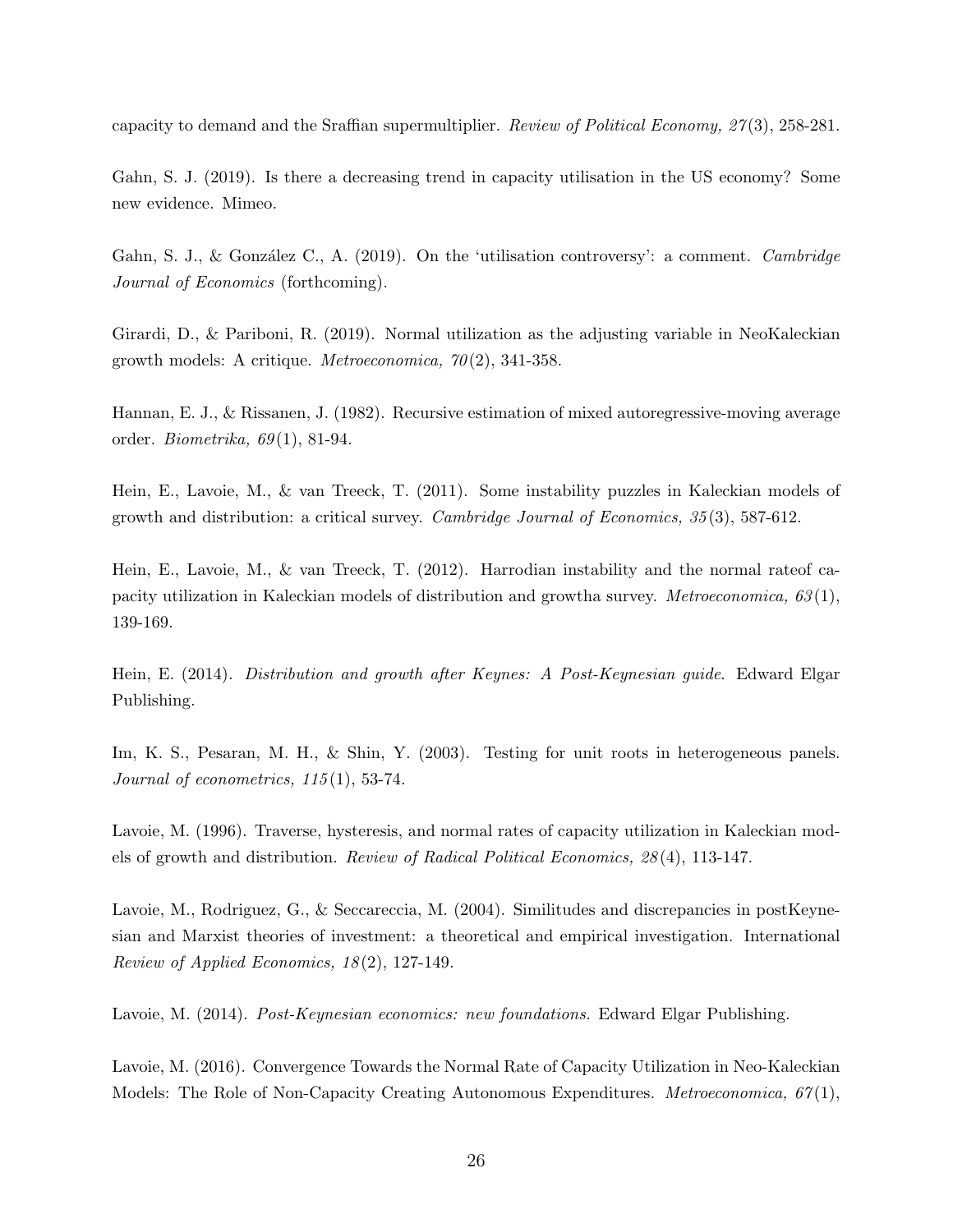capacity to demand and the Sraffian supermultiplier. Review of Political Economy, 27 (3), 258-281.

Gahn, S. J. (2019). Is there a decreasing trend in capacity utilisation in the US economy? Some new evidence. Mimeo.

Gahn, S. J., & González C., A. (2019). On the 'utilisation controversy': a comment. Cambridge Journal of Economics (forthcoming).

Girardi, D., & Pariboni, R. (2019). Normal utilization as the adjusting variable in NeoKaleckian growth models: A critique. *Metroeconomica*,  $70(2)$ , 341-358.

Hannan, E. J., & Rissanen, J. (1982). Recursive estimation of mixed autoregressive-moving average order. Biometrika,  $69(1)$ , 81-94.

Hein, E., Lavoie, M., & van Treeck, T. (2011). Some instability puzzles in Kaleckian models of growth and distribution: a critical survey. Cambridge Journal of Economics, 35 (3), 587-612.

Hein, E., Lavoie, M., & van Treeck, T. (2012). Harrodian instability and the normal rateof capacity utilization in Kaleckian models of distribution and growtha survey. *Metroeconomica*,  $63(1)$ , 139-169.

Hein, E. (2014). Distribution and growth after Keynes: A Post-Keynesian guide. Edward Elgar Publishing.

Im, K. S., Pesaran, M. H., & Shin, Y. (2003). Testing for unit roots in heterogeneous panels. Journal of econometrics,  $115(1)$ , 53-74.

Lavoie, M. (1996). Traverse, hysteresis, and normal rates of capacity utilization in Kaleckian models of growth and distribution. Review of Radical Political Economics, 28 (4), 113-147.

Lavoie, M., Rodriguez, G., & Seccareccia, M. (2004). Similitudes and discrepancies in postKeynesian and Marxist theories of investment: a theoretical and empirical investigation. International Review of Applied Economics,  $18(2)$ , 127-149.

Lavoie, M. (2014). *Post-Keynesian economics: new foundations.* Edward Elgar Publishing.

Lavoie, M. (2016). Convergence Towards the Normal Rate of Capacity Utilization in Neo-Kaleckian Models: The Role of Non-Capacity Creating Autonomous Expenditures. *Metroeconomica*,  $67(1)$ ,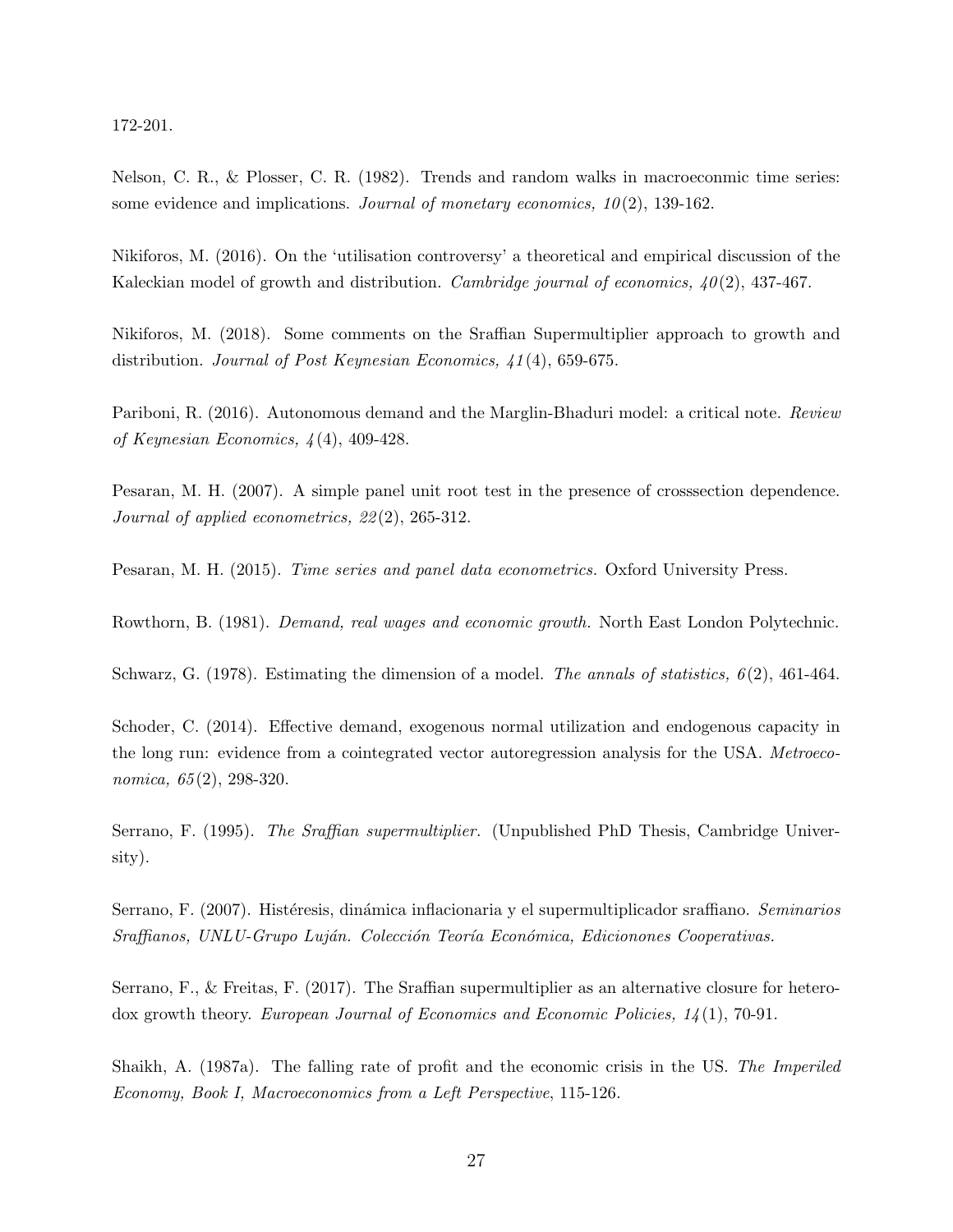172-201.

Nelson, C. R., & Plosser, C. R. (1982). Trends and random walks in macroeconmic time series: some evidence and implications. Journal of monetary economics,  $10(2)$ , 139-162.

Nikiforos, M. (2016). On the 'utilisation controversy' a theoretical and empirical discussion of the Kaleckian model of growth and distribution. *Cambridge journal of economics*,  $40(2)$ , 437-467.

Nikiforos, M. (2018). Some comments on the Sraffian Supermultiplier approach to growth and distribution. *Journal of Post Keynesian Economics*, 41(4), 659-675.

Pariboni, R. (2016). Autonomous demand and the Marglin-Bhaduri model: a critical note. Review of Keynesian Economics, 4 (4), 409-428.

Pesaran, M. H. (2007). A simple panel unit root test in the presence of crosssection dependence. Journal of applied econometrics, 22 (2), 265-312.

Pesaran, M. H. (2015). Time series and panel data econometrics. Oxford University Press.

Rowthorn, B. (1981). Demand, real wages and economic growth. North East London Polytechnic.

Schwarz, G. (1978). Estimating the dimension of a model. The annals of statistics,  $6(2)$ , 461-464.

Schoder, C. (2014). Effective demand, exogenous normal utilization and endogenous capacity in the long run: evidence from a cointegrated vector autoregression analysis for the USA. Metroeconomica, 65 (2), 298-320.

Serrano, F. (1995). The Sraffian supermultiplier. (Unpublished PhD Thesis, Cambridge University).

Serrano, F. (2007). Histéresis, dinámica inflacionaria y el supermultiplicador sraffiano. *Seminarios* Sraffianos, UNLU-Grupo Luján. Colección Teoría Económica, Edicionones Cooperativas.

Serrano, F., & Freitas, F. (2017). The Sraffian supermultiplier as an alternative closure for heterodox growth theory. European Journal of Economics and Economic Policies, 14 (1), 70-91.

Shaikh, A. (1987a). The falling rate of profit and the economic crisis in the US. The Imperiled Economy, Book I, Macroeconomics from a Left Perspective, 115-126.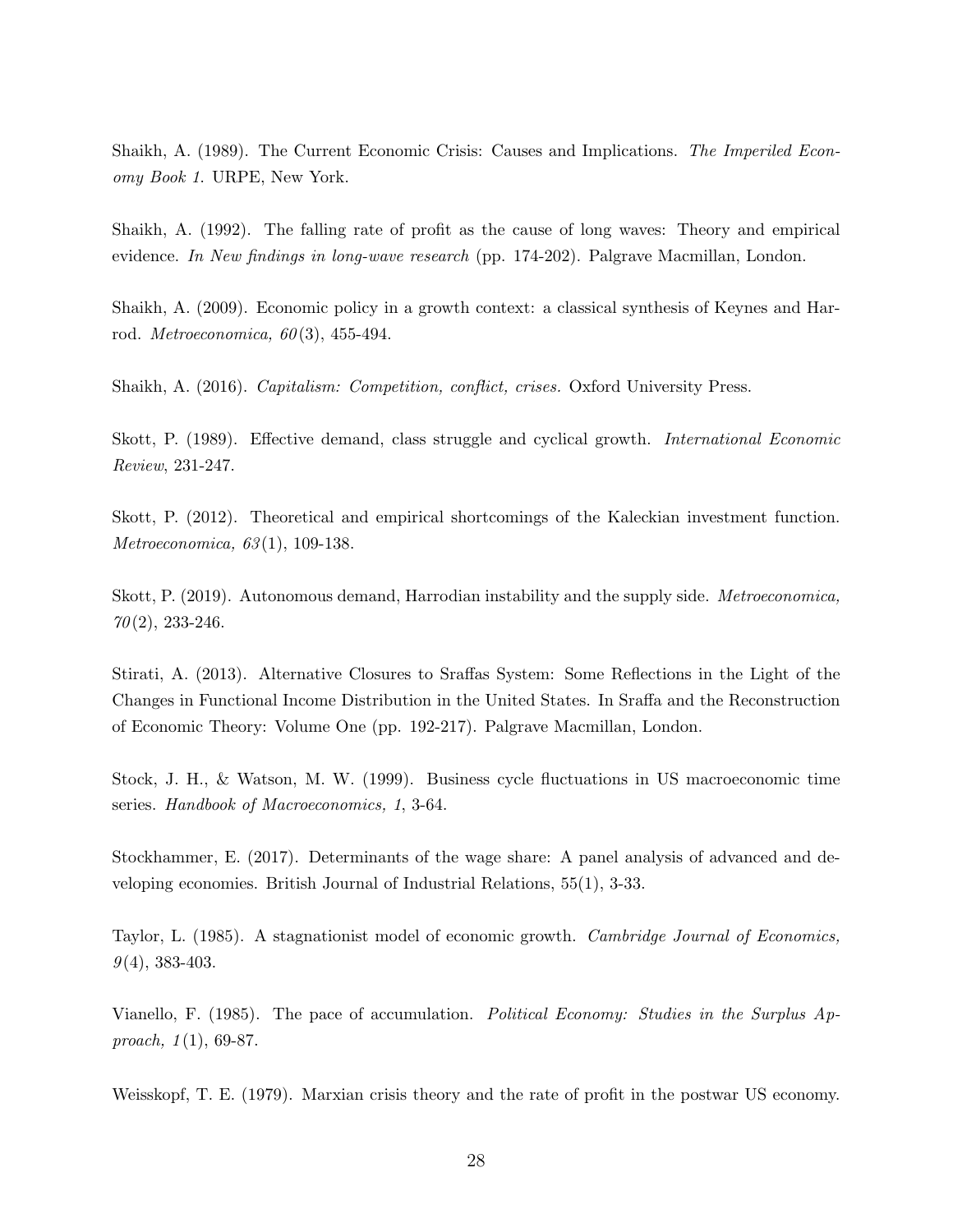Shaikh, A. (1989). The Current Economic Crisis: Causes and Implications. The Imperiled Economy Book 1. URPE, New York.

Shaikh, A. (1992). The falling rate of profit as the cause of long waves: Theory and empirical evidence. In New findings in long-wave research (pp. 174-202). Palgrave Macmillan, London.

Shaikh, A. (2009). Economic policy in a growth context: a classical synthesis of Keynes and Harrod. *Metroeconomica*,  $60(3)$ , 455-494.

Shaikh, A. (2016). Capitalism: Competition, conflict, crises. Oxford University Press.

Skott, P. (1989). Effective demand, class struggle and cyclical growth. International Economic Review, 231-247.

Skott, P. (2012). Theoretical and empirical shortcomings of the Kaleckian investment function. Metroeconomica, 63 (1), 109-138.

Skott, P. (2019). Autonomous demand, Harrodian instability and the supply side. Metroeconomica,  $70(2)$ , 233-246.

Stirati, A. (2013). Alternative Closures to Sraffas System: Some Reflections in the Light of the Changes in Functional Income Distribution in the United States. In Sraffa and the Reconstruction of Economic Theory: Volume One (pp. 192-217). Palgrave Macmillan, London.

Stock, J. H., & Watson, M. W. (1999). Business cycle fluctuations in US macroeconomic time series. Handbook of Macroeconomics, 1, 3-64.

Stockhammer, E. (2017). Determinants of the wage share: A panel analysis of advanced and developing economies. British Journal of Industrial Relations, 55(1), 3-33.

Taylor, L. (1985). A stagnationist model of economic growth. Cambridge Journal of Economics,  $9(4)$ , 383-403.

Vianello, F. (1985). The pace of accumulation. Political Economy: Studies in the Surplus Approach,  $1(1)$ , 69-87.

Weisskopf, T. E. (1979). Marxian crisis theory and the rate of profit in the postwar US economy.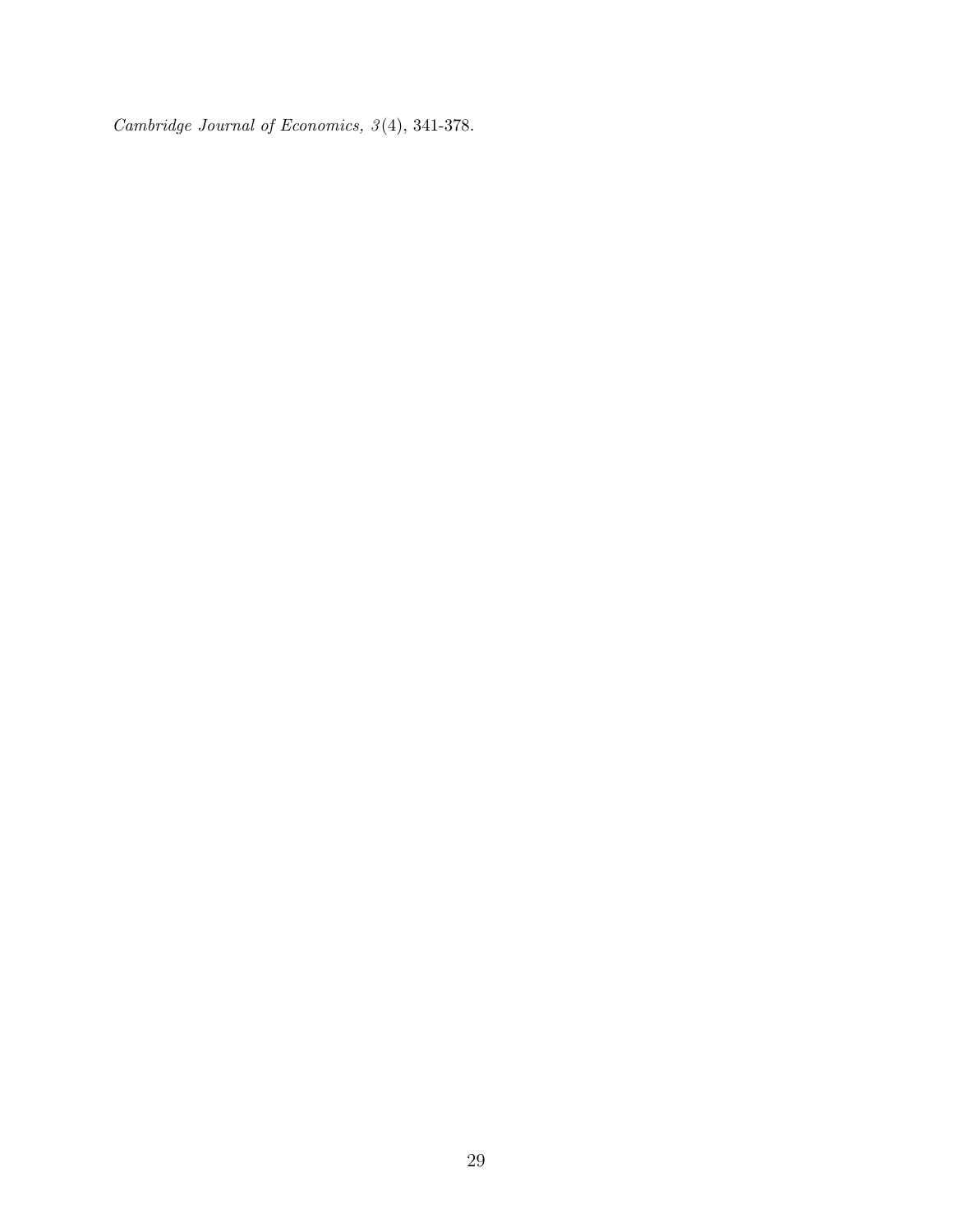Cambridge Journal of Economics, 3 (4), 341-378.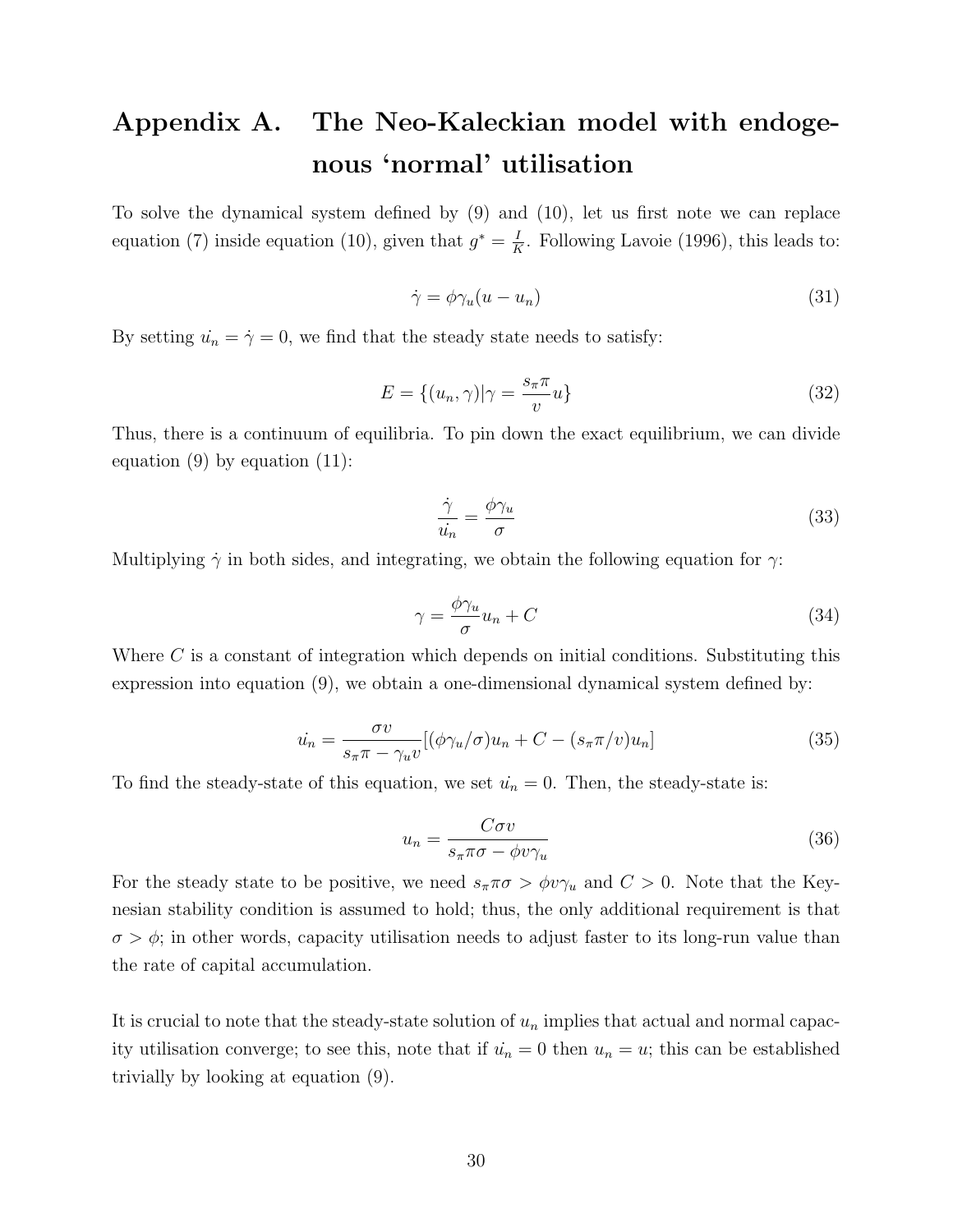# Appendix A. The Neo-Kaleckian model with endogenous 'normal' utilisation

To solve the dynamical system defined by (9) and (10), let us first note we can replace equation (7) inside equation (10), given that  $g^* = \frac{I}{R}$  $\frac{1}{K}$ . Following Lavoie (1996), this leads to:

$$
\dot{\gamma} = \phi \gamma_u (u - u_n) \tag{31}
$$

By setting  $\dot{u}_n = \dot{\gamma} = 0$ , we find that the steady state needs to satisfy:

$$
E = \{(u_n, \gamma)|\gamma = \frac{s_\pi \pi}{v}u\}
$$
\n(32)

Thus, there is a continuum of equilibria. To pin down the exact equilibrium, we can divide equation  $(9)$  by equation  $(11)$ :

$$
\frac{\dot{\gamma}}{\dot{u}_n} = \frac{\phi \gamma_u}{\sigma} \tag{33}
$$

Multiplying  $\dot{\gamma}$  in both sides, and integrating, we obtain the following equation for  $\gamma$ :

$$
\gamma = \frac{\phi \gamma_u}{\sigma} u_n + C \tag{34}
$$

Where C is a constant of integration which depends on initial conditions. Substituting this expression into equation (9), we obtain a one-dimensional dynamical system defined by:

$$
\dot{u_n} = \frac{\sigma v}{s_\pi \pi - \gamma_u v} [(\phi \gamma_u / \sigma) u_n + C - (s_\pi \pi / v) u_n]
$$
\n(35)

To find the steady-state of this equation, we set  $\dot{u}_n = 0$ . Then, the steady-state is:

$$
u_n = \frac{C\sigma v}{s_\pi \pi \sigma - \phi v \gamma_u} \tag{36}
$$

For the steady state to be positive, we need  $s_{\pi}\pi\sigma > \phi v\gamma_u$  and  $C > 0$ . Note that the Keynesian stability condition is assumed to hold; thus, the only additional requirement is that  $\sigma > \phi$ ; in other words, capacity utilisation needs to adjust faster to its long-run value than the rate of capital accumulation.

It is crucial to note that the steady-state solution of  $u_n$  implies that actual and normal capacity utilisation converge; to see this, note that if  $\dot{u}_n = 0$  then  $u_n = u$ ; this can be established trivially by looking at equation (9).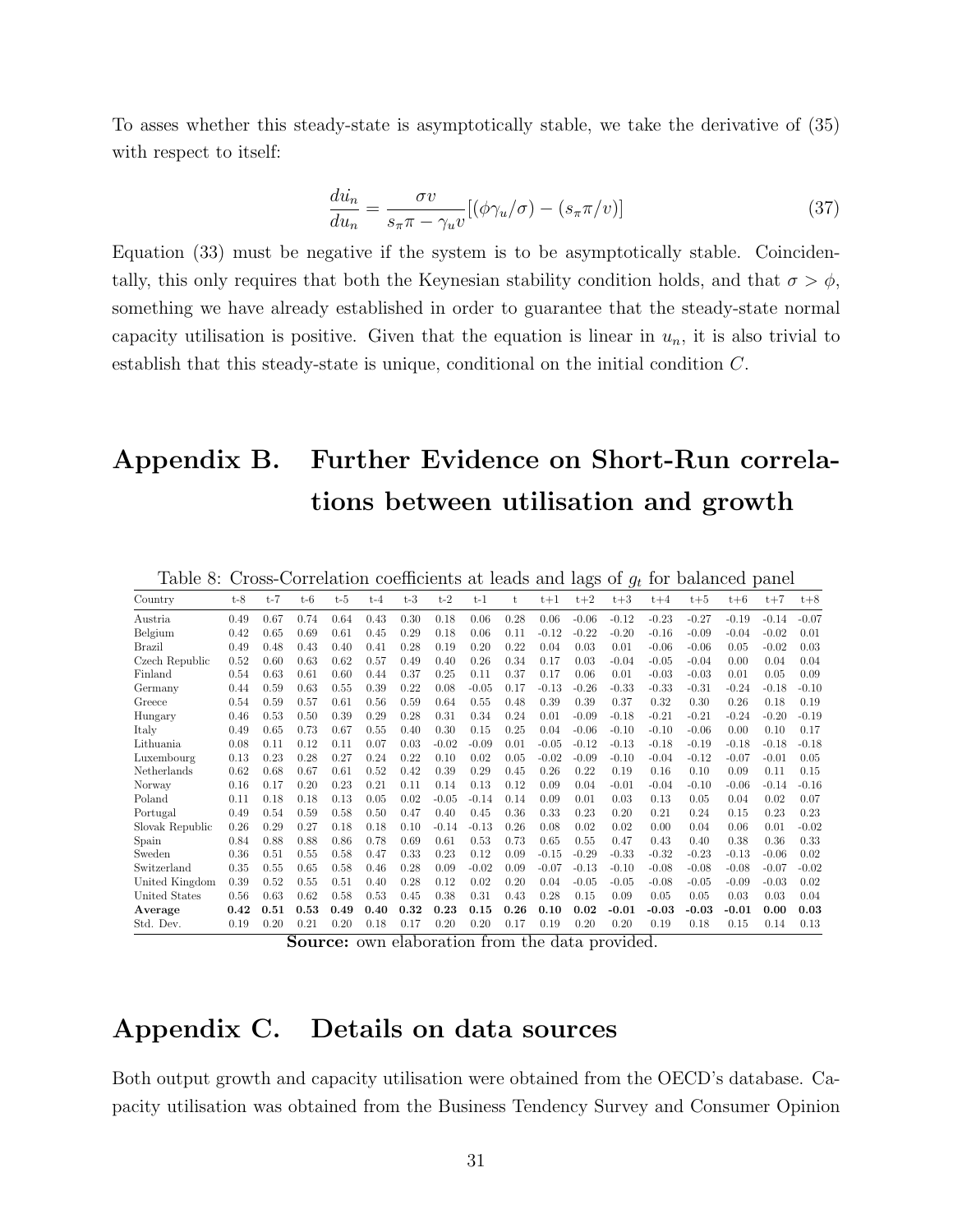To asses whether this steady-state is asymptotically stable, we take the derivative of (35) with respect to itself:

$$
\frac{d\dot{u}_n}{du_n} = \frac{\sigma v}{s_\pi \pi - \gamma_u v} [(\phi \gamma_u / \sigma) - (s_\pi \pi / v)] \tag{37}
$$

Equation (33) must be negative if the system is to be asymptotically stable. Coincidentally, this only requires that both the Keynesian stability condition holds, and that  $\sigma > \phi$ , something we have already established in order to guarantee that the steady-state normal capacity utilisation is positive. Given that the equation is linear in  $u_n$ , it is also trivial to establish that this steady-state is unique, conditional on the initial condition C.

# Appendix B. Further Evidence on Short-Run correlations between utilisation and growth

| ranic o.        | $\cup$ - $\cup$ |       |       |       |       |       |         |         |      |         |         | Correlation coefficients at reads and tags of $g_t$ | TOT     |         |         | parament paner |         |
|-----------------|-----------------|-------|-------|-------|-------|-------|---------|---------|------|---------|---------|-----------------------------------------------------|---------|---------|---------|----------------|---------|
| Country         | $t-8$           | $t-7$ | $t-6$ | $t-5$ | $t-4$ | $t-3$ | $t-2$   | $t-1$   | t    | $t+1$   | $t+2$   | $t+3$                                               | $t+4$   | $t + 5$ | $t + 6$ | $t+7$          | $t+8$   |
| Austria         | 0.49            | 0.67  | 0.74  | 0.64  | 0.43  | 0.30  | 0.18    | 0.06    | 0.28 | 0.06    | $-0.06$ | $-0.12$                                             | $-0.23$ | $-0.27$ | $-0.19$ | $-0.14$        | $-0.07$ |
| Belgium         | 0.42            | 0.65  | 0.69  | 0.61  | 0.45  | 0.29  | 0.18    | 0.06    | 0.11 | $-0.12$ | $-0.22$ | $-0.20$                                             | $-0.16$ | $-0.09$ | $-0.04$ | $-0.02$        | 0.01    |
| Brazil          | 0.49            | 0.48  | 0.43  | 0.40  | 0.41  | 0.28  | 0.19    | 0.20    | 0.22 | 0.04    | 0.03    | 0.01                                                | $-0.06$ | $-0.06$ | 0.05    | $-0.02$        | 0.03    |
| Czech Republic  | 0.52            | 0.60  | 0.63  | 0.62  | 0.57  | 0.49  | 0.40    | 0.26    | 0.34 | 0.17    | 0.03    | $-0.04$                                             | $-0.05$ | $-0.04$ | 0.00    | 0.04           | 0.04    |
| Finland         | 0.54            | 0.63  | 0.61  | 0.60  | 0.44  | 0.37  | 0.25    | 0.11    | 0.37 | 0.17    | 0.06    | 0.01                                                | $-0.03$ | $-0.03$ | 0.01    | 0.05           | 0.09    |
| Germany         | 0.44            | 0.59  | 0.63  | 0.55  | 0.39  | 0.22  | 0.08    | $-0.05$ | 0.17 | $-0.13$ | $-0.26$ | $-0.33$                                             | $-0.33$ | $-0.31$ | $-0.24$ | $-0.18$        | $-0.10$ |
| Greece          | 0.54            | 0.59  | 0.57  | 0.61  | 0.56  | 0.59  | 0.64    | 0.55    | 0.48 | 0.39    | 0.39    | 0.37                                                | 0.32    | 0.30    | 0.26    | 0.18           | 0.19    |
| Hungary         | 0.46            | 0.53  | 0.50  | 0.39  | 0.29  | 0.28  | 0.31    | 0.34    | 0.24 | 0.01    | $-0.09$ | $-0.18$                                             | $-0.21$ | $-0.21$ | $-0.24$ | $-0.20$        | $-0.19$ |
| Italy           | 0.49            | 0.65  | 0.73  | 0.67  | 0.55  | 0.40  | 0.30    | 0.15    | 0.25 | 0.04    | $-0.06$ | $-0.10$                                             | $-0.10$ | $-0.06$ | 0.00    | 0.10           | 0.17    |
| Lithuania       | 0.08            | 0.11  | 0.12  | 0.11  | 0.07  | 0.03  | $-0.02$ | $-0.09$ | 0.01 | $-0.05$ | $-0.12$ | $-0.13$                                             | $-0.18$ | $-0.19$ | $-0.18$ | $-0.18$        | $-0.18$ |
| Luxembourg      | 0.13            | 0.23  | 0.28  | 0.27  | 0.24  | 0.22  | 0.10    | 0.02    | 0.05 | $-0.02$ | $-0.09$ | $-0.10$                                             | $-0.04$ | $-0.12$ | $-0.07$ | $-0.01$        | 0.05    |
| Netherlands     | 0.62            | 0.68  | 0.67  | 0.61  | 0.52  | 0.42  | 0.39    | 0.29    | 0.45 | 0.26    | 0.22    | 0.19                                                | 0.16    | 0.10    | 0.09    | 0.11           | 0.15    |
| Norway          | 0.16            | 0.17  | 0.20  | 0.23  | 0.21  | 0.11  | 0.14    | 0.13    | 0.12 | 0.09    | 0.04    | $-0.01$                                             | $-0.04$ | $-0.10$ | $-0.06$ | $-0.14$        | $-0.16$ |
| Poland          | 0.11            | 0.18  | 0.18  | 0.13  | 0.05  | 0.02  | $-0.05$ | $-0.14$ | 0.14 | 0.09    | 0.01    | 0.03                                                | 0.13    | 0.05    | 0.04    | 0.02           | 0.07    |
| Portugal        | 0.49            | 0.54  | 0.59  | 0.58  | 0.50  | 0.47  | 0.40    | 0.45    | 0.36 | 0.33    | 0.23    | 0.20                                                | 0.21    | 0.24    | 0.15    | 0.23           | 0.23    |
| Slovak Republic | 0.26            | 0.29  | 0.27  | 0.18  | 0.18  | 0.10  | $-0.14$ | $-0.13$ | 0.26 | 0.08    | 0.02    | 0.02                                                | 0.00    | 0.04    | 0.06    | 0.01           | $-0.02$ |
| Spain           | 0.84            | 0.88  | 0.88  | 0.86  | 0.78  | 0.69  | 0.61    | 0.53    | 0.73 | 0.65    | 0.55    | 0.47                                                | 0.43    | 0.40    | 0.38    | 0.36           | 0.33    |
| Sweden          | 0.36            | 0.51  | 0.55  | 0.58  | 0.47  | 0.33  | 0.23    | 0.12    | 0.09 | $-0.15$ | $-0.29$ | $-0.33$                                             | $-0.32$ | $-0.23$ | $-0.13$ | $-0.06$        | 0.02    |
| Switzerland     | 0.35            | 0.55  | 0.65  | 0.58  | 0.46  | 0.28  | 0.09    | $-0.02$ | 0.09 | $-0.07$ | $-0.13$ | $-0.10$                                             | $-0.08$ | $-0.08$ | $-0.08$ | $-0.07$        | $-0.02$ |
| United Kingdom  | 0.39            | 0.52  | 0.55  | 0.51  | 0.40  | 0.28  | 0.12    | 0.02    | 0.20 | 0.04    | $-0.05$ | $-0.05$                                             | $-0.08$ | $-0.05$ | $-0.09$ | $-0.03$        | 0.02    |
| United States   | 0.56            | 0.63  | 0.62  | 0.58  | 0.53  | 0.45  | 0.38    | 0.31    | 0.43 | 0.28    | 0.15    | 0.09                                                | 0.05    | 0.05    | 0.03    | 0.03           | 0.04    |
| Average         | 0.42            | 0.51  | 0.53  | 0.49  | 0.40  | 0.32  | 0.23    | 0.15    | 0.26 | 0.10    | 0.02    | $-0.01$                                             | $-0.03$ | $-0.03$ | $-0.01$ | 0.00           | 0.03    |
| Std. Dev.       | 0.19            | 0.20  | 0.21  | 0.20  | 0.18  | 0.17  | 0.20    | 0.20    | 0.17 | 0.19    | 0.20    | 0.20                                                | 0.19    | 0.18    | 0.15    | 0.14           | 0.13    |

Table 8: Cross-Correlation coefficients at leads and lags of  $g_t$  for balanced panel

Source: own elaboration from the data provided.

# Appendix C. Details on data sources

Both output growth and capacity utilisation were obtained from the OECD's database. Capacity utilisation was obtained from the Business Tendency Survey and Consumer Opinion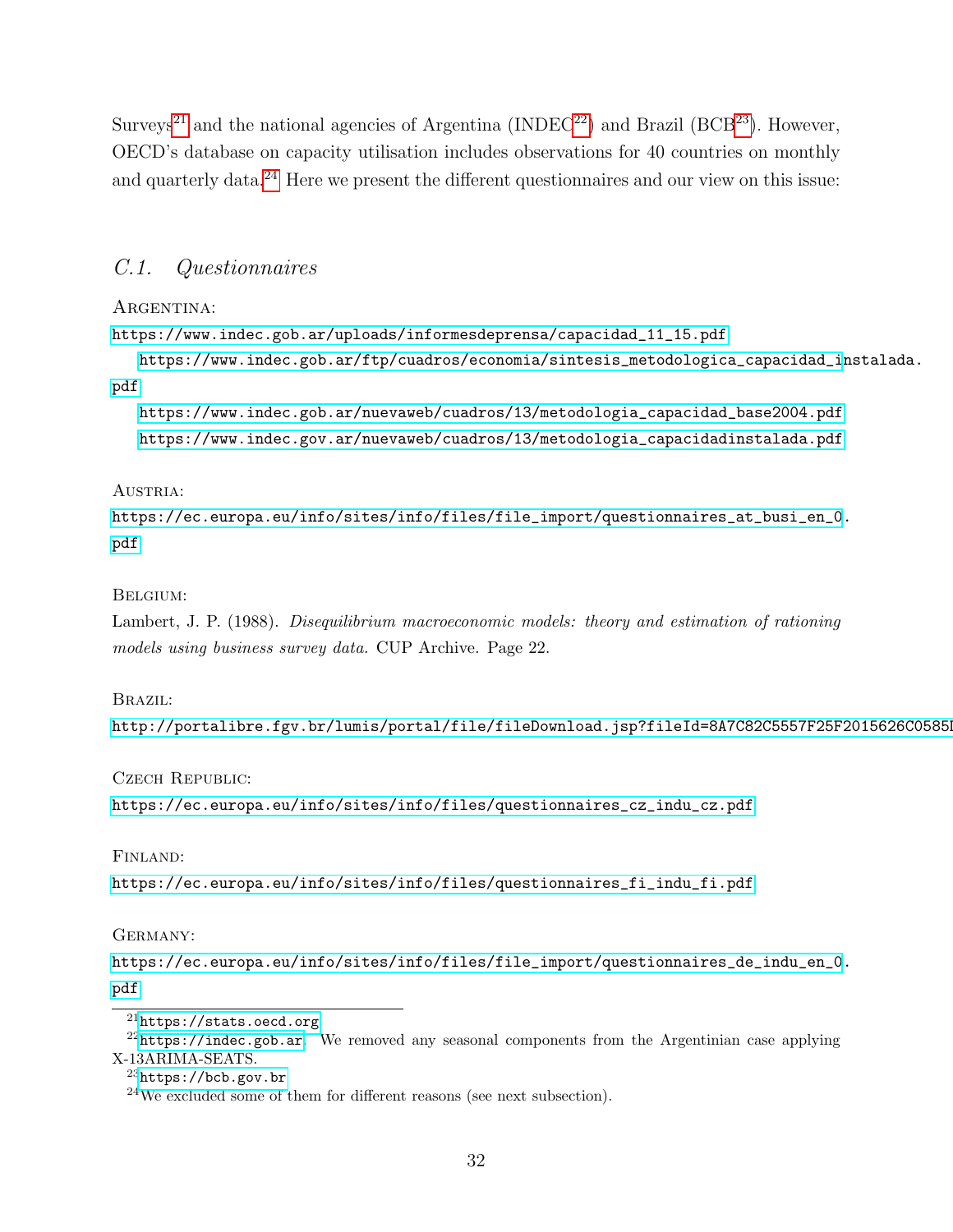Surveys<sup>[21](#page-33-0)</sup> and the national agencies of Argentina (INDEC<sup>[22](#page-33-1)</sup>) and Brazil (BCB<sup>[23](#page-33-2)</sup>). However, OECD's database on capacity utilisation includes observations for 40 countries on monthly and quarterly data.<sup>[24](#page-33-3)</sup> Here we present the different questionnaires and our view on this issue:

## C.1. Questionnaires

### ARGENTINA:

[https://www.indec.gob.ar/uploads/informesdeprensa/capacidad\\_11\\_15.pdf](https://www.indec.gob.ar/uploads/informesdeprensa/capacidad_11_15.pdf)

[https://www.indec.gob.ar/ftp/cuadros/economia/sintesis\\_metodologica\\_capacidad\\_i](https://www.indec.gob.ar/ftp/cuadros/economia/sintesis_metodologica_capacidad_instalada.pdf)nstalada. [pdf](https://www.indec.gob.ar/ftp/cuadros/economia/sintesis_metodologica_capacidad_instalada.pdf)

[https://www.indec.gob.ar/nuevaweb/cuadros/13/metodologia\\_capacidad\\_base2004.pdf](https://www.indec.gob.ar/nuevaweb/cuadros/13/metodologia_capacidad_base2004.pdf) [https://www.indec.gov.ar/nuevaweb/cuadros/13/metodologia\\_capacidadinstalada.pdf](https://www.indec.gov.ar/nuevaweb/cuadros/13/metodologia_capacidadinstalada.pdf)

### AUSTRIA:

[https://ec.europa.eu/info/sites/info/files/file\\_import/questionnaires\\_at\\_busi\\_en\\_0](https://ec.europa.eu/info/sites/info/files/file_import/questionnaires_at_busi_en_0.pdf). [pdf](https://ec.europa.eu/info/sites/info/files/file_import/questionnaires_at_busi_en_0.pdf)

### Belgium:

Lambert, J. P. (1988). Disequilibrium macroeconomic models: theory and estimation of rationing models using business survey data. CUP Archive. Page 22.

#### Brazil:

http://portalibre.fgv.br/lumis/portal/file/fileDownload.jsp?fileId=8A7C82C5557F25F2015626C0585

Czech Republic:

[https://ec.europa.eu/info/sites/info/files/questionnaires\\_cz\\_indu\\_cz.pdf](https://ec.europa.eu/info/sites/info/files/questionnaires_cz_indu_cz.pdf)

#### Finland:

[https://ec.europa.eu/info/sites/info/files/questionnaires\\_fi\\_indu\\_fi.pdf](https://ec.europa.eu/info/sites/info/files/questionnaires_fi_indu_fi.pdf)

GERMANY:

[https://ec.europa.eu/info/sites/info/files/file\\_import/questionnaires\\_de\\_indu\\_en\\_0](https://ec.europa.eu/info/sites/info/files/file_import/questionnaires_de_indu_en_0.pdf). [pdf](https://ec.europa.eu/info/sites/info/files/file_import/questionnaires_de_indu_en_0.pdf)

<span id="page-33-1"></span><span id="page-33-0"></span><sup>21</sup><https://stats.oecd.org>

 $22$ <https://indec.gob.ar>. We removed any seasonal components from the Argentinian case applying X-13ARIMA-SEATS.

<span id="page-33-2"></span> $^{23}$ <https://bcb.gov.br>

<span id="page-33-3"></span> $^{24}\rm{We}$  excluded some of them for different reasons (see next subsection).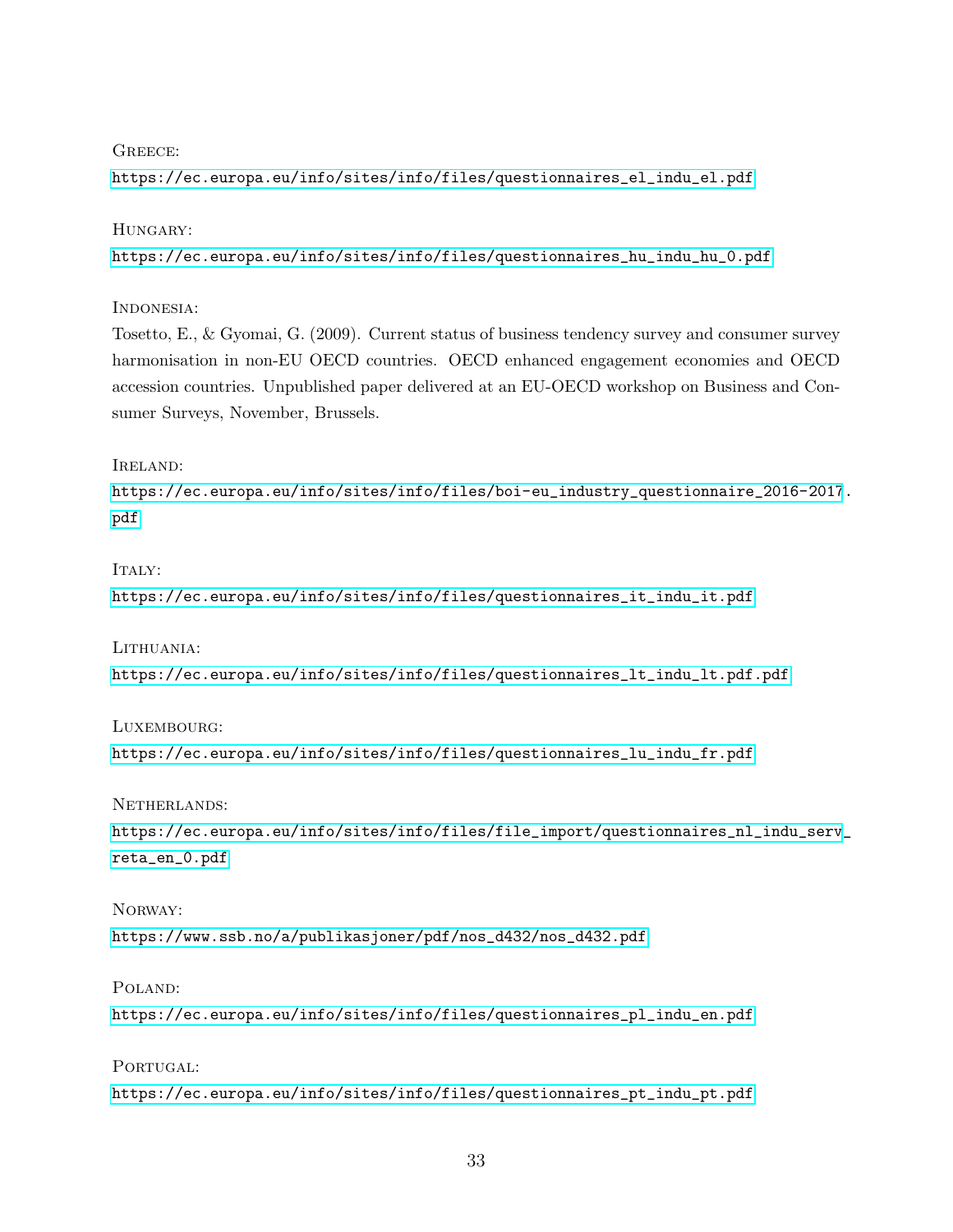### GREECE<sup>.</sup>

[https://ec.europa.eu/info/sites/info/files/questionnaires\\_el\\_indu\\_el.pdf](https://ec.europa.eu/info/sites/info/files/questionnaires_el_indu_el.pdf)

### HUNGARY:

[https://ec.europa.eu/info/sites/info/files/questionnaires\\_hu\\_indu\\_hu\\_0.pdf](https://ec.europa.eu/info/sites/info/files/questionnaires_hu_indu_hu_0.pdf)

### Indonesia:

Tosetto, E., & Gyomai, G. (2009). Current status of business tendency survey and consumer survey harmonisation in non-EU OECD countries. OECD enhanced engagement economies and OECD accession countries. Unpublished paper delivered at an EU-OECD workshop on Business and Consumer Surveys, November, Brussels.

### Ireland:

[https://ec.europa.eu/info/sites/info/files/boi-eu\\_industry\\_questionnaire\\_2016-2017](https://ec.europa.eu/info/sites/info/files/boi-eu_industry_questionnaire_2016-2017.pdf). [pdf](https://ec.europa.eu/info/sites/info/files/boi-eu_industry_questionnaire_2016-2017.pdf)

### $ITAIY:$

[https://ec.europa.eu/info/sites/info/files/questionnaires\\_it\\_indu\\_it.pdf](https://ec.europa.eu/info/sites/info/files/questionnaires_it_indu_it.pdf)

LITHUANIA:

[https://ec.europa.eu/info/sites/info/files/questionnaires\\_lt\\_indu\\_lt.pdf.pdf](https://ec.europa.eu/info/sites/info/files/questionnaires_lt_indu_lt.pdf.pdf)

### Luxembourg:

[https://ec.europa.eu/info/sites/info/files/questionnaires\\_lu\\_indu\\_fr.pdf](https://ec.europa.eu/info/sites/info/files/questionnaires_lu_indu_fr.pdf)

NETHERLANDS:

[https://ec.europa.eu/info/sites/info/files/file\\_import/questionnaires\\_nl\\_indu\\_serv](https://ec.europa.eu/info/sites/info/files/file_import/questionnaires_nl_indu_serv_reta_en_0.pdf)\_ [reta\\_en\\_0.pdf](https://ec.europa.eu/info/sites/info/files/file_import/questionnaires_nl_indu_serv_reta_en_0.pdf)

### Norway:

[https://www.ssb.no/a/publikasjoner/pdf/nos\\_d432/nos\\_d432.pdf](https://www.ssb.no/a/publikasjoner/pdf/nos_d432/nos_d432.pdf)

#### Poland:

[https://ec.europa.eu/info/sites/info/files/questionnaires\\_pl\\_indu\\_en.pdf](https://ec.europa.eu/info/sites/info/files/questionnaires_pl_indu_en.pdf)

PORTUGAL: [https://ec.europa.eu/info/sites/info/files/questionnaires\\_pt\\_indu\\_pt.pdf](https://ec.europa.eu/info/sites/info/files/questionnaires_pt_indu_pt.pdf)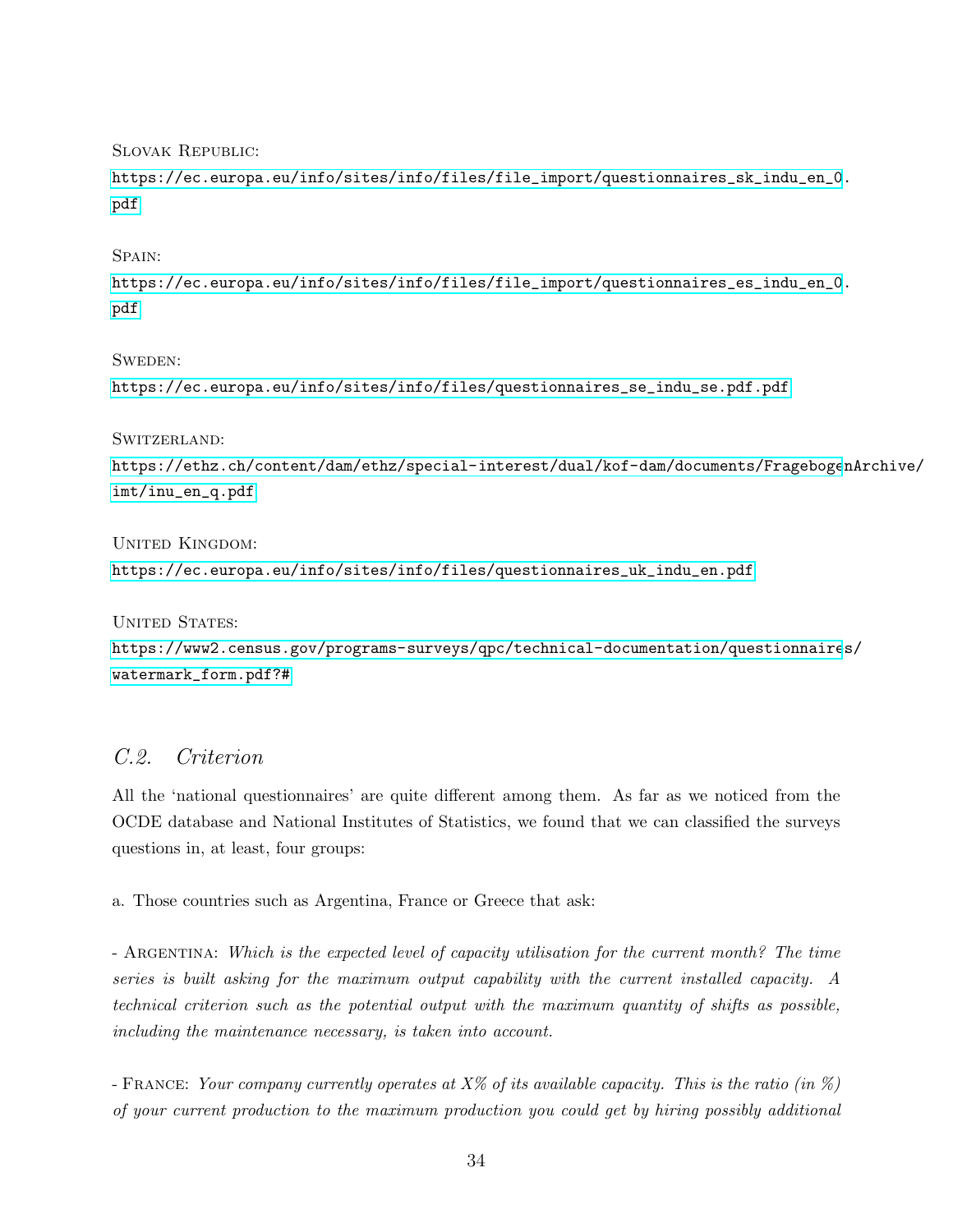Slovak Republic:

[https://ec.europa.eu/info/sites/info/files/file\\_import/questionnaires\\_sk\\_indu\\_en\\_0](https://ec.europa.eu/info/sites/info/files/file_import/questionnaires_sk_indu_en_0.pdf). [pdf](https://ec.europa.eu/info/sites/info/files/file_import/questionnaires_sk_indu_en_0.pdf)

SPAIN:

[https://ec.europa.eu/info/sites/info/files/file\\_import/questionnaires\\_es\\_indu\\_en\\_0](https://ec.europa.eu/info/sites/info/files/file_import/questionnaires_es_indu_en_0.pdf). [pdf](https://ec.europa.eu/info/sites/info/files/file_import/questionnaires_es_indu_en_0.pdf)

Sweden:

[https://ec.europa.eu/info/sites/info/files/questionnaires\\_se\\_indu\\_se.pdf.pdf](https://ec.europa.eu/info/sites/info/files/questionnaires_se_indu_se.pdf.pdf)

Switzerland:

```
https://ethz.ch/content/dam/ethz/special-interest/dual/kof-dam/documents/FragebogenArchive/
imt/inu_en_q.pdf
```
UNITED KINGDOM: [https://ec.europa.eu/info/sites/info/files/questionnaires\\_uk\\_indu\\_en.pdf](https://ec.europa.eu/info/sites/info/files/questionnaires_uk_indu_en.pdf)

UNITED STATES: [https://www2.census.gov/programs-surveys/qpc/technical-documentation/questionnaire](https://www2.census.gov/programs-surveys/qpc/technical-documentation/questionnaires/watermark_form.pdf?#)s/ [watermark\\_form.pdf?#](https://www2.census.gov/programs-surveys/qpc/technical-documentation/questionnaires/watermark_form.pdf?#)

## C.2. Criterion

All the 'national questionnaires' are quite different among them. As far as we noticed from the OCDE database and National Institutes of Statistics, we found that we can classified the surveys questions in, at least, four groups:

a. Those countries such as Argentina, France or Greece that ask:

- ARGENTINA: Which is the expected level of capacity utilisation for the current month? The time series is built asking for the maximum output capability with the current installed capacity. A technical criterion such as the potential output with the maximum quantity of shifts as possible, including the maintenance necessary, is taken into account.

- FRANCE: Your company currently operates at  $X\%$  of its available capacity. This is the ratio (in  $\%$ ) of your current production to the maximum production you could get by hiring possibly additional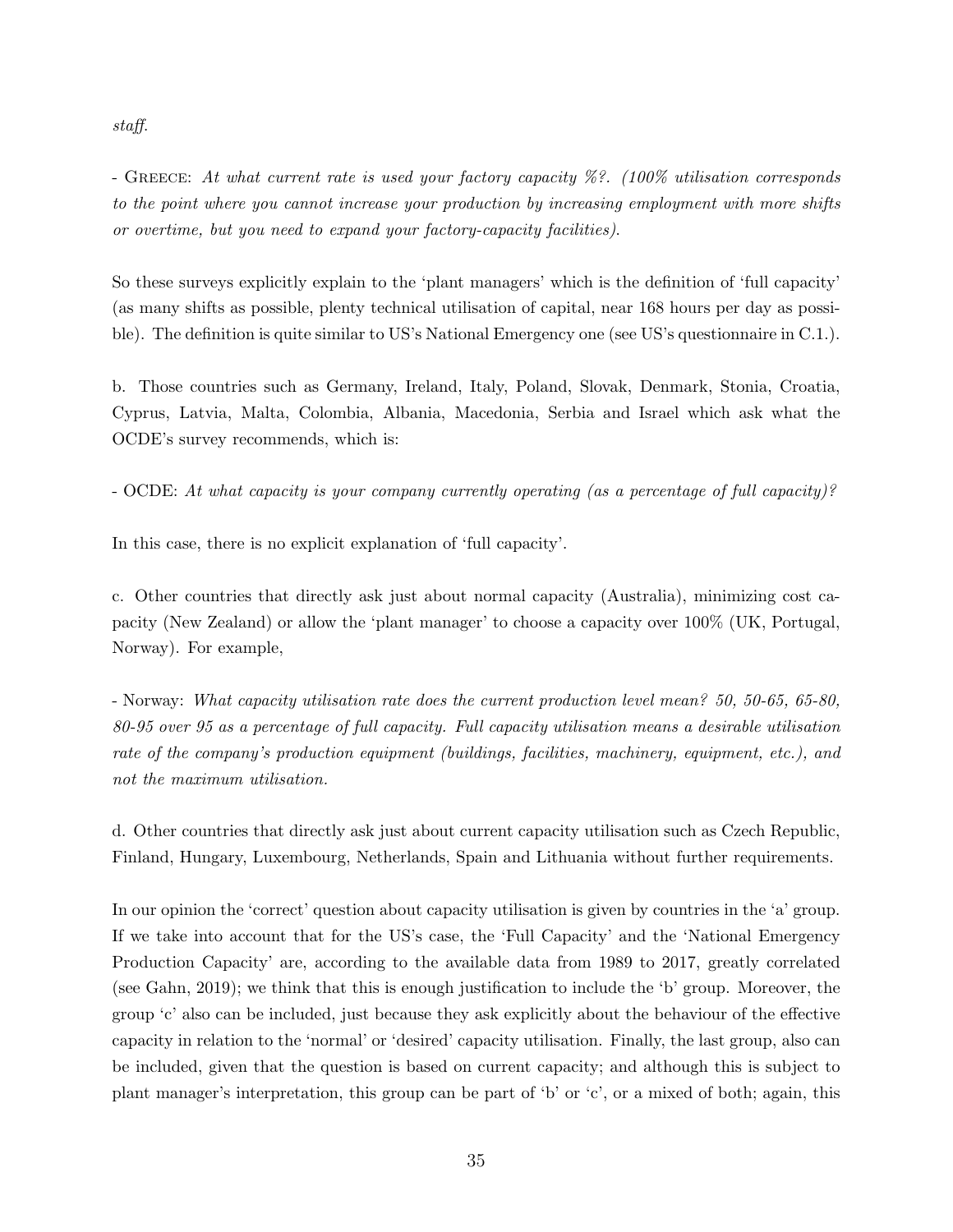staff.

- GREECE: At what current rate is used your factory capacity  $\%$ ?. (100% utilisation corresponds to the point where you cannot increase your production by increasing employment with more shifts or overtime, but you need to expand your factory-capacity facilities).

So these surveys explicitly explain to the 'plant managers' which is the definition of 'full capacity' (as many shifts as possible, plenty technical utilisation of capital, near 168 hours per day as possible). The definition is quite similar to US's National Emergency one (see US's questionnaire in C.1.).

b. Those countries such as Germany, Ireland, Italy, Poland, Slovak, Denmark, Stonia, Croatia, Cyprus, Latvia, Malta, Colombia, Albania, Macedonia, Serbia and Israel which ask what the OCDE's survey recommends, which is:

- OCDE: At what capacity is your company currently operating (as a percentage of full capacity)?

In this case, there is no explicit explanation of 'full capacity'.

c. Other countries that directly ask just about normal capacity (Australia), minimizing cost capacity (New Zealand) or allow the 'plant manager' to choose a capacity over 100% (UK, Portugal, Norway). For example,

- Norway: What capacity utilisation rate does the current production level mean? 50, 50-65, 65-80, 80-95 over 95 as a percentage of full capacity. Full capacity utilisation means a desirable utilisation rate of the company's production equipment (buildings, facilities, machinery, equipment, etc.), and not the maximum utilisation.

d. Other countries that directly ask just about current capacity utilisation such as Czech Republic, Finland, Hungary, Luxembourg, Netherlands, Spain and Lithuania without further requirements.

In our opinion the 'correct' question about capacity utilisation is given by countries in the 'a' group. If we take into account that for the US's case, the 'Full Capacity' and the 'National Emergency Production Capacity' are, according to the available data from 1989 to 2017, greatly correlated (see Gahn, 2019); we think that this is enough justification to include the 'b' group. Moreover, the group 'c' also can be included, just because they ask explicitly about the behaviour of the effective capacity in relation to the 'normal' or 'desired' capacity utilisation. Finally, the last group, also can be included, given that the question is based on current capacity; and although this is subject to plant manager's interpretation, this group can be part of 'b' or 'c', or a mixed of both; again, this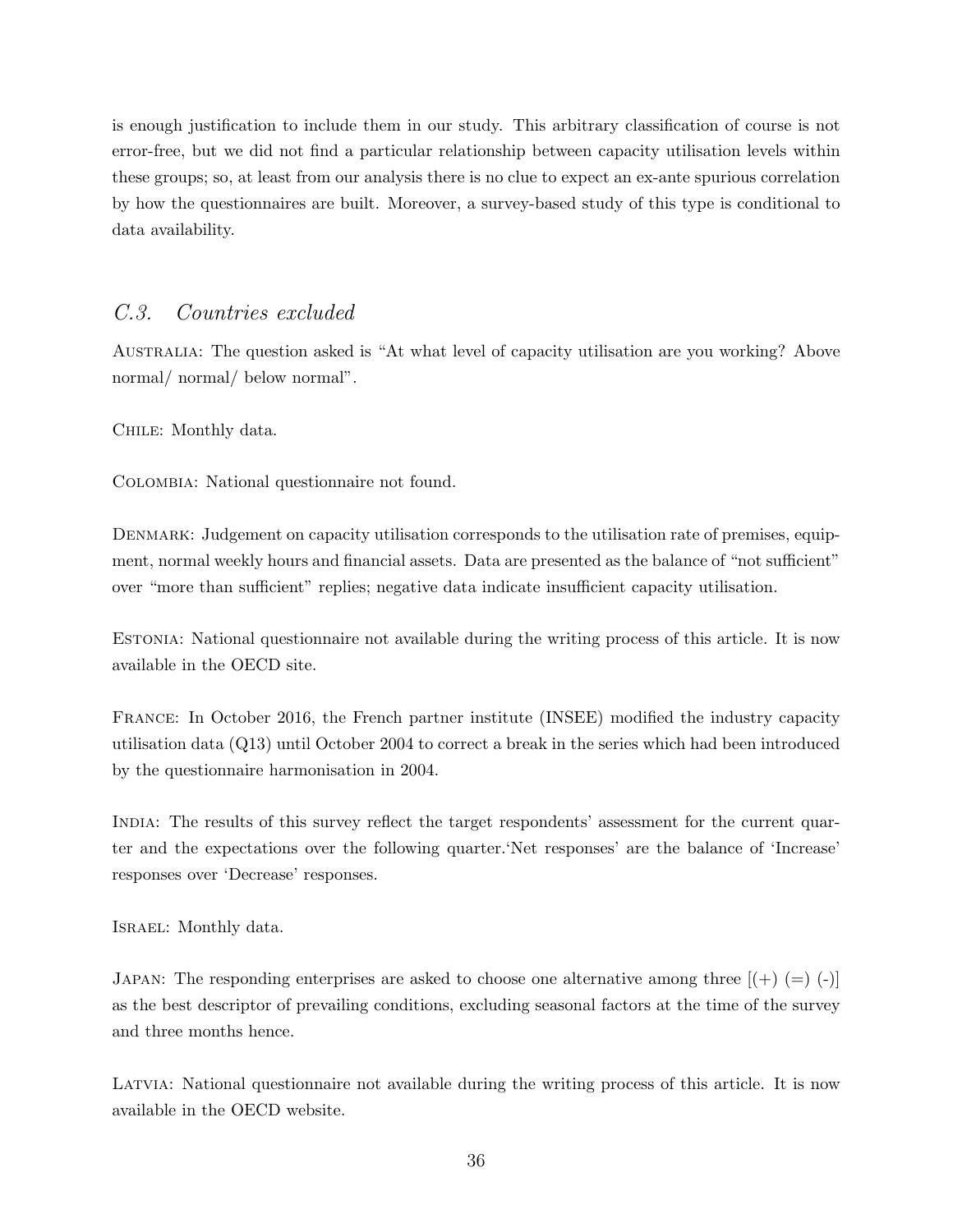is enough justification to include them in our study. This arbitrary classification of course is not error-free, but we did not find a particular relationship between capacity utilisation levels within these groups; so, at least from our analysis there is no clue to expect an ex-ante spurious correlation by how the questionnaires are built. Moreover, a survey-based study of this type is conditional to data availability.

### C.3. Countries excluded

Australia: The question asked is "At what level of capacity utilisation are you working? Above normal/ normal/ below normal".

CHILE: Monthly data.

Colombia: National questionnaire not found.

DENMARK: Judgement on capacity utilisation corresponds to the utilisation rate of premises, equipment, normal weekly hours and financial assets. Data are presented as the balance of "not sufficient" over "more than sufficient" replies; negative data indicate insufficient capacity utilisation.

ESTONIA: National questionnaire not available during the writing process of this article. It is now available in the OECD site.

France: In October 2016, the French partner institute (INSEE) modified the industry capacity utilisation data (Q13) until October 2004 to correct a break in the series which had been introduced by the questionnaire harmonisation in 2004.

India: The results of this survey reflect the target respondents' assessment for the current quarter and the expectations over the following quarter.'Net responses' are the balance of 'Increase' responses over 'Decrease' responses.

Israel: Monthly data.

JAPAN: The responding enterprises are asked to choose one alternative among three  $[(+)$  (=)  $(-)]$ as the best descriptor of prevailing conditions, excluding seasonal factors at the time of the survey and three months hence.

Latvia: National questionnaire not available during the writing process of this article. It is now available in the OECD website.